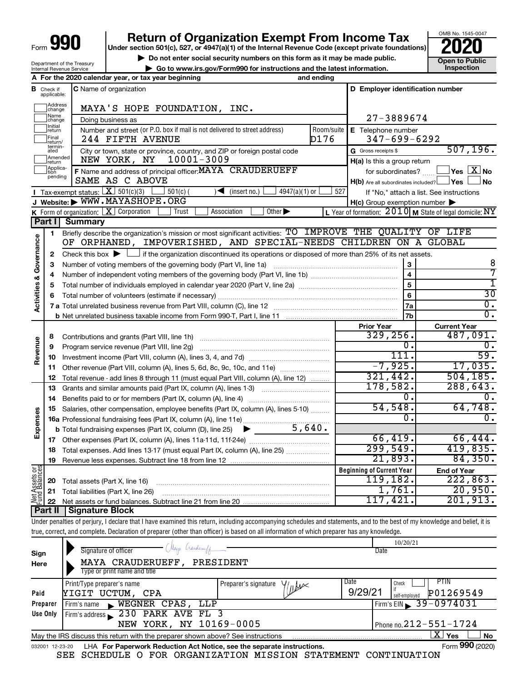# **990** Return of Organization Exempt From Income Tax <br>
Under section 501(c), 527, or 4947(a)(1) of the Internal Revenue Code (except private foundations)<br> **PO20**

▶ Do not enter social security numbers on this form as it may be made public. **Dependent Open to Public Dependent Open to Public and the latest information.** Inspection **| Go to www.irs.gov/Form990 for instructions and the latest information. Inspection**

OMB No. 1545-0047

|  | Department of the Treasury<br><b>Internal Revenue Service</b> |
|--|---------------------------------------------------------------|
|--|---------------------------------------------------------------|

|                         |                               | A For the 2020 calendar year, or tax year beginning                                                                                                                        | and ending |                                                     |                                                           |
|-------------------------|-------------------------------|----------------------------------------------------------------------------------------------------------------------------------------------------------------------------|------------|-----------------------------------------------------|-----------------------------------------------------------|
|                         | <b>B</b> Check if applicable: | C Name of organization                                                                                                                                                     |            | D Employer identification number                    |                                                           |
|                         | Address<br> change            | MAYA'S HOPE FOUNDATION, INC.                                                                                                                                               |            |                                                     |                                                           |
|                         | Name<br>change                | Doing business as                                                                                                                                                          |            | 27-3889674                                          |                                                           |
|                         | Initial<br>return             | Number and street (or P.O. box if mail is not delivered to street address)                                                                                                 | Room/suite | E Telephone number                                  |                                                           |
|                         | Final<br>return/              | 244 FIFTH AVENUE                                                                                                                                                           | D176       | $347 - 699 - 6292$                                  |                                                           |
|                         | termin-<br>ated               | City or town, state or province, country, and ZIP or foreign postal code                                                                                                   |            | G Gross receipts \$                                 | 507, 196.                                                 |
|                         | Amended<br>return             | 10001-3009<br>NEW YORK, NY                                                                                                                                                 |            | $H(a)$ is this a group return                       |                                                           |
|                         | Applica-<br>tion              | F Name and address of principal officer: MAYA CRAUDERUEFF                                                                                                                  |            | for subordinates?                                   | $\overline{\ }$ Yes $\overline{\ \text{X}}$ No            |
|                         | pending                       | SAME AS C ABOVE                                                                                                                                                            |            | $H(b)$ Are all subordinates included? $\Box$ Yes    | No                                                        |
|                         |                               | <b>I</b> Tax-exempt status: $X \over 301(c)(3)$<br>$501(c)$ (<br>$4947(a)(1)$ or<br>$\rightarrow$<br>(insert no.)                                                          | 527        |                                                     | If "No," attach a list. See instructions                  |
|                         |                               | J Website: WWW.MAYASHOPE.ORG                                                                                                                                               |            | $H(c)$ Group exemption number $\blacktriangleright$ |                                                           |
|                         |                               | Other $\blacktriangleright$<br>K Form of organization: $X$ Corporation<br>Association<br>Trust                                                                             |            |                                                     | L Year of formation: $2010$ M State of legal domicile: NY |
|                         | Part I                        | Summary                                                                                                                                                                    |            |                                                     |                                                           |
|                         | 1                             | Briefly describe the organization's mission or most significant activities: TO IMPROVE THE QUALITY OF LIFE                                                                 |            |                                                     |                                                           |
|                         |                               | OF ORPHANED, IMPOVERISHED, AND SPECIAL-NEEDS CHILDREN ON A GLOBAL                                                                                                          |            |                                                     |                                                           |
| Activities & Governance | 2                             | Check this box $\blacktriangleright$ $\Box$ if the organization discontinued its operations or disposed of more than 25% of its net assets.                                |            |                                                     |                                                           |
|                         | з                             | Number of voting members of the governing body (Part VI, line 1a)                                                                                                          |            | ${\bf 3}$                                           | 8                                                         |
|                         | 4                             |                                                                                                                                                                            |            | $\overline{4}$                                      | 7                                                         |
|                         | 5                             |                                                                                                                                                                            |            | 5                                                   | T                                                         |
|                         | 6                             |                                                                                                                                                                            |            | 6                                                   | $\overline{30}$                                           |
|                         |                               |                                                                                                                                                                            |            | 7a                                                  | $\overline{0}$ .<br>$\overline{0}$ .                      |
|                         |                               |                                                                                                                                                                            |            | 7b                                                  |                                                           |
|                         |                               |                                                                                                                                                                            |            | <b>Prior Year</b><br>329, 256.                      | <b>Current Year</b><br>487,091.                           |
| Revenue                 | 8                             | Contributions and grants (Part VIII, line 1h)                                                                                                                              |            | 0.                                                  |                                                           |
|                         | 9                             | Program service revenue (Part VIII, line 2g)                                                                                                                               |            | 111.                                                | $\overline{59}$ .                                         |
|                         | 10<br>11                      | Other revenue (Part VIII, column (A), lines 5, 6d, 8c, 9c, 10c, and 11e)                                                                                                   |            | $-7,925.$                                           | 17,035.                                                   |
|                         | 12                            | Total revenue - add lines 8 through 11 (must equal Part VIII, column (A), line 12)                                                                                         |            | 321,442.                                            | 504, 185.                                                 |
|                         | 13                            | Grants and similar amounts paid (Part IX, column (A), lines 1-3)                                                                                                           |            | 178,582.                                            | 288,643.                                                  |
|                         | 14                            |                                                                                                                                                                            |            | 0.                                                  |                                                           |
|                         | 15                            | Salaries, other compensation, employee benefits (Part IX, column (A), lines 5-10)                                                                                          |            | 54,548.                                             | 64,748.                                                   |
|                         |                               |                                                                                                                                                                            |            | 0.                                                  | 0.                                                        |
| Expenses                |                               | 5,640.<br><b>b</b> Total fundraising expenses (Part IX, column (D), line 25) $\blacktriangleright$                                                                         |            |                                                     |                                                           |
|                         |                               |                                                                                                                                                                            |            | 66,419.                                             | 66,444.                                                   |
|                         | 18                            | Total expenses. Add lines 13-17 (must equal Part IX, column (A), line 25)                                                                                                  |            | 299,549.                                            | 419,835.                                                  |
|                         |                               | 19 Revenue less expenses. Subtract line 18 from line 12                                                                                                                    |            | 21,893.                                             | 84,350.                                                   |
| Assets or<br>dBalances  |                               |                                                                                                                                                                            |            | <b>Beginning of Current Year</b>                    | <b>End of Year</b>                                        |
|                         | 20                            | Total assets (Part X, line 16)                                                                                                                                             |            | 119, 182.                                           | 222,863.                                                  |
|                         | 21                            | Total liabilities (Part X, line 26)                                                                                                                                        |            | 1,761.                                              | 20,950.                                                   |
| Aet d<br>Pund           | 22                            |                                                                                                                                                                            |            | 117,421.                                            | 201,913.                                                  |
|                         | Part II                       | <b>Signature Block</b>                                                                                                                                                     |            |                                                     |                                                           |
|                         |                               | Under penalties of perjury, I declare that I have examined this return, including accompanying schedules and statements, and to the best of my knowledge and belief, it is |            |                                                     |                                                           |
|                         |                               | true, correct, and complete. Declaration of preparer (other than officer) is based on all information of which preparer has any knowledge.                                 |            |                                                     |                                                           |
|                         |                               | (Maya Crandemy/p                                                                                                                                                           |            | 10/20/21                                            |                                                           |
| Sign                    |                               | Signature of officer                                                                                                                                                       |            | Date                                                |                                                           |
| Here                    |                               | MAYA CRAUDERUEFF, PRESIDENT                                                                                                                                                |            |                                                     |                                                           |
|                         |                               | Type or print name and title                                                                                                                                               |            |                                                     |                                                           |

|                 | Type or print name and title                                                    |                                             |         |                                     |
|-----------------|---------------------------------------------------------------------------------|---------------------------------------------|---------|-------------------------------------|
|                 | Print/Type preparer's name                                                      | Preparer's signature $\frac{1}{\sqrt{1+x}}$ | Date    | PHN<br>Check                        |
| Paid            | YIGIT UCTUM, CPA                                                                |                                             | 9/29/21 | P01269549<br>self-emploved          |
| Preparer        | WEGNER CPAS, LLP<br>i Firm's name                                               |                                             |         | $\frac{1}{2}$ Firm's EIN 39-0974031 |
| Use Only        | Firm's address 230 PARK AVE FL 3                                                |                                             |         |                                     |
|                 | NEW YORK, NY 10169-0005                                                         |                                             |         | Phone no. $212 - 551 - 1724$        |
|                 | May the IRS discuss this return with the preparer shown above? See instructions |                                             |         | х<br><b>No</b><br>Yes               |
| 032001 12-23-20 | LHA For Paperwork Reduction Act Notice, see the separate instructions.          |                                             |         | Form 990 (2020)                     |

SEE SCHEDULE O FOR ORGANIZATION MISSION STATEMENT CONTINUATION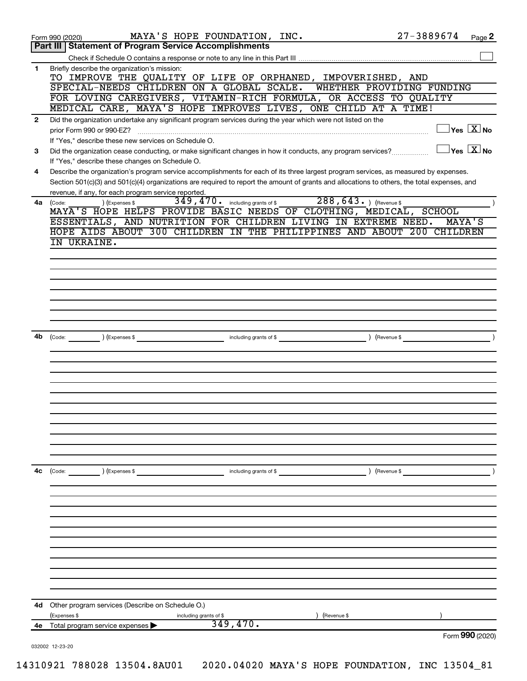| <b>Part III   Statement of Program Service Accomplishments</b><br>Briefly describe the organization's mission:<br>$\mathbf{1}$<br>TO IMPROVE THE QUALITY OF LIFE OF ORPHANED, IMPOVERISHED, AND<br>SPECIAL-NEEDS CHILDREN ON A GLOBAL SCALE.<br>WHETHER PROVIDING FUNDING<br>FOR LOVING CAREGIVERS, VITAMIN-RICH FORMULA, OR ACCESS TO QUALITY<br>MEDICAL CARE, MAYA'S HOPE IMPROVES LIVES, ONE CHILD AT A TIME!<br>Did the organization undertake any significant program services during the year which were not listed on the<br>$\mathbf{2}$<br>$\Box$ Yes $[\overline{\mathrm{X}}]$ No<br>prior Form 990 or 990-EZ?<br>If "Yes," describe these new services on Schedule O.<br>$\Box$ Yes $[\,\mathbf{X}\,]$ No<br>Did the organization cease conducting, or make significant changes in how it conducts, any program services?<br>3<br>If "Yes," describe these changes on Schedule O.<br>Describe the organization's program service accomplishments for each of its three largest program services, as measured by expenses.<br>4<br>Section 501(c)(3) and 501(c)(4) organizations are required to report the amount of grants and allocations to others, the total expenses, and<br>revenue, if any, for each program service reported.<br>288, 643. ) (Revenue \$<br>349, 470. including grants of \$<br>) (Expenses \$<br>4a<br>(Code:<br>MAYA'S HOPE HELPS PROVIDE BASIC NEEDS OF CLOTHING, MEDICAL, SCHOOL<br>ESSENTIALS, AND NUTRITION FOR CHILDREN LIVING IN EXTREME NEED.<br>MAYA'S<br>HOPE AIDS ABOUT 300 CHILDREN IN THE PHILIPPINES AND ABOUT 200 CHILDREN<br>IN UKRAINE.<br>including grants of \$<br>(Revenue \$<br>4b<br>$\left(\text{Code:} \right)$ $\left(\text{Expenses $}\right)$<br>4с<br>(Code: ) (Expenses \$<br>) (Revenue \$<br>including grants of \$<br>Other program services (Describe on Schedule O.)<br>4d<br>(Expenses \$<br>(Revenue \$<br>including grants of \$<br>349,470.<br>Total program service expenses<br>4е<br>Form 990 (2020)<br>032002 12-23-20 | MAYA'S HOPE FOUNDATION, INC.<br>Form 990 (2020) | 27-3889674<br>Page 2 |
|-----------------------------------------------------------------------------------------------------------------------------------------------------------------------------------------------------------------------------------------------------------------------------------------------------------------------------------------------------------------------------------------------------------------------------------------------------------------------------------------------------------------------------------------------------------------------------------------------------------------------------------------------------------------------------------------------------------------------------------------------------------------------------------------------------------------------------------------------------------------------------------------------------------------------------------------------------------------------------------------------------------------------------------------------------------------------------------------------------------------------------------------------------------------------------------------------------------------------------------------------------------------------------------------------------------------------------------------------------------------------------------------------------------------------------------------------------------------------------------------------------------------------------------------------------------------------------------------------------------------------------------------------------------------------------------------------------------------------------------------------------------------------------------------------------------------------------------------------------------------------------------------------------------------------------------------------------------------------------------------------------|-------------------------------------------------|----------------------|
|                                                                                                                                                                                                                                                                                                                                                                                                                                                                                                                                                                                                                                                                                                                                                                                                                                                                                                                                                                                                                                                                                                                                                                                                                                                                                                                                                                                                                                                                                                                                                                                                                                                                                                                                                                                                                                                                                                                                                                                                     |                                                 |                      |
|                                                                                                                                                                                                                                                                                                                                                                                                                                                                                                                                                                                                                                                                                                                                                                                                                                                                                                                                                                                                                                                                                                                                                                                                                                                                                                                                                                                                                                                                                                                                                                                                                                                                                                                                                                                                                                                                                                                                                                                                     |                                                 |                      |
|                                                                                                                                                                                                                                                                                                                                                                                                                                                                                                                                                                                                                                                                                                                                                                                                                                                                                                                                                                                                                                                                                                                                                                                                                                                                                                                                                                                                                                                                                                                                                                                                                                                                                                                                                                                                                                                                                                                                                                                                     |                                                 |                      |
|                                                                                                                                                                                                                                                                                                                                                                                                                                                                                                                                                                                                                                                                                                                                                                                                                                                                                                                                                                                                                                                                                                                                                                                                                                                                                                                                                                                                                                                                                                                                                                                                                                                                                                                                                                                                                                                                                                                                                                                                     |                                                 |                      |
|                                                                                                                                                                                                                                                                                                                                                                                                                                                                                                                                                                                                                                                                                                                                                                                                                                                                                                                                                                                                                                                                                                                                                                                                                                                                                                                                                                                                                                                                                                                                                                                                                                                                                                                                                                                                                                                                                                                                                                                                     |                                                 |                      |
|                                                                                                                                                                                                                                                                                                                                                                                                                                                                                                                                                                                                                                                                                                                                                                                                                                                                                                                                                                                                                                                                                                                                                                                                                                                                                                                                                                                                                                                                                                                                                                                                                                                                                                                                                                                                                                                                                                                                                                                                     |                                                 |                      |
|                                                                                                                                                                                                                                                                                                                                                                                                                                                                                                                                                                                                                                                                                                                                                                                                                                                                                                                                                                                                                                                                                                                                                                                                                                                                                                                                                                                                                                                                                                                                                                                                                                                                                                                                                                                                                                                                                                                                                                                                     |                                                 |                      |
|                                                                                                                                                                                                                                                                                                                                                                                                                                                                                                                                                                                                                                                                                                                                                                                                                                                                                                                                                                                                                                                                                                                                                                                                                                                                                                                                                                                                                                                                                                                                                                                                                                                                                                                                                                                                                                                                                                                                                                                                     |                                                 |                      |
|                                                                                                                                                                                                                                                                                                                                                                                                                                                                                                                                                                                                                                                                                                                                                                                                                                                                                                                                                                                                                                                                                                                                                                                                                                                                                                                                                                                                                                                                                                                                                                                                                                                                                                                                                                                                                                                                                                                                                                                                     |                                                 |                      |
|                                                                                                                                                                                                                                                                                                                                                                                                                                                                                                                                                                                                                                                                                                                                                                                                                                                                                                                                                                                                                                                                                                                                                                                                                                                                                                                                                                                                                                                                                                                                                                                                                                                                                                                                                                                                                                                                                                                                                                                                     |                                                 |                      |
|                                                                                                                                                                                                                                                                                                                                                                                                                                                                                                                                                                                                                                                                                                                                                                                                                                                                                                                                                                                                                                                                                                                                                                                                                                                                                                                                                                                                                                                                                                                                                                                                                                                                                                                                                                                                                                                                                                                                                                                                     |                                                 |                      |
|                                                                                                                                                                                                                                                                                                                                                                                                                                                                                                                                                                                                                                                                                                                                                                                                                                                                                                                                                                                                                                                                                                                                                                                                                                                                                                                                                                                                                                                                                                                                                                                                                                                                                                                                                                                                                                                                                                                                                                                                     |                                                 |                      |
|                                                                                                                                                                                                                                                                                                                                                                                                                                                                                                                                                                                                                                                                                                                                                                                                                                                                                                                                                                                                                                                                                                                                                                                                                                                                                                                                                                                                                                                                                                                                                                                                                                                                                                                                                                                                                                                                                                                                                                                                     |                                                 |                      |
|                                                                                                                                                                                                                                                                                                                                                                                                                                                                                                                                                                                                                                                                                                                                                                                                                                                                                                                                                                                                                                                                                                                                                                                                                                                                                                                                                                                                                                                                                                                                                                                                                                                                                                                                                                                                                                                                                                                                                                                                     |                                                 |                      |
|                                                                                                                                                                                                                                                                                                                                                                                                                                                                                                                                                                                                                                                                                                                                                                                                                                                                                                                                                                                                                                                                                                                                                                                                                                                                                                                                                                                                                                                                                                                                                                                                                                                                                                                                                                                                                                                                                                                                                                                                     |                                                 |                      |
|                                                                                                                                                                                                                                                                                                                                                                                                                                                                                                                                                                                                                                                                                                                                                                                                                                                                                                                                                                                                                                                                                                                                                                                                                                                                                                                                                                                                                                                                                                                                                                                                                                                                                                                                                                                                                                                                                                                                                                                                     |                                                 |                      |
|                                                                                                                                                                                                                                                                                                                                                                                                                                                                                                                                                                                                                                                                                                                                                                                                                                                                                                                                                                                                                                                                                                                                                                                                                                                                                                                                                                                                                                                                                                                                                                                                                                                                                                                                                                                                                                                                                                                                                                                                     |                                                 |                      |
|                                                                                                                                                                                                                                                                                                                                                                                                                                                                                                                                                                                                                                                                                                                                                                                                                                                                                                                                                                                                                                                                                                                                                                                                                                                                                                                                                                                                                                                                                                                                                                                                                                                                                                                                                                                                                                                                                                                                                                                                     |                                                 |                      |
|                                                                                                                                                                                                                                                                                                                                                                                                                                                                                                                                                                                                                                                                                                                                                                                                                                                                                                                                                                                                                                                                                                                                                                                                                                                                                                                                                                                                                                                                                                                                                                                                                                                                                                                                                                                                                                                                                                                                                                                                     |                                                 |                      |
|                                                                                                                                                                                                                                                                                                                                                                                                                                                                                                                                                                                                                                                                                                                                                                                                                                                                                                                                                                                                                                                                                                                                                                                                                                                                                                                                                                                                                                                                                                                                                                                                                                                                                                                                                                                                                                                                                                                                                                                                     |                                                 |                      |
|                                                                                                                                                                                                                                                                                                                                                                                                                                                                                                                                                                                                                                                                                                                                                                                                                                                                                                                                                                                                                                                                                                                                                                                                                                                                                                                                                                                                                                                                                                                                                                                                                                                                                                                                                                                                                                                                                                                                                                                                     |                                                 |                      |
|                                                                                                                                                                                                                                                                                                                                                                                                                                                                                                                                                                                                                                                                                                                                                                                                                                                                                                                                                                                                                                                                                                                                                                                                                                                                                                                                                                                                                                                                                                                                                                                                                                                                                                                                                                                                                                                                                                                                                                                                     |                                                 |                      |
|                                                                                                                                                                                                                                                                                                                                                                                                                                                                                                                                                                                                                                                                                                                                                                                                                                                                                                                                                                                                                                                                                                                                                                                                                                                                                                                                                                                                                                                                                                                                                                                                                                                                                                                                                                                                                                                                                                                                                                                                     |                                                 |                      |
|                                                                                                                                                                                                                                                                                                                                                                                                                                                                                                                                                                                                                                                                                                                                                                                                                                                                                                                                                                                                                                                                                                                                                                                                                                                                                                                                                                                                                                                                                                                                                                                                                                                                                                                                                                                                                                                                                                                                                                                                     |                                                 |                      |
|                                                                                                                                                                                                                                                                                                                                                                                                                                                                                                                                                                                                                                                                                                                                                                                                                                                                                                                                                                                                                                                                                                                                                                                                                                                                                                                                                                                                                                                                                                                                                                                                                                                                                                                                                                                                                                                                                                                                                                                                     |                                                 |                      |
|                                                                                                                                                                                                                                                                                                                                                                                                                                                                                                                                                                                                                                                                                                                                                                                                                                                                                                                                                                                                                                                                                                                                                                                                                                                                                                                                                                                                                                                                                                                                                                                                                                                                                                                                                                                                                                                                                                                                                                                                     |                                                 |                      |
|                                                                                                                                                                                                                                                                                                                                                                                                                                                                                                                                                                                                                                                                                                                                                                                                                                                                                                                                                                                                                                                                                                                                                                                                                                                                                                                                                                                                                                                                                                                                                                                                                                                                                                                                                                                                                                                                                                                                                                                                     |                                                 |                      |
|                                                                                                                                                                                                                                                                                                                                                                                                                                                                                                                                                                                                                                                                                                                                                                                                                                                                                                                                                                                                                                                                                                                                                                                                                                                                                                                                                                                                                                                                                                                                                                                                                                                                                                                                                                                                                                                                                                                                                                                                     |                                                 |                      |
|                                                                                                                                                                                                                                                                                                                                                                                                                                                                                                                                                                                                                                                                                                                                                                                                                                                                                                                                                                                                                                                                                                                                                                                                                                                                                                                                                                                                                                                                                                                                                                                                                                                                                                                                                                                                                                                                                                                                                                                                     |                                                 |                      |
|                                                                                                                                                                                                                                                                                                                                                                                                                                                                                                                                                                                                                                                                                                                                                                                                                                                                                                                                                                                                                                                                                                                                                                                                                                                                                                                                                                                                                                                                                                                                                                                                                                                                                                                                                                                                                                                                                                                                                                                                     |                                                 |                      |
|                                                                                                                                                                                                                                                                                                                                                                                                                                                                                                                                                                                                                                                                                                                                                                                                                                                                                                                                                                                                                                                                                                                                                                                                                                                                                                                                                                                                                                                                                                                                                                                                                                                                                                                                                                                                                                                                                                                                                                                                     |                                                 |                      |
|                                                                                                                                                                                                                                                                                                                                                                                                                                                                                                                                                                                                                                                                                                                                                                                                                                                                                                                                                                                                                                                                                                                                                                                                                                                                                                                                                                                                                                                                                                                                                                                                                                                                                                                                                                                                                                                                                                                                                                                                     |                                                 |                      |
|                                                                                                                                                                                                                                                                                                                                                                                                                                                                                                                                                                                                                                                                                                                                                                                                                                                                                                                                                                                                                                                                                                                                                                                                                                                                                                                                                                                                                                                                                                                                                                                                                                                                                                                                                                                                                                                                                                                                                                                                     |                                                 |                      |
|                                                                                                                                                                                                                                                                                                                                                                                                                                                                                                                                                                                                                                                                                                                                                                                                                                                                                                                                                                                                                                                                                                                                                                                                                                                                                                                                                                                                                                                                                                                                                                                                                                                                                                                                                                                                                                                                                                                                                                                                     |                                                 |                      |
|                                                                                                                                                                                                                                                                                                                                                                                                                                                                                                                                                                                                                                                                                                                                                                                                                                                                                                                                                                                                                                                                                                                                                                                                                                                                                                                                                                                                                                                                                                                                                                                                                                                                                                                                                                                                                                                                                                                                                                                                     |                                                 |                      |
|                                                                                                                                                                                                                                                                                                                                                                                                                                                                                                                                                                                                                                                                                                                                                                                                                                                                                                                                                                                                                                                                                                                                                                                                                                                                                                                                                                                                                                                                                                                                                                                                                                                                                                                                                                                                                                                                                                                                                                                                     |                                                 |                      |
|                                                                                                                                                                                                                                                                                                                                                                                                                                                                                                                                                                                                                                                                                                                                                                                                                                                                                                                                                                                                                                                                                                                                                                                                                                                                                                                                                                                                                                                                                                                                                                                                                                                                                                                                                                                                                                                                                                                                                                                                     |                                                 |                      |
|                                                                                                                                                                                                                                                                                                                                                                                                                                                                                                                                                                                                                                                                                                                                                                                                                                                                                                                                                                                                                                                                                                                                                                                                                                                                                                                                                                                                                                                                                                                                                                                                                                                                                                                                                                                                                                                                                                                                                                                                     |                                                 |                      |
|                                                                                                                                                                                                                                                                                                                                                                                                                                                                                                                                                                                                                                                                                                                                                                                                                                                                                                                                                                                                                                                                                                                                                                                                                                                                                                                                                                                                                                                                                                                                                                                                                                                                                                                                                                                                                                                                                                                                                                                                     |                                                 |                      |
|                                                                                                                                                                                                                                                                                                                                                                                                                                                                                                                                                                                                                                                                                                                                                                                                                                                                                                                                                                                                                                                                                                                                                                                                                                                                                                                                                                                                                                                                                                                                                                                                                                                                                                                                                                                                                                                                                                                                                                                                     |                                                 |                      |
|                                                                                                                                                                                                                                                                                                                                                                                                                                                                                                                                                                                                                                                                                                                                                                                                                                                                                                                                                                                                                                                                                                                                                                                                                                                                                                                                                                                                                                                                                                                                                                                                                                                                                                                                                                                                                                                                                                                                                                                                     |                                                 |                      |
|                                                                                                                                                                                                                                                                                                                                                                                                                                                                                                                                                                                                                                                                                                                                                                                                                                                                                                                                                                                                                                                                                                                                                                                                                                                                                                                                                                                                                                                                                                                                                                                                                                                                                                                                                                                                                                                                                                                                                                                                     |                                                 |                      |
|                                                                                                                                                                                                                                                                                                                                                                                                                                                                                                                                                                                                                                                                                                                                                                                                                                                                                                                                                                                                                                                                                                                                                                                                                                                                                                                                                                                                                                                                                                                                                                                                                                                                                                                                                                                                                                                                                                                                                                                                     |                                                 |                      |
|                                                                                                                                                                                                                                                                                                                                                                                                                                                                                                                                                                                                                                                                                                                                                                                                                                                                                                                                                                                                                                                                                                                                                                                                                                                                                                                                                                                                                                                                                                                                                                                                                                                                                                                                                                                                                                                                                                                                                                                                     |                                                 |                      |
|                                                                                                                                                                                                                                                                                                                                                                                                                                                                                                                                                                                                                                                                                                                                                                                                                                                                                                                                                                                                                                                                                                                                                                                                                                                                                                                                                                                                                                                                                                                                                                                                                                                                                                                                                                                                                                                                                                                                                                                                     |                                                 |                      |
|                                                                                                                                                                                                                                                                                                                                                                                                                                                                                                                                                                                                                                                                                                                                                                                                                                                                                                                                                                                                                                                                                                                                                                                                                                                                                                                                                                                                                                                                                                                                                                                                                                                                                                                                                                                                                                                                                                                                                                                                     |                                                 |                      |
|                                                                                                                                                                                                                                                                                                                                                                                                                                                                                                                                                                                                                                                                                                                                                                                                                                                                                                                                                                                                                                                                                                                                                                                                                                                                                                                                                                                                                                                                                                                                                                                                                                                                                                                                                                                                                                                                                                                                                                                                     |                                                 |                      |
|                                                                                                                                                                                                                                                                                                                                                                                                                                                                                                                                                                                                                                                                                                                                                                                                                                                                                                                                                                                                                                                                                                                                                                                                                                                                                                                                                                                                                                                                                                                                                                                                                                                                                                                                                                                                                                                                                                                                                                                                     |                                                 |                      |
|                                                                                                                                                                                                                                                                                                                                                                                                                                                                                                                                                                                                                                                                                                                                                                                                                                                                                                                                                                                                                                                                                                                                                                                                                                                                                                                                                                                                                                                                                                                                                                                                                                                                                                                                                                                                                                                                                                                                                                                                     |                                                 |                      |
|                                                                                                                                                                                                                                                                                                                                                                                                                                                                                                                                                                                                                                                                                                                                                                                                                                                                                                                                                                                                                                                                                                                                                                                                                                                                                                                                                                                                                                                                                                                                                                                                                                                                                                                                                                                                                                                                                                                                                                                                     |                                                 |                      |
|                                                                                                                                                                                                                                                                                                                                                                                                                                                                                                                                                                                                                                                                                                                                                                                                                                                                                                                                                                                                                                                                                                                                                                                                                                                                                                                                                                                                                                                                                                                                                                                                                                                                                                                                                                                                                                                                                                                                                                                                     |                                                 |                      |
|                                                                                                                                                                                                                                                                                                                                                                                                                                                                                                                                                                                                                                                                                                                                                                                                                                                                                                                                                                                                                                                                                                                                                                                                                                                                                                                                                                                                                                                                                                                                                                                                                                                                                                                                                                                                                                                                                                                                                                                                     |                                                 |                      |
|                                                                                                                                                                                                                                                                                                                                                                                                                                                                                                                                                                                                                                                                                                                                                                                                                                                                                                                                                                                                                                                                                                                                                                                                                                                                                                                                                                                                                                                                                                                                                                                                                                                                                                                                                                                                                                                                                                                                                                                                     |                                                 |                      |
|                                                                                                                                                                                                                                                                                                                                                                                                                                                                                                                                                                                                                                                                                                                                                                                                                                                                                                                                                                                                                                                                                                                                                                                                                                                                                                                                                                                                                                                                                                                                                                                                                                                                                                                                                                                                                                                                                                                                                                                                     |                                                 |                      |
|                                                                                                                                                                                                                                                                                                                                                                                                                                                                                                                                                                                                                                                                                                                                                                                                                                                                                                                                                                                                                                                                                                                                                                                                                                                                                                                                                                                                                                                                                                                                                                                                                                                                                                                                                                                                                                                                                                                                                                                                     |                                                 |                      |
|                                                                                                                                                                                                                                                                                                                                                                                                                                                                                                                                                                                                                                                                                                                                                                                                                                                                                                                                                                                                                                                                                                                                                                                                                                                                                                                                                                                                                                                                                                                                                                                                                                                                                                                                                                                                                                                                                                                                                                                                     |                                                 |                      |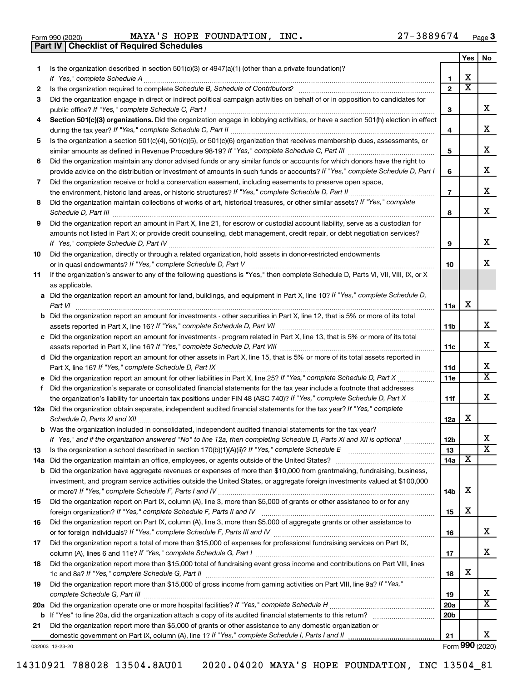|  | Form 990 (2020) |  |
|--|-----------------|--|

**Part IV Checklist of Required Schedules**

Form 990 (2020) **MAYA'S HOPE FOUNDATION, INC.**  $27-3889674$  Page

|          |                                                                                                                                                                                                                                                                                                                                                                      |                 | Yes | No.                     |
|----------|----------------------------------------------------------------------------------------------------------------------------------------------------------------------------------------------------------------------------------------------------------------------------------------------------------------------------------------------------------------------|-----------------|-----|-------------------------|
| 1        | Is the organization described in section $501(c)(3)$ or $4947(a)(1)$ (other than a private foundation)?                                                                                                                                                                                                                                                              |                 |     |                         |
|          | If "Yes," complete Schedule A                                                                                                                                                                                                                                                                                                                                        | 1               | х   |                         |
| 2        |                                                                                                                                                                                                                                                                                                                                                                      | $\mathbf{2}$    | х   |                         |
| 3        | Did the organization engage in direct or indirect political campaign activities on behalf of or in opposition to candidates for                                                                                                                                                                                                                                      |                 |     |                         |
|          | public office? If "Yes," complete Schedule C, Part I                                                                                                                                                                                                                                                                                                                 | З               |     | x                       |
| 4        | Section 501(c)(3) organizations. Did the organization engage in lobbying activities, or have a section 501(h) election in effect                                                                                                                                                                                                                                     |                 |     |                         |
|          |                                                                                                                                                                                                                                                                                                                                                                      | 4               |     | х                       |
| 5        | Is the organization a section 501(c)(4), 501(c)(5), or 501(c)(6) organization that receives membership dues, assessments, or                                                                                                                                                                                                                                         |                 |     |                         |
|          |                                                                                                                                                                                                                                                                                                                                                                      | 5               |     | х                       |
| 6        | Did the organization maintain any donor advised funds or any similar funds or accounts for which donors have the right to                                                                                                                                                                                                                                            |                 |     |                         |
|          | provide advice on the distribution or investment of amounts in such funds or accounts? If "Yes," complete Schedule D, Part I                                                                                                                                                                                                                                         | 6               |     | х                       |
| 7        | Did the organization receive or hold a conservation easement, including easements to preserve open space,                                                                                                                                                                                                                                                            |                 |     | х                       |
|          | Did the organization maintain collections of works of art, historical treasures, or other similar assets? If "Yes," complete                                                                                                                                                                                                                                         | $\overline{7}$  |     |                         |
| 8        |                                                                                                                                                                                                                                                                                                                                                                      | 8               |     | х                       |
| 9        | Schedule D, Part III <b>Marting Communities</b> Contract and Contract and Contract and Contract and Contract and Contract and Contract and Contract and Contract and Contract and Contract and Contract and Contract and Contract a<br>Did the organization report an amount in Part X, line 21, for escrow or custodial account liability, serve as a custodian for |                 |     |                         |
|          | amounts not listed in Part X; or provide credit counseling, debt management, credit repair, or debt negotiation services?                                                                                                                                                                                                                                            |                 |     |                         |
|          |                                                                                                                                                                                                                                                                                                                                                                      | 9               |     | х                       |
| 10       | Did the organization, directly or through a related organization, hold assets in donor-restricted endowments                                                                                                                                                                                                                                                         |                 |     |                         |
|          |                                                                                                                                                                                                                                                                                                                                                                      | 10              |     | x                       |
| 11       | If the organization's answer to any of the following questions is "Yes," then complete Schedule D, Parts VI, VII, VIII, IX, or X                                                                                                                                                                                                                                     |                 |     |                         |
|          | as applicable.                                                                                                                                                                                                                                                                                                                                                       |                 |     |                         |
|          | a Did the organization report an amount for land, buildings, and equipment in Part X, line 10? If "Yes," complete Schedule D,                                                                                                                                                                                                                                        |                 |     |                         |
|          |                                                                                                                                                                                                                                                                                                                                                                      | 11a             | х   |                         |
|          | <b>b</b> Did the organization report an amount for investments - other securities in Part X, line 12, that is 5% or more of its total                                                                                                                                                                                                                                |                 |     |                         |
|          |                                                                                                                                                                                                                                                                                                                                                                      | 11 <sub>b</sub> |     | x                       |
|          | c Did the organization report an amount for investments - program related in Part X, line 13, that is 5% or more of its total                                                                                                                                                                                                                                        |                 |     |                         |
|          |                                                                                                                                                                                                                                                                                                                                                                      | 11c             |     | x                       |
|          | d Did the organization report an amount for other assets in Part X, line 15, that is 5% or more of its total assets reported in                                                                                                                                                                                                                                      |                 |     |                         |
|          |                                                                                                                                                                                                                                                                                                                                                                      | 11d             |     | х                       |
|          |                                                                                                                                                                                                                                                                                                                                                                      | 11e             |     | $\overline{\textbf{X}}$ |
|          | f Did the organization's separate or consolidated financial statements for the tax year include a footnote that addresses                                                                                                                                                                                                                                            |                 |     |                         |
|          | the organization's liability for uncertain tax positions under FIN 48 (ASC 740)? If "Yes," complete Schedule D, Part X                                                                                                                                                                                                                                               | 11f             |     | х                       |
|          | 12a Did the organization obtain separate, independent audited financial statements for the tax year? If "Yes," complete                                                                                                                                                                                                                                              |                 |     |                         |
|          |                                                                                                                                                                                                                                                                                                                                                                      | 12a             | х   |                         |
|          | <b>b</b> Was the organization included in consolidated, independent audited financial statements for the tax year?                                                                                                                                                                                                                                                   |                 |     | х                       |
|          | If "Yes," and if the organization answered "No" to line 12a, then completing Schedule D, Parts XI and XII is optional                                                                                                                                                                                                                                                | 12 <sub>b</sub> |     | $\overline{\text{x}}$   |
| 13       |                                                                                                                                                                                                                                                                                                                                                                      | 13<br>14a       | х   |                         |
| 14a<br>b | Did the organization have aggregate revenues or expenses of more than \$10,000 from grantmaking, fundraising, business,                                                                                                                                                                                                                                              |                 |     |                         |
|          | investment, and program service activities outside the United States, or aggregate foreign investments valued at \$100,000                                                                                                                                                                                                                                           |                 |     |                         |
|          |                                                                                                                                                                                                                                                                                                                                                                      | 14b             | х   |                         |
| 15       | Did the organization report on Part IX, column (A), line 3, more than \$5,000 of grants or other assistance to or for any                                                                                                                                                                                                                                            |                 |     |                         |
|          |                                                                                                                                                                                                                                                                                                                                                                      | 15              | х   |                         |
| 16       | Did the organization report on Part IX, column (A), line 3, more than \$5,000 of aggregate grants or other assistance to                                                                                                                                                                                                                                             |                 |     |                         |
|          |                                                                                                                                                                                                                                                                                                                                                                      | 16              |     | х                       |
| 17       | Did the organization report a total of more than \$15,000 of expenses for professional fundraising services on Part IX,                                                                                                                                                                                                                                              |                 |     |                         |
|          |                                                                                                                                                                                                                                                                                                                                                                      | 17              |     | x                       |
| 18       | Did the organization report more than \$15,000 total of fundraising event gross income and contributions on Part VIII, lines                                                                                                                                                                                                                                         |                 |     |                         |
|          |                                                                                                                                                                                                                                                                                                                                                                      | 18              | х   |                         |
| 19       | Did the organization report more than \$15,000 of gross income from gaming activities on Part VIII, line 9a? If "Yes,"                                                                                                                                                                                                                                               |                 |     |                         |
|          |                                                                                                                                                                                                                                                                                                                                                                      | 19              |     | x                       |
|          |                                                                                                                                                                                                                                                                                                                                                                      | 20a             |     | $\overline{\text{X}}$   |
| b        |                                                                                                                                                                                                                                                                                                                                                                      | 20 <sub>b</sub> |     |                         |
| 21       | Did the organization report more than \$5,000 of grants or other assistance to any domestic organization or                                                                                                                                                                                                                                                          |                 |     |                         |
|          |                                                                                                                                                                                                                                                                                                                                                                      | 21              |     | x                       |
|          | 032003 12-23-20                                                                                                                                                                                                                                                                                                                                                      |                 |     | Form 990 (2020)         |

Form (2020) **990**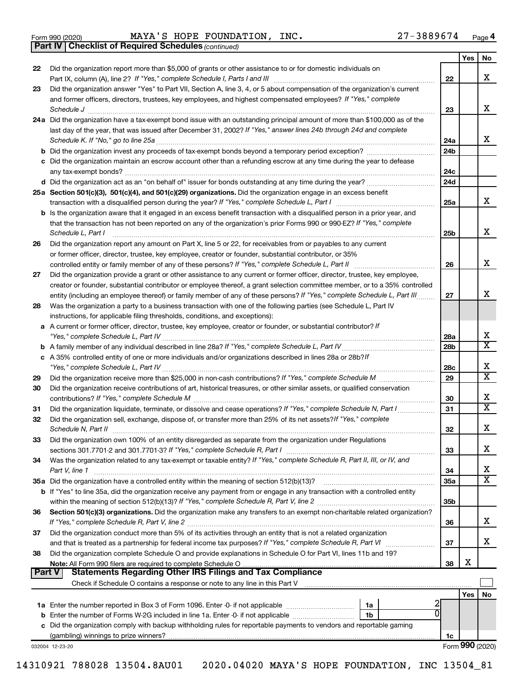|  | Form 990 (2020) |
|--|-----------------|
|  |                 |

Form 990 (2020) **MAYA'S HOPE FOUNDATION, INC.**  $27-3889674$  Page

*(continued)* **Part IV Checklist of Required Schedules**

|        |                                                                                                                                                                                                                                                                                                                                                                                                                                                                                                                         |                        | Yes | No                      |
|--------|-------------------------------------------------------------------------------------------------------------------------------------------------------------------------------------------------------------------------------------------------------------------------------------------------------------------------------------------------------------------------------------------------------------------------------------------------------------------------------------------------------------------------|------------------------|-----|-------------------------|
| 22     | Did the organization report more than \$5,000 of grants or other assistance to or for domestic individuals on                                                                                                                                                                                                                                                                                                                                                                                                           |                        |     |                         |
|        |                                                                                                                                                                                                                                                                                                                                                                                                                                                                                                                         | 22                     |     | x                       |
| 23     | Did the organization answer "Yes" to Part VII, Section A, line 3, 4, or 5 about compensation of the organization's current                                                                                                                                                                                                                                                                                                                                                                                              |                        |     |                         |
|        | and former officers, directors, trustees, key employees, and highest compensated employees? If "Yes," complete                                                                                                                                                                                                                                                                                                                                                                                                          | 23                     |     | x                       |
|        | $\textit{Schedule J} \textit{ \textbf{} \textbf{} \textbf{} \textbf{} \textbf{} \textbf{} \textbf{} \textbf{} \textbf{} \textbf{} \textbf{} \textbf{} \textbf{} \textbf{} \textbf{} \textbf{} \textbf{} \textbf{} \textbf{} \textbf{} \textbf{} \textbf{} \textbf{} \textbf{} \textbf{} \textbf{} \textbf{} \textbf{} \textbf{} \textbf{} \textbf{} \textbf{} \textbf{} \textbf{} \text$<br>24a Did the organization have a tax-exempt bond issue with an outstanding principal amount of more than \$100,000 as of the |                        |     |                         |
|        | last day of the year, that was issued after December 31, 2002? If "Yes," answer lines 24b through 24d and complete                                                                                                                                                                                                                                                                                                                                                                                                      |                        |     |                         |
|        | Schedule K. If "No," go to line 25a                                                                                                                                                                                                                                                                                                                                                                                                                                                                                     | 24a                    |     | x                       |
|        |                                                                                                                                                                                                                                                                                                                                                                                                                                                                                                                         | 24 <sub>b</sub>        |     |                         |
|        | c Did the organization maintain an escrow account other than a refunding escrow at any time during the year to defease                                                                                                                                                                                                                                                                                                                                                                                                  |                        |     |                         |
|        |                                                                                                                                                                                                                                                                                                                                                                                                                                                                                                                         | 24c                    |     |                         |
|        |                                                                                                                                                                                                                                                                                                                                                                                                                                                                                                                         | 24d                    |     |                         |
|        | 25a Section 501(c)(3), 501(c)(4), and 501(c)(29) organizations. Did the organization engage in an excess benefit                                                                                                                                                                                                                                                                                                                                                                                                        |                        |     |                         |
|        |                                                                                                                                                                                                                                                                                                                                                                                                                                                                                                                         | 25a                    |     | x                       |
|        | b Is the organization aware that it engaged in an excess benefit transaction with a disqualified person in a prior year, and                                                                                                                                                                                                                                                                                                                                                                                            |                        |     |                         |
|        | that the transaction has not been reported on any of the organization's prior Forms 990 or 990-EZ? If "Yes," complete<br>Schedule L, Part I                                                                                                                                                                                                                                                                                                                                                                             | 25b                    |     | х                       |
| 26     | Did the organization report any amount on Part X, line 5 or 22, for receivables from or payables to any current                                                                                                                                                                                                                                                                                                                                                                                                         |                        |     |                         |
|        | or former officer, director, trustee, key employee, creator or founder, substantial contributor, or 35%                                                                                                                                                                                                                                                                                                                                                                                                                 |                        |     |                         |
|        |                                                                                                                                                                                                                                                                                                                                                                                                                                                                                                                         | 26                     |     | х                       |
| 27     | Did the organization provide a grant or other assistance to any current or former officer, director, trustee, key employee,                                                                                                                                                                                                                                                                                                                                                                                             |                        |     |                         |
|        | creator or founder, substantial contributor or employee thereof, a grant selection committee member, or to a 35% controlled                                                                                                                                                                                                                                                                                                                                                                                             |                        |     |                         |
|        | entity (including an employee thereof) or family member of any of these persons? If "Yes," complete Schedule L, Part III                                                                                                                                                                                                                                                                                                                                                                                                | 27                     |     | х                       |
| 28     | Was the organization a party to a business transaction with one of the following parties (see Schedule L, Part IV                                                                                                                                                                                                                                                                                                                                                                                                       |                        |     |                         |
|        | instructions, for applicable filing thresholds, conditions, and exceptions):                                                                                                                                                                                                                                                                                                                                                                                                                                            |                        |     |                         |
|        | a A current or former officer, director, trustee, key employee, creator or founder, or substantial contributor? If                                                                                                                                                                                                                                                                                                                                                                                                      |                        |     | х                       |
|        |                                                                                                                                                                                                                                                                                                                                                                                                                                                                                                                         | 28a<br>28 <sub>b</sub> |     | $\overline{\textbf{X}}$ |
|        | c A 35% controlled entity of one or more individuals and/or organizations described in lines 28a or 28b?If                                                                                                                                                                                                                                                                                                                                                                                                              |                        |     |                         |
|        |                                                                                                                                                                                                                                                                                                                                                                                                                                                                                                                         | 28c                    |     | х                       |
| 29     |                                                                                                                                                                                                                                                                                                                                                                                                                                                                                                                         | 29                     |     | $\overline{\text{x}}$   |
| 30     | Did the organization receive contributions of art, historical treasures, or other similar assets, or qualified conservation                                                                                                                                                                                                                                                                                                                                                                                             |                        |     |                         |
|        |                                                                                                                                                                                                                                                                                                                                                                                                                                                                                                                         | 30                     |     | х                       |
| 31     | Did the organization liquidate, terminate, or dissolve and cease operations? If "Yes," complete Schedule N, Part I                                                                                                                                                                                                                                                                                                                                                                                                      | 31                     |     | $\overline{\textbf{X}}$ |
| 32     | Did the organization sell, exchange, dispose of, or transfer more than 25% of its net assets? If "Yes," complete                                                                                                                                                                                                                                                                                                                                                                                                        |                        |     |                         |
|        | Schedule N, Part II                                                                                                                                                                                                                                                                                                                                                                                                                                                                                                     | 32                     |     | х                       |
| 33     | Did the organization own 100% of an entity disregarded as separate from the organization under Regulations                                                                                                                                                                                                                                                                                                                                                                                                              |                        |     |                         |
|        |                                                                                                                                                                                                                                                                                                                                                                                                                                                                                                                         | 33                     |     | х                       |
| 34     | Was the organization related to any tax-exempt or taxable entity? If "Yes," complete Schedule R, Part II, III, or IV, and                                                                                                                                                                                                                                                                                                                                                                                               |                        |     | х                       |
|        | Part V, line 1                                                                                                                                                                                                                                                                                                                                                                                                                                                                                                          | 34<br>35a              |     | $\overline{\text{X}}$   |
|        | b If "Yes" to line 35a, did the organization receive any payment from or engage in any transaction with a controlled entity                                                                                                                                                                                                                                                                                                                                                                                             |                        |     |                         |
|        |                                                                                                                                                                                                                                                                                                                                                                                                                                                                                                                         | 35 <sub>b</sub>        |     |                         |
| 36     | Section 501(c)(3) organizations. Did the organization make any transfers to an exempt non-charitable related organization?                                                                                                                                                                                                                                                                                                                                                                                              |                        |     |                         |
|        |                                                                                                                                                                                                                                                                                                                                                                                                                                                                                                                         | 36                     |     | х                       |
| 37     | Did the organization conduct more than 5% of its activities through an entity that is not a related organization                                                                                                                                                                                                                                                                                                                                                                                                        |                        |     |                         |
|        | and that is treated as a partnership for federal income tax purposes? If "Yes," complete Schedule R, Part VI                                                                                                                                                                                                                                                                                                                                                                                                            | 37                     |     | x                       |
| 38     | Did the organization complete Schedule O and provide explanations in Schedule O for Part VI, lines 11b and 19?                                                                                                                                                                                                                                                                                                                                                                                                          |                        |     |                         |
| Part V |                                                                                                                                                                                                                                                                                                                                                                                                                                                                                                                         | 38                     | х   |                         |
|        | Statements Regarding Other IRS Filings and Tax Compliance                                                                                                                                                                                                                                                                                                                                                                                                                                                               |                        |     |                         |
|        |                                                                                                                                                                                                                                                                                                                                                                                                                                                                                                                         |                        | Yes | No                      |
|        | 1a                                                                                                                                                                                                                                                                                                                                                                                                                                                                                                                      |                        |     |                         |
|        | 1b                                                                                                                                                                                                                                                                                                                                                                                                                                                                                                                      |                        |     |                         |
|        | c Did the organization comply with backup withholding rules for reportable payments to vendors and reportable gaming                                                                                                                                                                                                                                                                                                                                                                                                    |                        |     |                         |
|        |                                                                                                                                                                                                                                                                                                                                                                                                                                                                                                                         | 1c                     |     |                         |
|        | 032004 12-23-20                                                                                                                                                                                                                                                                                                                                                                                                                                                                                                         |                        |     | Form 990 (2020)         |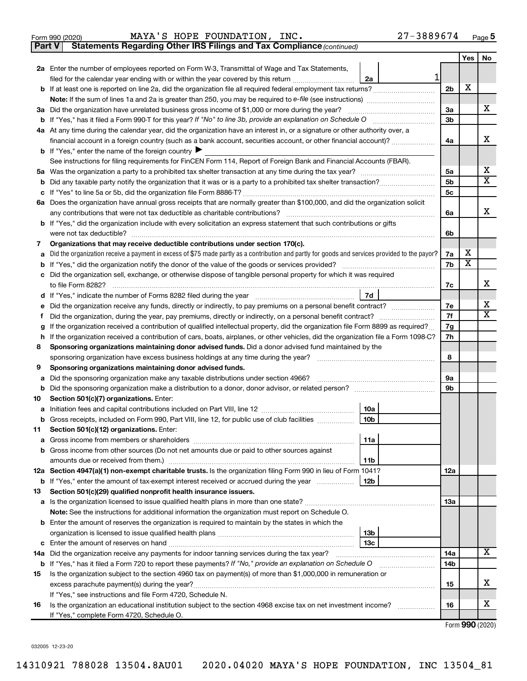|  | Form 990 (2020) |
|--|-----------------|
|  |                 |

**Part V** Statements Regarding Other IRS Filings and Tax Compliance (continued)

|    |                                                                                                                                                                                             |                 |   |                | Yes          | No                      |
|----|---------------------------------------------------------------------------------------------------------------------------------------------------------------------------------------------|-----------------|---|----------------|--------------|-------------------------|
|    | 2a Enter the number of employees reported on Form W-3, Transmittal of Wage and Tax Statements,                                                                                              |                 |   |                |              |                         |
|    | filed for the calendar year ending with or within the year covered by this return <i>[[[[[[[[[[[[[[[]]]]</i> ]]                                                                             | 2a              | 1 |                |              |                         |
| b  |                                                                                                                                                                                             |                 |   | 2 <sub>b</sub> | x            |                         |
|    |                                                                                                                                                                                             |                 |   |                |              |                         |
|    | 3a Did the organization have unrelated business gross income of \$1,000 or more during the year?                                                                                            |                 |   | 3a             |              | X                       |
| b  | If "Yes," has it filed a Form 990-T for this year? If "No" to line 3b, provide an explanation on Schedule O                                                                                 |                 |   | 3b             |              |                         |
|    | 4a At any time during the calendar year, did the organization have an interest in, or a signature or other authority over, a                                                                |                 |   |                |              |                         |
|    | financial account in a foreign country (such as a bank account, securities account, or other financial account)?                                                                            |                 |   | 4a             |              | х                       |
|    | <b>b</b> If "Yes," enter the name of the foreign country $\blacktriangleright$                                                                                                              |                 |   |                |              |                         |
|    | See instructions for filing requirements for FinCEN Form 114, Report of Foreign Bank and Financial Accounts (FBAR).                                                                         |                 |   |                |              |                         |
| 5а |                                                                                                                                                                                             |                 |   | 5a             |              | x                       |
| b  |                                                                                                                                                                                             |                 |   | 5 <sub>b</sub> |              | $\overline{\mathtt{x}}$ |
| с  |                                                                                                                                                                                             |                 |   | 5 <sub>c</sub> |              |                         |
|    | 6a Does the organization have annual gross receipts that are normally greater than \$100,000, and did the organization solicit                                                              |                 |   |                |              |                         |
|    | any contributions that were not tax deductible as charitable contributions?                                                                                                                 |                 |   | 6a             |              | X                       |
|    | <b>b</b> If "Yes," did the organization include with every solicitation an express statement that such contributions or gifts                                                               |                 |   |                |              |                         |
|    | were not tax deductible?                                                                                                                                                                    |                 |   | 6b             |              |                         |
| 7  | Organizations that may receive deductible contributions under section 170(c).                                                                                                               |                 |   |                | x            |                         |
| а  | Did the organization receive a payment in excess of \$75 made partly as a contribution and partly for goods and services provided to the payor?                                             |                 |   | 7a             | X            |                         |
| b  | Did the organization sell, exchange, or otherwise dispose of tangible personal property for which it was required                                                                           |                 |   | 7b             |              |                         |
| с  |                                                                                                                                                                                             |                 |   | 7c             |              | x                       |
| d  |                                                                                                                                                                                             | 7d              |   |                |              |                         |
| е  | Did the organization receive any funds, directly or indirectly, to pay premiums on a personal benefit contract?                                                                             |                 |   | 7е             |              | x                       |
| Ť. | Did the organization, during the year, pay premiums, directly or indirectly, on a personal benefit contract?                                                                                |                 |   | 7f             |              | X.                      |
| g  | If the organization received a contribution of qualified intellectual property, did the organization file Form 8899 as required?                                                            |                 |   | 7g             |              |                         |
| h  | If the organization received a contribution of cars, boats, airplanes, or other vehicles, did the organization file a Form 1098-C?                                                          |                 |   | 7h             |              |                         |
| 8  | Sponsoring organizations maintaining donor advised funds. Did a donor advised fund maintained by the                                                                                        |                 |   |                |              |                         |
|    | sponsoring organization have excess business holdings at any time during the year?                                                                                                          |                 |   | 8              |              |                         |
| 9  | Sponsoring organizations maintaining donor advised funds.                                                                                                                                   |                 |   |                |              |                         |
| а  | Did the sponsoring organization make any taxable distributions under section 4966?                                                                                                          |                 |   | 9а             |              |                         |
| b  |                                                                                                                                                                                             |                 |   | 9b             |              |                         |
| 10 | Section 501(c)(7) organizations. Enter:                                                                                                                                                     |                 |   |                |              |                         |
| а  | Initiation fees and capital contributions included on Part VIII, line 12 <i>maching incontraction</i> test                                                                                  | 10a             |   |                |              |                         |
|    | b Gross receipts, included on Form 990, Part VIII, line 12, for public use of club facilities                                                                                               | 10 <sub>b</sub> |   |                |              |                         |
| 11 | Section 501(c)(12) organizations. Enter:                                                                                                                                                    |                 |   |                |              |                         |
|    | <b>a</b> Gross income from members or shareholders                                                                                                                                          | 11a             |   |                |              |                         |
|    | <b>b</b> Gross income from other sources (Do not net amounts due or paid to other sources against                                                                                           |                 |   |                |              |                         |
|    |                                                                                                                                                                                             | 11b             |   |                |              |                         |
|    | 12a Section 4947(a)(1) non-exempt charitable trusts. Is the organization filing Form 990 in lieu of Form 1041?                                                                              |                 |   | 12a            |              |                         |
|    | <b>b</b> If "Yes," enter the amount of tax-exempt interest received or accrued during the year                                                                                              | 12b             |   |                |              |                         |
| 13 | Section 501(c)(29) qualified nonprofit health insurance issuers.                                                                                                                            |                 |   |                |              |                         |
|    | a Is the organization licensed to issue qualified health plans in more than one state?<br>Note: See the instructions for additional information the organization must report on Schedule O. |                 |   | 13a            |              |                         |
|    | Enter the amount of reserves the organization is required to maintain by the states in which the                                                                                            |                 |   |                |              |                         |
| b  |                                                                                                                                                                                             | 13 <sub>b</sub> |   |                |              |                         |
| c  |                                                                                                                                                                                             | 13с             |   |                |              |                         |
|    | 14a Did the organization receive any payments for indoor tanning services during the tax year?                                                                                              |                 |   | 14a            |              | x                       |
|    | <b>b</b> If "Yes," has it filed a Form 720 to report these payments? If "No," provide an explanation on Schedule O                                                                          |                 |   | 14b            |              |                         |
| 15 | Is the organization subject to the section 4960 tax on payment(s) of more than \$1,000,000 in remuneration or                                                                               |                 |   |                |              |                         |
|    | excess parachute payment(s) during the year?                                                                                                                                                |                 |   | 15             |              | x                       |
|    | If "Yes," see instructions and file Form 4720, Schedule N.                                                                                                                                  |                 |   |                |              |                         |
| 16 | Is the organization an educational institution subject to the section 4968 excise tax on net investment income?                                                                             |                 |   | 16             |              | x                       |
|    | If "Yes," complete Form 4720, Schedule O.                                                                                                                                                   |                 |   |                |              |                         |
|    |                                                                                                                                                                                             |                 |   |                | $\mathbf{a}$ |                         |

Form (2020) **990**

032005 12-23-20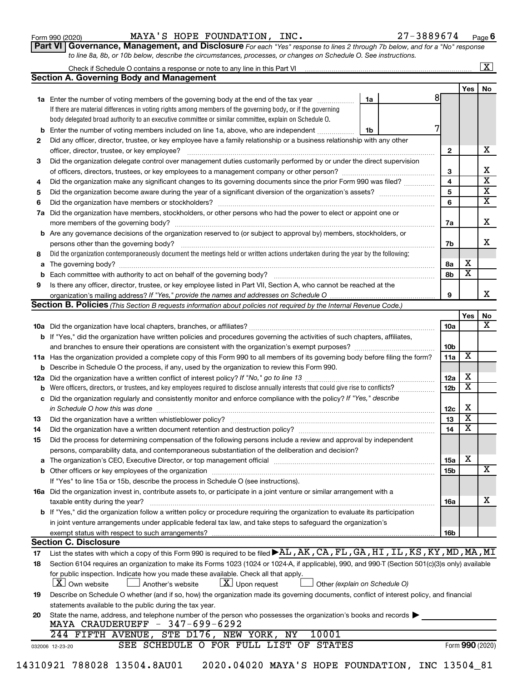| Form 990 (2020) |
|-----------------|
|-----------------|

Form 990 (2020) **MAYA'S HOPE FOUNDATION, INC.**  $27-3889674$  Page

**Part VI** Governance, Management, and Disclosure For each "Yes" response to lines 2 through 7b below, and for a "No" response *to line 8a, 8b, or 10b below, describe the circumstances, processes, or changes on Schedule O. See instructions.*

|          |                                                                                                                                                                                                                                |                               |   |                         |                              | $\overline{\text{X}}$   |
|----------|--------------------------------------------------------------------------------------------------------------------------------------------------------------------------------------------------------------------------------|-------------------------------|---|-------------------------|------------------------------|-------------------------|
|          | <b>Section A. Governing Body and Management</b>                                                                                                                                                                                |                               |   |                         |                              |                         |
|          |                                                                                                                                                                                                                                |                               |   |                         | Yes                          | No                      |
|          | 1a Enter the number of voting members of the governing body at the end of the tax year                                                                                                                                         | 1a                            | 8 |                         |                              |                         |
|          | If there are material differences in voting rights among members of the governing body, or if the governing                                                                                                                    |                               |   |                         |                              |                         |
|          | body delegated broad authority to an executive committee or similar committee, explain on Schedule O.                                                                                                                          |                               |   |                         |                              |                         |
| b        | Enter the number of voting members included on line 1a, above, who are independent                                                                                                                                             | 1b                            |   |                         |                              |                         |
| 2        | Did any officer, director, trustee, or key employee have a family relationship or a business relationship with any other                                                                                                       |                               |   |                         |                              |                         |
|          |                                                                                                                                                                                                                                |                               |   | $\mathbf{2}$            |                              | x                       |
| 3        | Did the organization delegate control over management duties customarily performed by or under the direct supervision                                                                                                          |                               |   |                         |                              |                         |
|          |                                                                                                                                                                                                                                |                               |   | 3                       |                              | x                       |
| 4        | Did the organization make any significant changes to its governing documents since the prior Form 990 was filed?                                                                                                               |                               |   | $\overline{\mathbf{4}}$ |                              | $\overline{\textbf{x}}$ |
| 5        |                                                                                                                                                                                                                                |                               |   | 5                       |                              | $\overline{\textbf{x}}$ |
| 6        |                                                                                                                                                                                                                                |                               |   | 6                       |                              | $\overline{\textbf{x}}$ |
|          | 7a Did the organization have members, stockholders, or other persons who had the power to elect or appoint one or                                                                                                              |                               |   |                         |                              |                         |
|          |                                                                                                                                                                                                                                |                               |   | 7a                      |                              | х                       |
|          | <b>b</b> Are any governance decisions of the organization reserved to (or subject to approval by) members, stockholders, or                                                                                                    |                               |   |                         |                              |                         |
|          | persons other than the governing body?                                                                                                                                                                                         |                               |   | 7b                      |                              | x.                      |
| 8        | Did the organization contemporaneously document the meetings held or written actions undertaken during the year by the following:                                                                                              |                               |   |                         |                              |                         |
| a        |                                                                                                                                                                                                                                |                               |   | 8а                      | х                            |                         |
| b        |                                                                                                                                                                                                                                |                               |   | 8b                      | $\overline{\textbf{x}}$      |                         |
| 9        | Is there any officer, director, trustee, or key employee listed in Part VII, Section A, who cannot be reached at the                                                                                                           |                               |   |                         |                              |                         |
|          |                                                                                                                                                                                                                                |                               |   | 9                       |                              | x                       |
|          | Section B. Policies (This Section B requests information about policies not required by the Internal Revenue Code.)                                                                                                            |                               |   |                         |                              |                         |
|          |                                                                                                                                                                                                                                |                               |   |                         | Yes                          | No.                     |
|          |                                                                                                                                                                                                                                |                               |   | 10a                     |                              | $\overline{\mathbf{X}}$ |
|          | b If "Yes," did the organization have written policies and procedures governing the activities of such chapters, affiliates,                                                                                                   |                               |   |                         |                              |                         |
|          | and branches to ensure their operations are consistent with the organization's exempt purposes? www.www.www.www.                                                                                                               |                               |   | 10 <sub>b</sub>         | $\overline{\mathbf{X}}$      |                         |
|          | 11a Has the organization provided a complete copy of this Form 990 to all members of its governing body before filing the form?                                                                                                |                               |   | 11a                     |                              |                         |
| b        | Describe in Schedule O the process, if any, used by the organization to review this Form 990.                                                                                                                                  |                               |   |                         |                              |                         |
| 12a      |                                                                                                                                                                                                                                |                               |   | 12a                     | х<br>$\overline{\textbf{x}}$ |                         |
| b        | Were officers, directors, or trustees, and key employees required to disclose annually interests that could give rise to conflicts?                                                                                            |                               |   | 12 <sub>b</sub>         |                              |                         |
| c        | Did the organization regularly and consistently monitor and enforce compliance with the policy? If "Yes," describe                                                                                                             |                               |   |                         | х                            |                         |
|          |                                                                                                                                                                                                                                |                               |   | 12c<br>13               | $\overline{\texttt{x}}$      |                         |
| 13<br>14 | Did the organization have a written document retention and destruction policy? [11] manufaction manufaction in                                                                                                                 |                               |   | 14                      | $\overline{\textbf{x}}$      |                         |
| 15       | Did the process for determining compensation of the following persons include a review and approval by independent                                                                                                             |                               |   |                         |                              |                         |
|          | persons, comparability data, and contemporaneous substantiation of the deliberation and decision?                                                                                                                              |                               |   |                         |                              |                         |
|          | The organization's CEO, Executive Director, or top management official manufactured content of the organization's CEO, Executive Director, or top management official manufactured content of the state of the state of the st |                               |   | 15a                     | х                            |                         |
|          |                                                                                                                                                                                                                                |                               |   | 15b                     |                              | $\overline{\text{X}}$   |
|          | If "Yes" to line 15a or 15b, describe the process in Schedule O (see instructions).                                                                                                                                            |                               |   |                         |                              |                         |
|          | 16a Did the organization invest in, contribute assets to, or participate in a joint venture or similar arrangement with a                                                                                                      |                               |   |                         |                              |                         |
|          | taxable entity during the year?                                                                                                                                                                                                |                               |   | 16a                     |                              | х                       |
|          | b If "Yes," did the organization follow a written policy or procedure requiring the organization to evaluate its participation                                                                                                 |                               |   |                         |                              |                         |
|          | in joint venture arrangements under applicable federal tax law, and take steps to safeguard the organization's                                                                                                                 |                               |   |                         |                              |                         |
|          | exempt status with respect to such arrangements?                                                                                                                                                                               |                               |   | 16b                     |                              |                         |
|          | <b>Section C. Disclosure</b>                                                                                                                                                                                                   |                               |   |                         |                              |                         |
| 17       | List the states with which a copy of this Form 990 is required to be filed <b>&gt;AL, AK, CA, FL, GA, HI, IL, KS, KY, MD, MA, MI</b>                                                                                           |                               |   |                         |                              |                         |
| 18       | Section 6104 requires an organization to make its Forms 1023 (1024 or 1024-A, if applicable), 990, and 990-T (Section 501(c)(3)s only) available                                                                               |                               |   |                         |                              |                         |
|          | for public inspection. Indicate how you made these available. Check all that apply.                                                                                                                                            |                               |   |                         |                              |                         |
|          | X   Own website<br>$ \underline{X} $ Upon request<br>Another's website                                                                                                                                                         | Other (explain on Schedule O) |   |                         |                              |                         |
| 19       | Describe on Schedule O whether (and if so, how) the organization made its governing documents, conflict of interest policy, and financial                                                                                      |                               |   |                         |                              |                         |
|          | statements available to the public during the tax year.                                                                                                                                                                        |                               |   |                         |                              |                         |
| 20       | State the name, address, and telephone number of the person who possesses the organization's books and records                                                                                                                 |                               |   |                         |                              |                         |
|          | MAYA CRAUDERUEFF $-347-699-6292$<br>244 FIFTH AVENUE, STE D176, NEW YORK, NY<br>10001                                                                                                                                          |                               |   |                         |                              |                         |
|          | SEE SCHEDULE O FOR FULL LIST OF STATES                                                                                                                                                                                         |                               |   |                         |                              |                         |
|          | 032006 12-23-20                                                                                                                                                                                                                |                               |   |                         |                              | Form 990 (2020)         |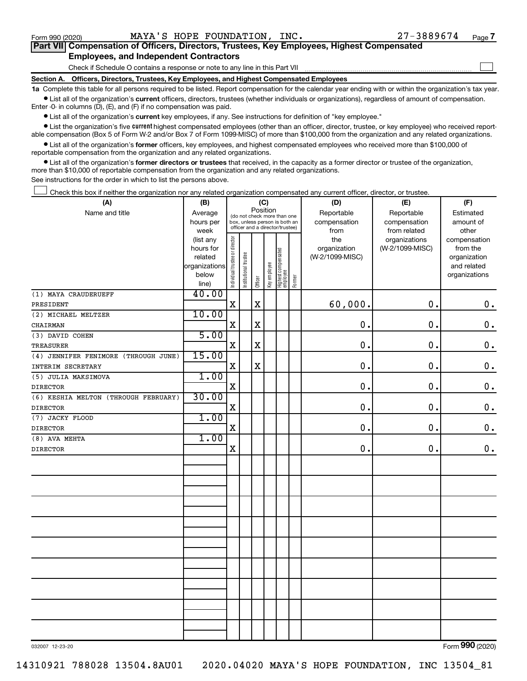$\Box$ 

| Part VII Compensation of Officers, Directors, Trustees, Key Employees, Highest Compensated |  |  |
|--------------------------------------------------------------------------------------------|--|--|
| <b>Employees, and Independent Contractors</b>                                              |  |  |

Check if Schedule O contains a response or note to any line in this Part VII

**Section A. Officers, Directors, Trustees, Key Employees, and Highest Compensated Employees**

**1a**  Complete this table for all persons required to be listed. Report compensation for the calendar year ending with or within the organization's tax year.  $\bullet$  List all of the organization's current officers, directors, trustees (whether individuals or organizations), regardless of amount of compensation.

Enter -0- in columns (D), (E), and (F) if no compensation was paid.

**•** List all of the organization's current key employees, if any. See instructions for definition of "key employee."

• List the organization's five *current* highest compensated employees (other than an officer, director, trustee, or key employee) who received reportable compensation (Box 5 of Form W-2 and/or Box 7 of Form 1099-MISC) of more than \$100,000 from the organization and any related organizations.

 $\bullet$  List all of the organization's former officers, key employees, and highest compensated employees who received more than \$100,000 of reportable compensation from the organization and any related organizations.

**•** List all of the organization's former directors or trustees that received, in the capacity as a former director or trustee of the organization, more than \$10,000 of reportable compensation from the organization and any related organizations.

See instructions for the order in which to list the persons above.

Check this box if neither the organization nor any related organization compensated any current officer, director, or trustee.  $\Box$ 

| (A)                                  | (B)            | (C)                            |                       |             |              |                                                                  |        | (D)             | (E)             | (F)           |
|--------------------------------------|----------------|--------------------------------|-----------------------|-------------|--------------|------------------------------------------------------------------|--------|-----------------|-----------------|---------------|
| Name and title                       | Average        |                                |                       | Position    |              | (do not check more than one                                      |        | Reportable      | Reportable      | Estimated     |
|                                      | hours per      |                                |                       |             |              | box, unless person is both an<br>officer and a director/trustee) |        | compensation    | compensation    | amount of     |
|                                      | week           |                                |                       |             |              |                                                                  |        | from            | from related    | other         |
|                                      | (list any      |                                |                       |             |              |                                                                  |        | the             | organizations   | compensation  |
|                                      | hours for      |                                |                       |             |              |                                                                  |        | organization    | (W-2/1099-MISC) | from the      |
|                                      | related        |                                |                       |             |              |                                                                  |        | (W-2/1099-MISC) |                 | organization  |
|                                      | organizations  |                                |                       |             |              |                                                                  |        |                 |                 | and related   |
|                                      | below<br>line) | Individual trustee or director | Institutional trustee | Officer     | Key employee | Highest compensated<br>employee                                  | Former |                 |                 | organizations |
| (1) MAYA CRAUDERUEFF                 | 40.00          |                                |                       |             |              |                                                                  |        |                 |                 |               |
| PRESIDENT                            |                | $\mathbf X$                    |                       | $\mathbf X$ |              |                                                                  |        | 60,000.         | 0.              | $\mathbf 0$ . |
| (2) MICHAEL MELTZER                  | 10.00          |                                |                       |             |              |                                                                  |        |                 |                 |               |
| CHAIRMAN                             |                | $\mathbf X$                    |                       | $\mathbf X$ |              |                                                                  |        | 0.              | 0.              | $\mathbf 0$ . |
| (3) DAVID COHEN                      | 5.00           |                                |                       |             |              |                                                                  |        |                 |                 |               |
| <b>TREASURER</b>                     |                | $\mathbf X$                    |                       | $\mathbf X$ |              |                                                                  |        | 0.              | 0.              | $\mathbf 0$ . |
| (4) JENNIFER FENIMORE (THROUGH JUNE) | 15.00          |                                |                       |             |              |                                                                  |        |                 |                 |               |
| INTERIM SECRETARY                    |                | $\mathbf X$                    |                       | $\mathbf X$ |              |                                                                  |        | 0.              | 0.              | $\mathbf 0$ . |
| (5) JULIA MAKSIMOVA                  | 1.00           |                                |                       |             |              |                                                                  |        |                 |                 |               |
| <b>DIRECTOR</b>                      |                | $\mathbf X$                    |                       |             |              |                                                                  |        | 0.              | 0.              | $\mathbf 0$ . |
| (6) KESHIA MELTON (THROUGH FEBRUARY) | 30.00          |                                |                       |             |              |                                                                  |        |                 |                 |               |
| <b>DIRECTOR</b>                      |                | X                              |                       |             |              |                                                                  |        | 0               | 0.              | $\mathbf 0$ . |
| (7) JACKY FLOOD                      | 1.00           |                                |                       |             |              |                                                                  |        |                 |                 |               |
| <b>DIRECTOR</b>                      |                | $\mathbf X$                    |                       |             |              |                                                                  |        | $\mathbf 0$ .   | 0.              | $\mathbf 0$ . |
| (8) AVA MEHTA                        | 1.00           |                                |                       |             |              |                                                                  |        |                 |                 |               |
| <b>DIRECTOR</b>                      |                | $\mathbf X$                    |                       |             |              |                                                                  |        | 0.              | 0.              | 0.            |
|                                      |                |                                |                       |             |              |                                                                  |        |                 |                 |               |
|                                      |                |                                |                       |             |              |                                                                  |        |                 |                 |               |
|                                      |                |                                |                       |             |              |                                                                  |        |                 |                 |               |
|                                      |                |                                |                       |             |              |                                                                  |        |                 |                 |               |
|                                      |                |                                |                       |             |              |                                                                  |        |                 |                 |               |
|                                      |                |                                |                       |             |              |                                                                  |        |                 |                 |               |
|                                      |                |                                |                       |             |              |                                                                  |        |                 |                 |               |
|                                      |                |                                |                       |             |              |                                                                  |        |                 |                 |               |
|                                      |                |                                |                       |             |              |                                                                  |        |                 |                 |               |
|                                      |                |                                |                       |             |              |                                                                  |        |                 |                 |               |
|                                      |                |                                |                       |             |              |                                                                  |        |                 |                 |               |
|                                      |                |                                |                       |             |              |                                                                  |        |                 |                 |               |
|                                      |                |                                |                       |             |              |                                                                  |        |                 |                 |               |
|                                      |                |                                |                       |             |              |                                                                  |        |                 |                 |               |
|                                      |                |                                |                       |             |              |                                                                  |        |                 |                 |               |
|                                      |                |                                |                       |             |              |                                                                  |        |                 |                 |               |
|                                      |                |                                |                       |             |              |                                                                  |        |                 |                 |               |

032007 12-23-20

Form (2020) **990**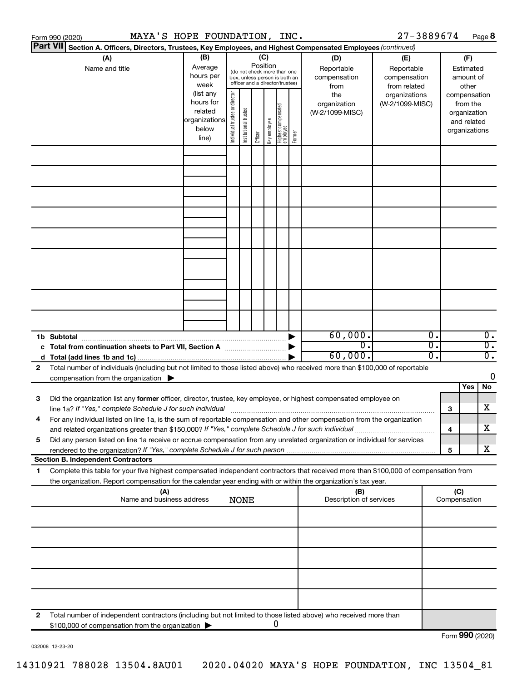|    | MAYA'S HOPE FOUNDATION, INC.<br>Form 990 (2020)                                                                                      |               |                                |                       |          |              |                                                              |        |                                | 27-3889674      |                  |                     |              | Page 8                    |
|----|--------------------------------------------------------------------------------------------------------------------------------------|---------------|--------------------------------|-----------------------|----------|--------------|--------------------------------------------------------------|--------|--------------------------------|-----------------|------------------|---------------------|--------------|---------------------------|
|    | <b>Part VII</b><br>Section A. Officers, Directors, Trustees, Key Employees, and Highest Compensated Employees (continued)            |               |                                |                       |          |              |                                                              |        |                                |                 |                  |                     |              |                           |
|    | (A)                                                                                                                                  | (B)           |                                |                       | (C)      |              |                                                              |        | (D)                            | (E)             |                  |                     | (F)          |                           |
|    | Name and title                                                                                                                       | Average       |                                |                       | Position |              |                                                              |        | Reportable                     | Reportable      |                  |                     | Estimated    |                           |
|    |                                                                                                                                      | hours per     |                                |                       |          |              | (do not check more than one<br>box, unless person is both an |        | compensation                   | compensation    |                  |                     | amount of    |                           |
|    |                                                                                                                                      | week          |                                |                       |          |              | officer and a director/trustee)                              |        | from                           | from related    |                  |                     | other        |                           |
|    |                                                                                                                                      | (list any     |                                |                       |          |              |                                                              |        | the                            | organizations   |                  | compensation        |              |                           |
|    |                                                                                                                                      | hours for     |                                |                       |          |              |                                                              |        | organization                   | (W-2/1099-MISC) |                  |                     | from the     |                           |
|    |                                                                                                                                      | related       | Individual trustee or director | Institutional trustee |          |              |                                                              |        | (W-2/1099-MISC)                |                 |                  |                     | organization |                           |
|    |                                                                                                                                      | organizations |                                |                       |          | Key employee |                                                              |        |                                |                 |                  |                     | and related  |                           |
|    |                                                                                                                                      | below         |                                |                       |          |              |                                                              | Former |                                |                 |                  | organizations       |              |                           |
|    |                                                                                                                                      | line)         |                                |                       | Officer  |              | Highest compensated<br>  employee                            |        |                                |                 |                  |                     |              |                           |
|    |                                                                                                                                      |               |                                |                       |          |              |                                                              |        |                                |                 |                  |                     |              |                           |
|    |                                                                                                                                      |               |                                |                       |          |              |                                                              |        |                                |                 |                  |                     |              |                           |
|    |                                                                                                                                      |               |                                |                       |          |              |                                                              |        |                                |                 |                  |                     |              |                           |
|    |                                                                                                                                      |               |                                |                       |          |              |                                                              |        |                                |                 |                  |                     |              |                           |
|    |                                                                                                                                      |               |                                |                       |          |              |                                                              |        |                                |                 |                  |                     |              |                           |
|    |                                                                                                                                      |               |                                |                       |          |              |                                                              |        |                                |                 |                  |                     |              |                           |
|    |                                                                                                                                      |               |                                |                       |          |              |                                                              |        |                                |                 |                  |                     |              |                           |
|    |                                                                                                                                      |               |                                |                       |          |              |                                                              |        |                                |                 |                  |                     |              |                           |
|    |                                                                                                                                      |               |                                |                       |          |              |                                                              |        |                                |                 |                  |                     |              |                           |
|    |                                                                                                                                      |               |                                |                       |          |              |                                                              |        |                                |                 |                  |                     |              |                           |
|    |                                                                                                                                      |               |                                |                       |          |              |                                                              |        |                                |                 |                  |                     |              |                           |
|    |                                                                                                                                      |               |                                |                       |          |              |                                                              |        |                                |                 |                  |                     |              |                           |
|    |                                                                                                                                      |               |                                |                       |          |              |                                                              |        |                                |                 |                  |                     |              |                           |
|    |                                                                                                                                      |               |                                |                       |          |              |                                                              |        |                                |                 |                  |                     |              |                           |
|    |                                                                                                                                      |               |                                |                       |          |              |                                                              |        |                                |                 |                  |                     |              |                           |
|    |                                                                                                                                      |               |                                |                       |          |              |                                                              |        |                                |                 |                  |                     |              |                           |
|    |                                                                                                                                      |               |                                |                       |          |              |                                                              |        |                                |                 |                  |                     |              |                           |
|    |                                                                                                                                      |               |                                |                       |          |              |                                                              |        |                                |                 |                  |                     |              |                           |
|    |                                                                                                                                      |               |                                |                       |          |              |                                                              |        |                                |                 |                  |                     |              |                           |
|    | 1b Subtotal                                                                                                                          |               |                                |                       |          |              |                                                              |        | 60,000.                        |                 | $\overline{0}$ . |                     |              | $\overline{0}$ .          |
|    | c Total from continuation sheets to Part VII, Section A manufactured by                                                              |               |                                |                       |          |              |                                                              |        | $\overline{0}$ .               |                 | $\overline{0}$ . |                     |              | $\overline{0}$ .          |
|    |                                                                                                                                      |               |                                |                       |          |              |                                                              |        | 60,000.                        |                 | $\overline{0}$ . |                     |              | $\overline{\mathbf{0}}$ . |
| 2  | Total number of individuals (including but not limited to those listed above) who received more than \$100,000 of reportable         |               |                                |                       |          |              |                                                              |        |                                |                 |                  |                     |              |                           |
|    | compensation from the organization $\blacktriangleright$                                                                             |               |                                |                       |          |              |                                                              |        |                                |                 |                  |                     |              | 0                         |
|    |                                                                                                                                      |               |                                |                       |          |              |                                                              |        |                                |                 |                  |                     | Yes          | No                        |
| 3  | Did the organization list any former officer, director, trustee, key employee, or highest compensated employee on                    |               |                                |                       |          |              |                                                              |        |                                |                 |                  |                     |              |                           |
|    | line 1a? If "Yes," complete Schedule J for such individual manufacture content to the settlement of the schedu                       |               |                                |                       |          |              |                                                              |        |                                |                 |                  | 3                   |              | х                         |
|    | For any individual listed on line 1a, is the sum of reportable compensation and other compensation from the organization             |               |                                |                       |          |              |                                                              |        |                                |                 |                  |                     |              |                           |
|    | and related organizations greater than \$150,000? If "Yes," complete Schedule J for such individual                                  |               |                                |                       |          |              |                                                              |        |                                |                 |                  | 4                   |              | х                         |
| 5  | Did any person listed on line 1a receive or accrue compensation from any unrelated organization or individual for services           |               |                                |                       |          |              |                                                              |        |                                |                 |                  |                     |              |                           |
|    |                                                                                                                                      |               |                                |                       |          |              |                                                              |        |                                |                 |                  | 5                   |              | x                         |
|    | <b>Section B. Independent Contractors</b>                                                                                            |               |                                |                       |          |              |                                                              |        |                                |                 |                  |                     |              |                           |
|    | Complete this table for your five highest compensated independent contractors that received more than \$100,000 of compensation from |               |                                |                       |          |              |                                                              |        |                                |                 |                  |                     |              |                           |
| 1. | the organization. Report compensation for the calendar year ending with or within the organization's tax year.                       |               |                                |                       |          |              |                                                              |        |                                |                 |                  |                     |              |                           |
|    |                                                                                                                                      |               |                                |                       |          |              |                                                              |        |                                |                 |                  |                     |              |                           |
|    | (A)<br>Name and business address                                                                                                     |               |                                | <b>NONE</b>           |          |              |                                                              |        | (B)<br>Description of services |                 |                  | (C)<br>Compensation |              |                           |
|    |                                                                                                                                      |               |                                |                       |          |              |                                                              |        |                                |                 |                  |                     |              |                           |
|    |                                                                                                                                      |               |                                |                       |          |              |                                                              |        |                                |                 |                  |                     |              |                           |
|    |                                                                                                                                      |               |                                |                       |          |              |                                                              |        |                                |                 |                  |                     |              |                           |
|    |                                                                                                                                      |               |                                |                       |          |              |                                                              |        |                                |                 |                  |                     |              |                           |
|    |                                                                                                                                      |               |                                |                       |          |              |                                                              |        |                                |                 |                  |                     |              |                           |
|    |                                                                                                                                      |               |                                |                       |          |              |                                                              |        |                                |                 |                  |                     |              |                           |
|    |                                                                                                                                      |               |                                |                       |          |              |                                                              |        |                                |                 |                  |                     |              |                           |
|    |                                                                                                                                      |               |                                |                       |          |              |                                                              |        |                                |                 |                  |                     |              |                           |
|    |                                                                                                                                      |               |                                |                       |          |              |                                                              |        |                                |                 |                  |                     |              |                           |
|    |                                                                                                                                      |               |                                |                       |          |              |                                                              |        |                                |                 |                  |                     |              |                           |
|    |                                                                                                                                      |               |                                |                       |          |              |                                                              |        |                                |                 |                  |                     |              |                           |
| 2  | Total number of independent contractors (including but not limited to those listed above) who received more than                     |               |                                |                       |          |              |                                                              |        |                                |                 |                  |                     |              |                           |
|    | \$100,000 of compensation from the organization                                                                                      |               |                                |                       |          |              | 0                                                            |        |                                |                 |                  |                     |              |                           |
|    |                                                                                                                                      |               |                                |                       |          |              |                                                              |        |                                |                 |                  | Form 990 (2020)     |              |                           |

032008 12-23-20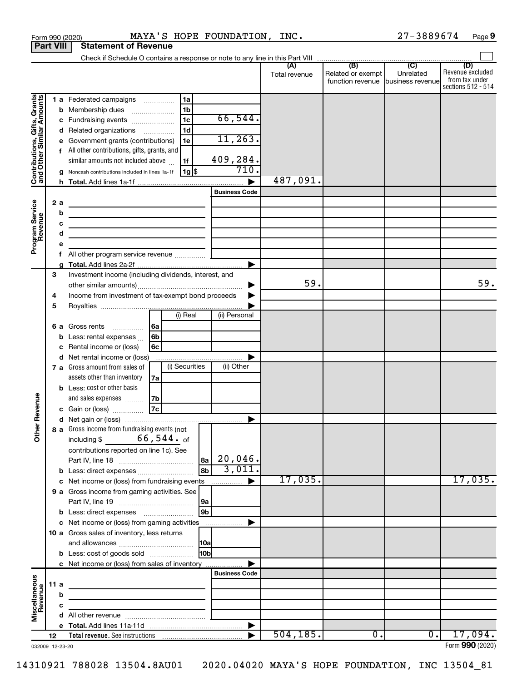|                                                           |                  |     | MAYA'S HOPE FOUNDATION, INC.<br>Form 990 (2020)                                                                        |                       |               |                                                        | 27-3889674 | Page 9                                    |
|-----------------------------------------------------------|------------------|-----|------------------------------------------------------------------------------------------------------------------------|-----------------------|---------------|--------------------------------------------------------|------------|-------------------------------------------|
|                                                           | <b>Part VIII</b> |     | <b>Statement of Revenue</b>                                                                                            |                       |               |                                                        |            |                                           |
|                                                           |                  |     |                                                                                                                        |                       |               |                                                        |            |                                           |
|                                                           |                  |     |                                                                                                                        |                       | Total revenue | Related or exempt<br>function revenue business revenue | Unrelated  | (D)<br>Revenue excluded<br>from tax under |
|                                                           |                  |     |                                                                                                                        |                       |               |                                                        |            | sections 512 - 514                        |
| Contributions, Gifts, Grants<br>and Other Similar Amounts |                  |     | 1a<br>1 a Federated campaigns                                                                                          |                       |               |                                                        |            |                                           |
|                                                           |                  |     | 1 <sub>b</sub><br>b Membership dues                                                                                    |                       |               |                                                        |            |                                           |
|                                                           |                  |     | 1 <sub>c</sub><br>c Fundraising events                                                                                 | 66,544.               |               |                                                        |            |                                           |
|                                                           |                  |     | 1 <sub>d</sub><br>d Related organizations                                                                              |                       |               |                                                        |            |                                           |
|                                                           |                  |     | Government grants (contributions)<br>1e                                                                                | 11, 263.              |               |                                                        |            |                                           |
|                                                           |                  |     | f All other contributions, gifts, grants, and                                                                          |                       |               |                                                        |            |                                           |
|                                                           |                  |     | similar amounts not included above<br>1f                                                                               | 409,284.              |               |                                                        |            |                                           |
|                                                           |                  |     | 1g   \$<br>Noncash contributions included in lines 1a-1f                                                               | 710.                  |               |                                                        |            |                                           |
|                                                           |                  |     |                                                                                                                        |                       | 487,091.      |                                                        |            |                                           |
|                                                           |                  |     |                                                                                                                        | <b>Business Code</b>  |               |                                                        |            |                                           |
|                                                           |                  | 2 a |                                                                                                                        |                       |               |                                                        |            |                                           |
|                                                           |                  | b   | <u> 1989 - Johann Stoff, deutscher Stoffen und der Stoffen und der Stoffen und der Stoffen und der Stoffen und der</u> |                       |               |                                                        |            |                                           |
|                                                           |                  | c   | <u> 1989 - Johann John Stein, markin fan it ferstjer fan de ferstjer fan it ferstjer fan it ferstjer fan it fers</u>   |                       |               |                                                        |            |                                           |
|                                                           |                  | d   | the contract of the contract of the contract of the contract of                                                        |                       |               |                                                        |            |                                           |
| Program Service<br>Revenue                                |                  | е   |                                                                                                                        |                       |               |                                                        |            |                                           |
|                                                           |                  | f   |                                                                                                                        |                       |               |                                                        |            |                                           |
|                                                           |                  | g   |                                                                                                                        |                       |               |                                                        |            |                                           |
|                                                           | 3                |     | Investment income (including dividends, interest, and                                                                  |                       |               |                                                        |            |                                           |
|                                                           |                  |     |                                                                                                                        |                       | 59.           |                                                        |            | 59.                                       |
|                                                           | 4                |     | Income from investment of tax-exempt bond proceeds                                                                     |                       |               |                                                        |            |                                           |
|                                                           | 5                |     |                                                                                                                        |                       |               |                                                        |            |                                           |
|                                                           |                  |     | (i) Real                                                                                                               | (ii) Personal         |               |                                                        |            |                                           |
|                                                           |                  | 6а  | 6a<br>Gross rents                                                                                                      |                       |               |                                                        |            |                                           |
|                                                           |                  | b   | 6 <sub>b</sub><br>Less: rental expenses                                                                                |                       |               |                                                        |            |                                           |
|                                                           |                  | c   | 6с<br>Rental income or (loss)                                                                                          |                       |               |                                                        |            |                                           |
|                                                           |                  | d   | Net rental income or (loss)                                                                                            |                       |               |                                                        |            |                                           |
|                                                           |                  |     | (i) Securities<br>7 a Gross amount from sales of                                                                       | (ii) Other            |               |                                                        |            |                                           |
|                                                           |                  |     | assets other than inventory<br>7a                                                                                      |                       |               |                                                        |            |                                           |
|                                                           |                  |     | <b>b</b> Less: cost or other basis                                                                                     |                       |               |                                                        |            |                                           |
|                                                           |                  |     | and sales expenses<br>7b                                                                                               |                       |               |                                                        |            |                                           |
| evenue                                                    |                  |     | 7c<br>c Gain or (loss)                                                                                                 |                       |               |                                                        |            |                                           |
|                                                           |                  |     |                                                                                                                        |                       |               |                                                        |            |                                           |
| Other R                                                   |                  |     | 8 a Gross income from fundraising events (not                                                                          |                       |               |                                                        |            |                                           |
|                                                           |                  |     | $66$ ,544. $_{\rm of}$<br>including \$                                                                                 |                       |               |                                                        |            |                                           |
|                                                           |                  |     | contributions reported on line 1c). See                                                                                |                       |               |                                                        |            |                                           |
|                                                           |                  |     | 8a                                                                                                                     | $20,046$ .            |               |                                                        |            |                                           |
|                                                           |                  |     | 8 <sub>b</sub>                                                                                                         | 3,011.                |               |                                                        |            |                                           |
|                                                           |                  |     | c Net income or (loss) from fundraising events                                                                         |                       | 17,035.       |                                                        |            | 17,035.                                   |
|                                                           |                  |     | 9 a Gross income from gaming activities. See                                                                           |                       |               |                                                        |            |                                           |
|                                                           |                  |     | 9a                                                                                                                     |                       |               |                                                        |            |                                           |
|                                                           |                  |     | 9 <sub>b</sub>                                                                                                         |                       |               |                                                        |            |                                           |
|                                                           |                  |     | c Net income or (loss) from gaming activities                                                                          |                       |               |                                                        |            |                                           |
|                                                           |                  |     | 10 a Gross sales of inventory, less returns                                                                            |                       |               |                                                        |            |                                           |
|                                                           |                  |     |                                                                                                                        |                       |               |                                                        |            |                                           |
|                                                           |                  |     | l10bl<br><b>b</b> Less: cost of goods sold                                                                             |                       |               |                                                        |            |                                           |
|                                                           |                  |     | c Net income or (loss) from sales of inventory                                                                         |                       |               |                                                        |            |                                           |
|                                                           |                  |     |                                                                                                                        | <b>Business Code</b>  |               |                                                        |            |                                           |
|                                                           | 11a              |     |                                                                                                                        |                       |               |                                                        |            |                                           |
|                                                           |                  | b   |                                                                                                                        |                       |               |                                                        |            |                                           |
|                                                           |                  | c   |                                                                                                                        |                       |               |                                                        |            |                                           |
| Miscellaneous<br>Revenue                                  |                  |     |                                                                                                                        |                       |               |                                                        |            |                                           |
|                                                           |                  |     |                                                                                                                        | $\blacktriangleright$ |               |                                                        |            |                                           |
|                                                           | 12               |     | Total revenue. See instructions                                                                                        |                       | 504, 185.     | 0.                                                     | 0.1        | 17,094.                                   |
| 032009 12-23-20                                           |                  |     |                                                                                                                        |                       |               |                                                        |            | Form 990 (2020)                           |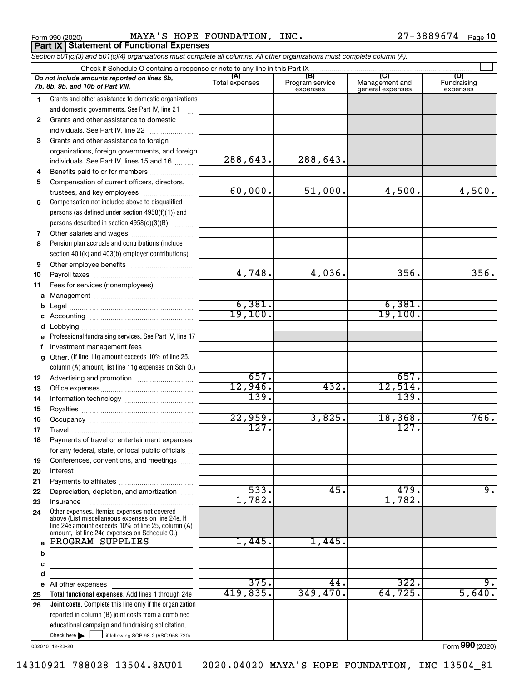**Part IX Statement of Functional Expenses**

Form 990 (2020) **MAYA'S HOPE FOUNDATION, INC.**  $27-3889674$  Page

*Section 501(c)(3) and 501(c)(4) organizations must complete all columns. All other organizations must complete column (A).*

|              | Do not include amounts reported on lines 6b,<br>7b, 8b, 9b, and 10b of Part VIII.                                                                        | (A)<br>Total expenses | (B)<br>Program service<br>expenses | (C)<br>Management and<br>general expenses | (D)<br>Fundraising<br>expenses |
|--------------|----------------------------------------------------------------------------------------------------------------------------------------------------------|-----------------------|------------------------------------|-------------------------------------------|--------------------------------|
| 1.           | Grants and other assistance to domestic organizations                                                                                                    |                       |                                    |                                           |                                |
|              | and domestic governments. See Part IV, line 21                                                                                                           |                       |                                    |                                           |                                |
| $\mathbf{2}$ | Grants and other assistance to domestic                                                                                                                  |                       |                                    |                                           |                                |
|              | individuals. See Part IV, line 22                                                                                                                        |                       |                                    |                                           |                                |
| 3            | Grants and other assistance to foreign                                                                                                                   |                       |                                    |                                           |                                |
|              | organizations, foreign governments, and foreign                                                                                                          |                       |                                    |                                           |                                |
|              | individuals. See Part IV, lines 15 and 16                                                                                                                | 288,643.              | 288,643.                           |                                           |                                |
| 4            | Benefits paid to or for members                                                                                                                          |                       |                                    |                                           |                                |
| 5            | Compensation of current officers, directors,                                                                                                             |                       |                                    |                                           |                                |
|              | trustees, and key employees                                                                                                                              | 60,000.               | 51,000.                            | 4,500.                                    | 4,500.                         |
| 6            | Compensation not included above to disqualified                                                                                                          |                       |                                    |                                           |                                |
|              | persons (as defined under section 4958(f)(1)) and                                                                                                        |                       |                                    |                                           |                                |
|              | persons described in section 4958(c)(3)(B)                                                                                                               |                       |                                    |                                           |                                |
| 7            | Other salaries and wages                                                                                                                                 |                       |                                    |                                           |                                |
| 8            | Pension plan accruals and contributions (include                                                                                                         |                       |                                    |                                           |                                |
|              | section 401(k) and 403(b) employer contributions)                                                                                                        |                       |                                    |                                           |                                |
| 9            |                                                                                                                                                          |                       |                                    |                                           |                                |
| 10           |                                                                                                                                                          | 4,748.                | 4,036.                             | 356.                                      | 356.                           |
| 11           | Fees for services (nonemployees):                                                                                                                        |                       |                                    |                                           |                                |
| a            |                                                                                                                                                          |                       |                                    |                                           |                                |
| b            |                                                                                                                                                          | 6,381.                |                                    | 6,381.                                    |                                |
| c            |                                                                                                                                                          | 19,100.               |                                    | 19,100.                                   |                                |
| d            |                                                                                                                                                          |                       |                                    |                                           |                                |
| e            | Professional fundraising services. See Part IV, line 17                                                                                                  |                       |                                    |                                           |                                |
| f            | Investment management fees                                                                                                                               |                       |                                    |                                           |                                |
| g            | Other. (If line 11g amount exceeds 10% of line 25,                                                                                                       |                       |                                    |                                           |                                |
|              | column (A) amount, list line 11g expenses on Sch 0.)                                                                                                     |                       |                                    |                                           |                                |
| 12           |                                                                                                                                                          | 657.                  |                                    | 657.                                      |                                |
| 13           |                                                                                                                                                          | 12,946.               | 432.                               | 12,514.                                   |                                |
| 14           |                                                                                                                                                          | 139.                  |                                    | 139.                                      |                                |
| 15           |                                                                                                                                                          |                       |                                    |                                           |                                |
| 16           |                                                                                                                                                          | 22,959.               | 3,825.                             | 18,368.                                   | 766.                           |
| 17           |                                                                                                                                                          | 127.                  |                                    | 127.                                      |                                |
| 18           | Payments of travel or entertainment expenses                                                                                                             |                       |                                    |                                           |                                |
|              | for any federal, state, or local public officials                                                                                                        |                       |                                    |                                           |                                |
| 19           | Conferences, conventions, and meetings                                                                                                                   |                       |                                    |                                           |                                |
| 20           | Interest                                                                                                                                                 |                       |                                    |                                           |                                |
| 21           |                                                                                                                                                          |                       |                                    |                                           |                                |
| 22           | Depreciation, depletion, and amortization                                                                                                                | 533.                  | 45.                                | 479.                                      | 9.                             |
| 23           | Insurance                                                                                                                                                | 1,782.                |                                    | 1,782.                                    |                                |
| 24           | Other expenses. Itemize expenses not covered<br>above (List miscellaneous expenses on line 24e. If<br>line 24e amount exceeds 10% of line 25, column (A) |                       |                                    |                                           |                                |
| a            | amount, list line 24e expenses on Schedule O.)<br>PROGRAM SUPPLIES                                                                                       | 1,445.                | 1,445.                             |                                           |                                |
| b            |                                                                                                                                                          |                       |                                    |                                           |                                |
| с            |                                                                                                                                                          |                       |                                    |                                           |                                |
| d            |                                                                                                                                                          |                       |                                    |                                           |                                |
| е            | All other expenses                                                                                                                                       | 375.                  | 44.                                | 322.                                      | 9.                             |
| 25           | Total functional expenses. Add lines 1 through 24e                                                                                                       | 419,835.              | 349,470.                           | 64, 725.                                  | 5,640.                         |
| 26           | <b>Joint costs.</b> Complete this line only if the organization                                                                                          |                       |                                    |                                           |                                |
|              | reported in column (B) joint costs from a combined                                                                                                       |                       |                                    |                                           |                                |
|              | educational campaign and fundraising solicitation.                                                                                                       |                       |                                    |                                           |                                |
|              | Check here $\blacktriangleright$<br>if following SOP 98-2 (ASC 958-720)                                                                                  |                       |                                    |                                           |                                |

032010 12-23-20

Form (2020) **990**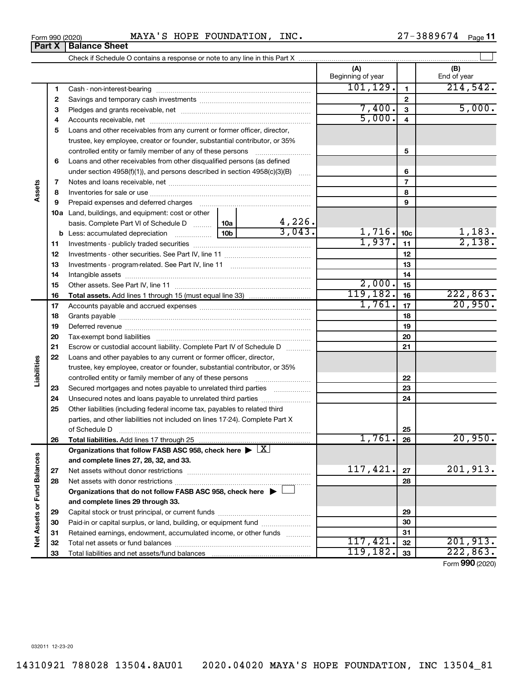$\overline{\phantom{a}}$ 

### Form 990 (2020) **MAYA'S HOPE FOUNDATION, INC.**  $27-3889674$  Page

27-3889674 Page 11

| (A)<br>(B)<br>Beginning of year<br>End of year<br>101, 129.<br>214,542.<br>1<br>1<br>$\mathbf{2}$<br>2<br>7,400.<br>5,000.<br>$\overline{3}$<br>З<br>5,000.<br>4<br>4<br>Loans and other receivables from any current or former officer, director,<br>5<br>trustee, key employee, creator or founder, substantial contributor, or 35%<br>5<br>controlled entity or family member of any of these persons<br>Loans and other receivables from other disqualified persons (as defined<br>6<br>under section 4958(f)(1)), and persons described in section $4958(c)(3)(B)$<br>6<br>$\overline{7}$<br>Assets<br>7<br>8<br>8<br>9<br>Prepaid expenses and deferred charges<br>9<br>10a Land, buildings, and equipment: cost or other<br>4,226.<br>basis. Complete Part VI of Schedule D  10a<br>3,043.<br>1,716.<br>1,183.<br>10 <sub>b</sub><br>10 <sub>c</sub><br>1,937.<br>11<br>11<br>12<br>12<br>13<br>13<br>14<br>14<br>2,000.<br>15<br>15<br>119, 182.<br>222,863.<br>16<br>16<br><b>Total assets.</b> Add lines 1 through 15 (must equal line 33) <i></i><br>20,950.<br>1,761.<br>17<br>17<br>18<br>18<br>19<br>19<br>20<br>20<br>21<br>21<br>Escrow or custodial account liability. Complete Part IV of Schedule D<br>22<br>Loans and other payables to any current or former officer, director,<br>Liabilities<br>trustee, key employee, creator or founder, substantial contributor, or 35%<br>22<br>controlled entity or family member of any of these persons<br>23<br>Secured mortgages and notes payable to unrelated third parties<br>23<br>24<br>24<br>25<br>Other liabilities (including federal income tax, payables to related third<br>parties, and other liabilities not included on lines 17-24). Complete Part X<br>25<br>1,761.<br>26<br>26<br>Organizations that follow FASB ASC 958, check here $\blacktriangleright \lfloor \underline{X} \rfloor$<br>Net Assets or Fund Balances<br>and complete lines 27, 28, 32, and 33.<br>201,913.<br>117,421.<br>27<br>27<br>28<br>28<br>Organizations that do not follow FASB ASC 958, check here $\blacktriangleright$<br>and complete lines 29 through 33.<br>29<br>29<br>Paid-in or capital surplus, or land, building, or equipment fund<br>30<br>30<br>Retained earnings, endowment, accumulated income, or other funds<br>31<br>31<br>117,421.<br>32<br>32<br>119, 182.<br>222,863.<br>33<br>33<br>Form 990 (2020) |  |  |  |  |  |  |
|----------------------------------------------------------------------------------------------------------------------------------------------------------------------------------------------------------------------------------------------------------------------------------------------------------------------------------------------------------------------------------------------------------------------------------------------------------------------------------------------------------------------------------------------------------------------------------------------------------------------------------------------------------------------------------------------------------------------------------------------------------------------------------------------------------------------------------------------------------------------------------------------------------------------------------------------------------------------------------------------------------------------------------------------------------------------------------------------------------------------------------------------------------------------------------------------------------------------------------------------------------------------------------------------------------------------------------------------------------------------------------------------------------------------------------------------------------------------------------------------------------------------------------------------------------------------------------------------------------------------------------------------------------------------------------------------------------------------------------------------------------------------------------------------------------------------------------------------------------------------------------------------------------------------------------------------------------------------------------------------------------------------------------------------------------------------------------------------------------------------------------------------------------------------------------------------------------------------------------------------------------------------------------------------------------------------------------------------------------------------------------------|--|--|--|--|--|--|
|                                                                                                                                                                                                                                                                                                                                                                                                                                                                                                                                                                                                                                                                                                                                                                                                                                                                                                                                                                                                                                                                                                                                                                                                                                                                                                                                                                                                                                                                                                                                                                                                                                                                                                                                                                                                                                                                                                                                                                                                                                                                                                                                                                                                                                                                                                                                                                                        |  |  |  |  |  |  |
|                                                                                                                                                                                                                                                                                                                                                                                                                                                                                                                                                                                                                                                                                                                                                                                                                                                                                                                                                                                                                                                                                                                                                                                                                                                                                                                                                                                                                                                                                                                                                                                                                                                                                                                                                                                                                                                                                                                                                                                                                                                                                                                                                                                                                                                                                                                                                                                        |  |  |  |  |  |  |
| 2,138.<br>20,950.<br>201,913.                                                                                                                                                                                                                                                                                                                                                                                                                                                                                                                                                                                                                                                                                                                                                                                                                                                                                                                                                                                                                                                                                                                                                                                                                                                                                                                                                                                                                                                                                                                                                                                                                                                                                                                                                                                                                                                                                                                                                                                                                                                                                                                                                                                                                                                                                                                                                          |  |  |  |  |  |  |
|                                                                                                                                                                                                                                                                                                                                                                                                                                                                                                                                                                                                                                                                                                                                                                                                                                                                                                                                                                                                                                                                                                                                                                                                                                                                                                                                                                                                                                                                                                                                                                                                                                                                                                                                                                                                                                                                                                                                                                                                                                                                                                                                                                                                                                                                                                                                                                                        |  |  |  |  |  |  |
|                                                                                                                                                                                                                                                                                                                                                                                                                                                                                                                                                                                                                                                                                                                                                                                                                                                                                                                                                                                                                                                                                                                                                                                                                                                                                                                                                                                                                                                                                                                                                                                                                                                                                                                                                                                                                                                                                                                                                                                                                                                                                                                                                                                                                                                                                                                                                                                        |  |  |  |  |  |  |
|                                                                                                                                                                                                                                                                                                                                                                                                                                                                                                                                                                                                                                                                                                                                                                                                                                                                                                                                                                                                                                                                                                                                                                                                                                                                                                                                                                                                                                                                                                                                                                                                                                                                                                                                                                                                                                                                                                                                                                                                                                                                                                                                                                                                                                                                                                                                                                                        |  |  |  |  |  |  |
|                                                                                                                                                                                                                                                                                                                                                                                                                                                                                                                                                                                                                                                                                                                                                                                                                                                                                                                                                                                                                                                                                                                                                                                                                                                                                                                                                                                                                                                                                                                                                                                                                                                                                                                                                                                                                                                                                                                                                                                                                                                                                                                                                                                                                                                                                                                                                                                        |  |  |  |  |  |  |
|                                                                                                                                                                                                                                                                                                                                                                                                                                                                                                                                                                                                                                                                                                                                                                                                                                                                                                                                                                                                                                                                                                                                                                                                                                                                                                                                                                                                                                                                                                                                                                                                                                                                                                                                                                                                                                                                                                                                                                                                                                                                                                                                                                                                                                                                                                                                                                                        |  |  |  |  |  |  |
|                                                                                                                                                                                                                                                                                                                                                                                                                                                                                                                                                                                                                                                                                                                                                                                                                                                                                                                                                                                                                                                                                                                                                                                                                                                                                                                                                                                                                                                                                                                                                                                                                                                                                                                                                                                                                                                                                                                                                                                                                                                                                                                                                                                                                                                                                                                                                                                        |  |  |  |  |  |  |
|                                                                                                                                                                                                                                                                                                                                                                                                                                                                                                                                                                                                                                                                                                                                                                                                                                                                                                                                                                                                                                                                                                                                                                                                                                                                                                                                                                                                                                                                                                                                                                                                                                                                                                                                                                                                                                                                                                                                                                                                                                                                                                                                                                                                                                                                                                                                                                                        |  |  |  |  |  |  |
|                                                                                                                                                                                                                                                                                                                                                                                                                                                                                                                                                                                                                                                                                                                                                                                                                                                                                                                                                                                                                                                                                                                                                                                                                                                                                                                                                                                                                                                                                                                                                                                                                                                                                                                                                                                                                                                                                                                                                                                                                                                                                                                                                                                                                                                                                                                                                                                        |  |  |  |  |  |  |
|                                                                                                                                                                                                                                                                                                                                                                                                                                                                                                                                                                                                                                                                                                                                                                                                                                                                                                                                                                                                                                                                                                                                                                                                                                                                                                                                                                                                                                                                                                                                                                                                                                                                                                                                                                                                                                                                                                                                                                                                                                                                                                                                                                                                                                                                                                                                                                                        |  |  |  |  |  |  |
|                                                                                                                                                                                                                                                                                                                                                                                                                                                                                                                                                                                                                                                                                                                                                                                                                                                                                                                                                                                                                                                                                                                                                                                                                                                                                                                                                                                                                                                                                                                                                                                                                                                                                                                                                                                                                                                                                                                                                                                                                                                                                                                                                                                                                                                                                                                                                                                        |  |  |  |  |  |  |
|                                                                                                                                                                                                                                                                                                                                                                                                                                                                                                                                                                                                                                                                                                                                                                                                                                                                                                                                                                                                                                                                                                                                                                                                                                                                                                                                                                                                                                                                                                                                                                                                                                                                                                                                                                                                                                                                                                                                                                                                                                                                                                                                                                                                                                                                                                                                                                                        |  |  |  |  |  |  |
|                                                                                                                                                                                                                                                                                                                                                                                                                                                                                                                                                                                                                                                                                                                                                                                                                                                                                                                                                                                                                                                                                                                                                                                                                                                                                                                                                                                                                                                                                                                                                                                                                                                                                                                                                                                                                                                                                                                                                                                                                                                                                                                                                                                                                                                                                                                                                                                        |  |  |  |  |  |  |
|                                                                                                                                                                                                                                                                                                                                                                                                                                                                                                                                                                                                                                                                                                                                                                                                                                                                                                                                                                                                                                                                                                                                                                                                                                                                                                                                                                                                                                                                                                                                                                                                                                                                                                                                                                                                                                                                                                                                                                                                                                                                                                                                                                                                                                                                                                                                                                                        |  |  |  |  |  |  |
|                                                                                                                                                                                                                                                                                                                                                                                                                                                                                                                                                                                                                                                                                                                                                                                                                                                                                                                                                                                                                                                                                                                                                                                                                                                                                                                                                                                                                                                                                                                                                                                                                                                                                                                                                                                                                                                                                                                                                                                                                                                                                                                                                                                                                                                                                                                                                                                        |  |  |  |  |  |  |
|                                                                                                                                                                                                                                                                                                                                                                                                                                                                                                                                                                                                                                                                                                                                                                                                                                                                                                                                                                                                                                                                                                                                                                                                                                                                                                                                                                                                                                                                                                                                                                                                                                                                                                                                                                                                                                                                                                                                                                                                                                                                                                                                                                                                                                                                                                                                                                                        |  |  |  |  |  |  |
|                                                                                                                                                                                                                                                                                                                                                                                                                                                                                                                                                                                                                                                                                                                                                                                                                                                                                                                                                                                                                                                                                                                                                                                                                                                                                                                                                                                                                                                                                                                                                                                                                                                                                                                                                                                                                                                                                                                                                                                                                                                                                                                                                                                                                                                                                                                                                                                        |  |  |  |  |  |  |
|                                                                                                                                                                                                                                                                                                                                                                                                                                                                                                                                                                                                                                                                                                                                                                                                                                                                                                                                                                                                                                                                                                                                                                                                                                                                                                                                                                                                                                                                                                                                                                                                                                                                                                                                                                                                                                                                                                                                                                                                                                                                                                                                                                                                                                                                                                                                                                                        |  |  |  |  |  |  |
|                                                                                                                                                                                                                                                                                                                                                                                                                                                                                                                                                                                                                                                                                                                                                                                                                                                                                                                                                                                                                                                                                                                                                                                                                                                                                                                                                                                                                                                                                                                                                                                                                                                                                                                                                                                                                                                                                                                                                                                                                                                                                                                                                                                                                                                                                                                                                                                        |  |  |  |  |  |  |
|                                                                                                                                                                                                                                                                                                                                                                                                                                                                                                                                                                                                                                                                                                                                                                                                                                                                                                                                                                                                                                                                                                                                                                                                                                                                                                                                                                                                                                                                                                                                                                                                                                                                                                                                                                                                                                                                                                                                                                                                                                                                                                                                                                                                                                                                                                                                                                                        |  |  |  |  |  |  |
|                                                                                                                                                                                                                                                                                                                                                                                                                                                                                                                                                                                                                                                                                                                                                                                                                                                                                                                                                                                                                                                                                                                                                                                                                                                                                                                                                                                                                                                                                                                                                                                                                                                                                                                                                                                                                                                                                                                                                                                                                                                                                                                                                                                                                                                                                                                                                                                        |  |  |  |  |  |  |
|                                                                                                                                                                                                                                                                                                                                                                                                                                                                                                                                                                                                                                                                                                                                                                                                                                                                                                                                                                                                                                                                                                                                                                                                                                                                                                                                                                                                                                                                                                                                                                                                                                                                                                                                                                                                                                                                                                                                                                                                                                                                                                                                                                                                                                                                                                                                                                                        |  |  |  |  |  |  |
|                                                                                                                                                                                                                                                                                                                                                                                                                                                                                                                                                                                                                                                                                                                                                                                                                                                                                                                                                                                                                                                                                                                                                                                                                                                                                                                                                                                                                                                                                                                                                                                                                                                                                                                                                                                                                                                                                                                                                                                                                                                                                                                                                                                                                                                                                                                                                                                        |  |  |  |  |  |  |
|                                                                                                                                                                                                                                                                                                                                                                                                                                                                                                                                                                                                                                                                                                                                                                                                                                                                                                                                                                                                                                                                                                                                                                                                                                                                                                                                                                                                                                                                                                                                                                                                                                                                                                                                                                                                                                                                                                                                                                                                                                                                                                                                                                                                                                                                                                                                                                                        |  |  |  |  |  |  |
|                                                                                                                                                                                                                                                                                                                                                                                                                                                                                                                                                                                                                                                                                                                                                                                                                                                                                                                                                                                                                                                                                                                                                                                                                                                                                                                                                                                                                                                                                                                                                                                                                                                                                                                                                                                                                                                                                                                                                                                                                                                                                                                                                                                                                                                                                                                                                                                        |  |  |  |  |  |  |
|                                                                                                                                                                                                                                                                                                                                                                                                                                                                                                                                                                                                                                                                                                                                                                                                                                                                                                                                                                                                                                                                                                                                                                                                                                                                                                                                                                                                                                                                                                                                                                                                                                                                                                                                                                                                                                                                                                                                                                                                                                                                                                                                                                                                                                                                                                                                                                                        |  |  |  |  |  |  |
|                                                                                                                                                                                                                                                                                                                                                                                                                                                                                                                                                                                                                                                                                                                                                                                                                                                                                                                                                                                                                                                                                                                                                                                                                                                                                                                                                                                                                                                                                                                                                                                                                                                                                                                                                                                                                                                                                                                                                                                                                                                                                                                                                                                                                                                                                                                                                                                        |  |  |  |  |  |  |
|                                                                                                                                                                                                                                                                                                                                                                                                                                                                                                                                                                                                                                                                                                                                                                                                                                                                                                                                                                                                                                                                                                                                                                                                                                                                                                                                                                                                                                                                                                                                                                                                                                                                                                                                                                                                                                                                                                                                                                                                                                                                                                                                                                                                                                                                                                                                                                                        |  |  |  |  |  |  |
|                                                                                                                                                                                                                                                                                                                                                                                                                                                                                                                                                                                                                                                                                                                                                                                                                                                                                                                                                                                                                                                                                                                                                                                                                                                                                                                                                                                                                                                                                                                                                                                                                                                                                                                                                                                                                                                                                                                                                                                                                                                                                                                                                                                                                                                                                                                                                                                        |  |  |  |  |  |  |
|                                                                                                                                                                                                                                                                                                                                                                                                                                                                                                                                                                                                                                                                                                                                                                                                                                                                                                                                                                                                                                                                                                                                                                                                                                                                                                                                                                                                                                                                                                                                                                                                                                                                                                                                                                                                                                                                                                                                                                                                                                                                                                                                                                                                                                                                                                                                                                                        |  |  |  |  |  |  |
|                                                                                                                                                                                                                                                                                                                                                                                                                                                                                                                                                                                                                                                                                                                                                                                                                                                                                                                                                                                                                                                                                                                                                                                                                                                                                                                                                                                                                                                                                                                                                                                                                                                                                                                                                                                                                                                                                                                                                                                                                                                                                                                                                                                                                                                                                                                                                                                        |  |  |  |  |  |  |
|                                                                                                                                                                                                                                                                                                                                                                                                                                                                                                                                                                                                                                                                                                                                                                                                                                                                                                                                                                                                                                                                                                                                                                                                                                                                                                                                                                                                                                                                                                                                                                                                                                                                                                                                                                                                                                                                                                                                                                                                                                                                                                                                                                                                                                                                                                                                                                                        |  |  |  |  |  |  |
|                                                                                                                                                                                                                                                                                                                                                                                                                                                                                                                                                                                                                                                                                                                                                                                                                                                                                                                                                                                                                                                                                                                                                                                                                                                                                                                                                                                                                                                                                                                                                                                                                                                                                                                                                                                                                                                                                                                                                                                                                                                                                                                                                                                                                                                                                                                                                                                        |  |  |  |  |  |  |
|                                                                                                                                                                                                                                                                                                                                                                                                                                                                                                                                                                                                                                                                                                                                                                                                                                                                                                                                                                                                                                                                                                                                                                                                                                                                                                                                                                                                                                                                                                                                                                                                                                                                                                                                                                                                                                                                                                                                                                                                                                                                                                                                                                                                                                                                                                                                                                                        |  |  |  |  |  |  |
|                                                                                                                                                                                                                                                                                                                                                                                                                                                                                                                                                                                                                                                                                                                                                                                                                                                                                                                                                                                                                                                                                                                                                                                                                                                                                                                                                                                                                                                                                                                                                                                                                                                                                                                                                                                                                                                                                                                                                                                                                                                                                                                                                                                                                                                                                                                                                                                        |  |  |  |  |  |  |
|                                                                                                                                                                                                                                                                                                                                                                                                                                                                                                                                                                                                                                                                                                                                                                                                                                                                                                                                                                                                                                                                                                                                                                                                                                                                                                                                                                                                                                                                                                                                                                                                                                                                                                                                                                                                                                                                                                                                                                                                                                                                                                                                                                                                                                                                                                                                                                                        |  |  |  |  |  |  |
|                                                                                                                                                                                                                                                                                                                                                                                                                                                                                                                                                                                                                                                                                                                                                                                                                                                                                                                                                                                                                                                                                                                                                                                                                                                                                                                                                                                                                                                                                                                                                                                                                                                                                                                                                                                                                                                                                                                                                                                                                                                                                                                                                                                                                                                                                                                                                                                        |  |  |  |  |  |  |
|                                                                                                                                                                                                                                                                                                                                                                                                                                                                                                                                                                                                                                                                                                                                                                                                                                                                                                                                                                                                                                                                                                                                                                                                                                                                                                                                                                                                                                                                                                                                                                                                                                                                                                                                                                                                                                                                                                                                                                                                                                                                                                                                                                                                                                                                                                                                                                                        |  |  |  |  |  |  |
|                                                                                                                                                                                                                                                                                                                                                                                                                                                                                                                                                                                                                                                                                                                                                                                                                                                                                                                                                                                                                                                                                                                                                                                                                                                                                                                                                                                                                                                                                                                                                                                                                                                                                                                                                                                                                                                                                                                                                                                                                                                                                                                                                                                                                                                                                                                                                                                        |  |  |  |  |  |  |
|                                                                                                                                                                                                                                                                                                                                                                                                                                                                                                                                                                                                                                                                                                                                                                                                                                                                                                                                                                                                                                                                                                                                                                                                                                                                                                                                                                                                                                                                                                                                                                                                                                                                                                                                                                                                                                                                                                                                                                                                                                                                                                                                                                                                                                                                                                                                                                                        |  |  |  |  |  |  |
|                                                                                                                                                                                                                                                                                                                                                                                                                                                                                                                                                                                                                                                                                                                                                                                                                                                                                                                                                                                                                                                                                                                                                                                                                                                                                                                                                                                                                                                                                                                                                                                                                                                                                                                                                                                                                                                                                                                                                                                                                                                                                                                                                                                                                                                                                                                                                                                        |  |  |  |  |  |  |
|                                                                                                                                                                                                                                                                                                                                                                                                                                                                                                                                                                                                                                                                                                                                                                                                                                                                                                                                                                                                                                                                                                                                                                                                                                                                                                                                                                                                                                                                                                                                                                                                                                                                                                                                                                                                                                                                                                                                                                                                                                                                                                                                                                                                                                                                                                                                                                                        |  |  |  |  |  |  |
|                                                                                                                                                                                                                                                                                                                                                                                                                                                                                                                                                                                                                                                                                                                                                                                                                                                                                                                                                                                                                                                                                                                                                                                                                                                                                                                                                                                                                                                                                                                                                                                                                                                                                                                                                                                                                                                                                                                                                                                                                                                                                                                                                                                                                                                                                                                                                                                        |  |  |  |  |  |  |
|                                                                                                                                                                                                                                                                                                                                                                                                                                                                                                                                                                                                                                                                                                                                                                                                                                                                                                                                                                                                                                                                                                                                                                                                                                                                                                                                                                                                                                                                                                                                                                                                                                                                                                                                                                                                                                                                                                                                                                                                                                                                                                                                                                                                                                                                                                                                                                                        |  |  |  |  |  |  |
|                                                                                                                                                                                                                                                                                                                                                                                                                                                                                                                                                                                                                                                                                                                                                                                                                                                                                                                                                                                                                                                                                                                                                                                                                                                                                                                                                                                                                                                                                                                                                                                                                                                                                                                                                                                                                                                                                                                                                                                                                                                                                                                                                                                                                                                                                                                                                                                        |  |  |  |  |  |  |

**Part X Balance Sheet**

 $\overline{a}$ 

 $\overline{\phantom{0}}$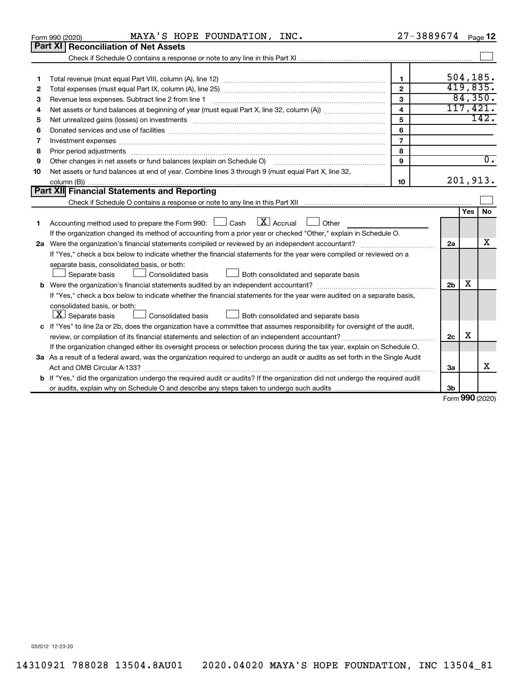| 1  |                                                                                                                                                                                                                                | 1.             |                | 504, 185. |           |
|----|--------------------------------------------------------------------------------------------------------------------------------------------------------------------------------------------------------------------------------|----------------|----------------|-----------|-----------|
| 2  |                                                                                                                                                                                                                                | $\overline{2}$ |                | 419,835.  |           |
| З  |                                                                                                                                                                                                                                | $\mathbf{3}$   |                | 84,350.   |           |
| 4  |                                                                                                                                                                                                                                | $\overline{4}$ |                | 117,421.  |           |
| 5  | Net unrealized gains (losses) on investments [11] matter in the content of the state of the state of the state of the state of the state of the state of the state of the state of the state of the state of the state of the  | 5              |                |           | 142.      |
| 6  |                                                                                                                                                                                                                                | 6              |                |           |           |
| 7  | Investment expenses [[11] has a series and a series of the series of the series and series and series and series and series and series and series and series and series and series and series and series and series and series | $\overline{7}$ |                |           |           |
| 8  | Prior period adjustments [111] matter contract and adjustments in the contract of the contract of the contract of the contract of the contract of the contract of the contract of the contract of the contract of the contract | 8              |                |           |           |
| 9  | Other changes in net assets or fund balances (explain on Schedule O) manual content of the substitution of the                                                                                                                 | 9              |                |           | $0$ .     |
| 10 | Net assets or fund balances at end of year. Combine lines 3 through 9 (must equal Part X, line 32,                                                                                                                             |                |                |           |           |
|    |                                                                                                                                                                                                                                | 10             |                | 201,913.  |           |
|    | Part XII Financial Statements and Reporting                                                                                                                                                                                    |                |                |           |           |
|    |                                                                                                                                                                                                                                |                |                |           |           |
|    |                                                                                                                                                                                                                                |                |                | Yes       | <b>No</b> |
| 1. | Accounting method used to prepare the Form 990: $\Box$ Cash $\Box X$ Accrual $\Box$<br>Other                                                                                                                                   |                |                |           |           |
|    | If the organization changed its method of accounting from a prior year or checked "Other," explain in Schedule O.                                                                                                              |                |                |           |           |
|    |                                                                                                                                                                                                                                |                | 2a             |           | х         |
|    | If "Yes," check a box below to indicate whether the financial statements for the year were compiled or reviewed on a                                                                                                           |                |                |           |           |
|    | separate basis, consolidated basis, or both:                                                                                                                                                                                   |                |                |           |           |
|    | Separate basis<br><b>Consolidated basis</b><br>Both consolidated and separate basis                                                                                                                                            |                |                |           |           |
|    |                                                                                                                                                                                                                                |                | 2 <sub>b</sub> | х         |           |
|    | If "Yes," check a box below to indicate whether the financial statements for the year were audited on a separate basis,                                                                                                        |                |                |           |           |
|    | consolidated basis, or both:                                                                                                                                                                                                   |                |                |           |           |
|    | $\lfloor x \rfloor$ Separate basis<br><b>Consolidated basis</b><br>$\perp$ Both consolidated and separate basis                                                                                                                |                |                |           |           |
|    | c If "Yes" to line 2a or 2b, does the organization have a committee that assumes responsibility for oversight of the audit,                                                                                                    |                |                |           |           |
|    |                                                                                                                                                                                                                                |                | 2c             | х         |           |
|    | If the organization changed either its oversight process or selection process during the tax year, explain on Schedule O.                                                                                                      |                |                |           |           |
|    | 3a As a result of a federal award, was the organization required to undergo an audit or audits as set forth in the Single Audit                                                                                                |                |                |           |           |
|    |                                                                                                                                                                                                                                |                | За             |           | х         |
|    | <b>b</b> If "Yes," did the organization undergo the required audit or audits? If the organization did not undergo the required audit                                                                                           |                |                |           |           |
|    |                                                                                                                                                                                                                                |                | 3b             |           |           |

Form 990 (2020) **MAYA'S HOPE FOUNDATION, INC.**  $27-3889674$  Page

**Part XI Reconciliation of Net Assets**

27-3889674 Page 12

032012 12-23-20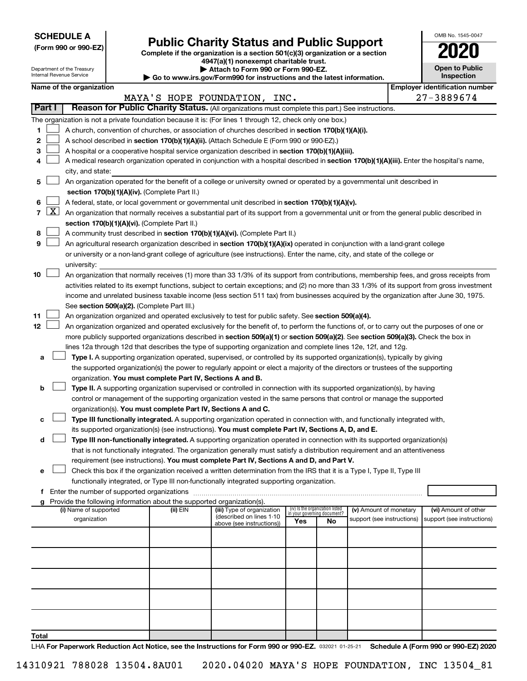**SCHEDULE A**

### Form 990 or 990-EZ) **Public Charity Status and Public Support**<br>
Complete if the organization is a section 501(c)(3) organization or a section<br> **2020**

**4947(a)(1) nonexempt charitable trust.**

| OMB No. 1545-0047                   |
|-------------------------------------|
| 020                                 |
| <b>Open to Public</b><br>Inspection |

 $\blacksquare$ 

|    |                 |                                                                                                                                                   | Department of the Treasury<br>Internal Revenue Service |  |                                                                        | Attach to Form 990 or Form 990-EZ.<br>$\blacktriangleright$ Go to www.irs.gov/Form990 for instructions and the latest information.           |     |                                                                |                            |  | <b>Open to Public</b><br>Inspection   |  |
|----|-----------------|---------------------------------------------------------------------------------------------------------------------------------------------------|--------------------------------------------------------|--|------------------------------------------------------------------------|----------------------------------------------------------------------------------------------------------------------------------------------|-----|----------------------------------------------------------------|----------------------------|--|---------------------------------------|--|
|    |                 |                                                                                                                                                   | Name of the organization                               |  |                                                                        |                                                                                                                                              |     |                                                                |                            |  | <b>Employer identification number</b> |  |
|    |                 |                                                                                                                                                   |                                                        |  |                                                                        | MAYA'S HOPE FOUNDATION, INC.                                                                                                                 |     |                                                                |                            |  | 27-3889674                            |  |
|    | Part I          |                                                                                                                                                   |                                                        |  |                                                                        | Reason for Public Charity Status. (All organizations must complete this part.) See instructions.                                             |     |                                                                |                            |  |                                       |  |
|    |                 |                                                                                                                                                   |                                                        |  |                                                                        | The organization is not a private foundation because it is: (For lines 1 through 12, check only one box.)                                    |     |                                                                |                            |  |                                       |  |
| 1  |                 |                                                                                                                                                   |                                                        |  |                                                                        | A church, convention of churches, or association of churches described in section 170(b)(1)(A)(i).                                           |     |                                                                |                            |  |                                       |  |
| 2  |                 |                                                                                                                                                   |                                                        |  |                                                                        | A school described in section 170(b)(1)(A)(ii). (Attach Schedule E (Form 990 or 990-EZ).)                                                    |     |                                                                |                            |  |                                       |  |
| з  |                 |                                                                                                                                                   |                                                        |  |                                                                        | A hospital or a cooperative hospital service organization described in section 170(b)(1)(A)(iii).                                            |     |                                                                |                            |  |                                       |  |
|    |                 |                                                                                                                                                   |                                                        |  |                                                                        | A medical research organization operated in conjunction with a hospital described in section 170(b)(1)(A)(iii). Enter the hospital's name,   |     |                                                                |                            |  |                                       |  |
|    |                 |                                                                                                                                                   | city, and state:                                       |  |                                                                        |                                                                                                                                              |     |                                                                |                            |  |                                       |  |
| 5  |                 |                                                                                                                                                   |                                                        |  |                                                                        | An organization operated for the benefit of a college or university owned or operated by a governmental unit described in                    |     |                                                                |                            |  |                                       |  |
|    |                 |                                                                                                                                                   |                                                        |  |                                                                        |                                                                                                                                              |     |                                                                |                            |  |                                       |  |
| 6  |                 | section 170(b)(1)(A)(iv). (Complete Part II.)<br>A federal, state, or local government or governmental unit described in section 170(b)(1)(A)(v). |                                                        |  |                                                                        |                                                                                                                                              |     |                                                                |                            |  |                                       |  |
|    | $7 \mid X \mid$ |                                                                                                                                                   |                                                        |  |                                                                        | An organization that normally receives a substantial part of its support from a governmental unit or from the general public described in    |     |                                                                |                            |  |                                       |  |
|    |                 |                                                                                                                                                   |                                                        |  | section 170(b)(1)(A)(vi). (Complete Part II.)                          |                                                                                                                                              |     |                                                                |                            |  |                                       |  |
| 8  |                 |                                                                                                                                                   |                                                        |  |                                                                        | A community trust described in section 170(b)(1)(A)(vi). (Complete Part II.)                                                                 |     |                                                                |                            |  |                                       |  |
| 9  |                 |                                                                                                                                                   |                                                        |  |                                                                        | An agricultural research organization described in section 170(b)(1)(A)(ix) operated in conjunction with a land-grant college                |     |                                                                |                            |  |                                       |  |
|    |                 |                                                                                                                                                   |                                                        |  |                                                                        | or university or a non-land-grant college of agriculture (see instructions). Enter the name, city, and state of the college or               |     |                                                                |                            |  |                                       |  |
|    |                 |                                                                                                                                                   | university:                                            |  |                                                                        |                                                                                                                                              |     |                                                                |                            |  |                                       |  |
| 10 |                 |                                                                                                                                                   |                                                        |  |                                                                        | An organization that normally receives (1) more than 33 1/3% of its support from contributions, membership fees, and gross receipts from     |     |                                                                |                            |  |                                       |  |
|    |                 |                                                                                                                                                   |                                                        |  |                                                                        | activities related to its exempt functions, subject to certain exceptions; and (2) no more than 33 1/3% of its support from gross investment |     |                                                                |                            |  |                                       |  |
|    |                 |                                                                                                                                                   |                                                        |  |                                                                        | income and unrelated business taxable income (less section 511 tax) from businesses acquired by the organization after June 30, 1975.        |     |                                                                |                            |  |                                       |  |
|    |                 |                                                                                                                                                   |                                                        |  | See section 509(a)(2). (Complete Part III.)                            |                                                                                                                                              |     |                                                                |                            |  |                                       |  |
| 11 |                 |                                                                                                                                                   |                                                        |  |                                                                        | An organization organized and operated exclusively to test for public safety. See section 509(a)(4).                                         |     |                                                                |                            |  |                                       |  |
| 12 |                 |                                                                                                                                                   |                                                        |  |                                                                        | An organization organized and operated exclusively for the benefit of, to perform the functions of, or to carry out the purposes of one or   |     |                                                                |                            |  |                                       |  |
|    |                 |                                                                                                                                                   |                                                        |  |                                                                        | more publicly supported organizations described in section 509(a)(1) or section 509(a)(2). See section 509(a)(3). Check the box in           |     |                                                                |                            |  |                                       |  |
|    |                 |                                                                                                                                                   |                                                        |  |                                                                        | lines 12a through 12d that describes the type of supporting organization and complete lines 12e, 12f, and 12g.                               |     |                                                                |                            |  |                                       |  |
| а  |                 |                                                                                                                                                   |                                                        |  |                                                                        | Type I. A supporting organization operated, supervised, or controlled by its supported organization(s), typically by giving                  |     |                                                                |                            |  |                                       |  |
|    |                 |                                                                                                                                                   |                                                        |  |                                                                        | the supported organization(s) the power to regularly appoint or elect a majority of the directors or trustees of the supporting              |     |                                                                |                            |  |                                       |  |
|    |                 |                                                                                                                                                   |                                                        |  | organization. You must complete Part IV, Sections A and B.             |                                                                                                                                              |     |                                                                |                            |  |                                       |  |
| b  |                 |                                                                                                                                                   |                                                        |  |                                                                        | Type II. A supporting organization supervised or controlled in connection with its supported organization(s), by having                      |     |                                                                |                            |  |                                       |  |
|    |                 |                                                                                                                                                   |                                                        |  |                                                                        | control or management of the supporting organization vested in the same persons that control or manage the supported                         |     |                                                                |                            |  |                                       |  |
|    |                 |                                                                                                                                                   |                                                        |  | organization(s). You must complete Part IV, Sections A and C.          |                                                                                                                                              |     |                                                                |                            |  |                                       |  |
| c  |                 |                                                                                                                                                   |                                                        |  |                                                                        | Type III functionally integrated. A supporting organization operated in connection with, and functionally integrated with,                   |     |                                                                |                            |  |                                       |  |
|    |                 |                                                                                                                                                   |                                                        |  |                                                                        | its supported organization(s) (see instructions). You must complete Part IV, Sections A, D, and E.                                           |     |                                                                |                            |  |                                       |  |
| d  |                 |                                                                                                                                                   |                                                        |  |                                                                        | Type III non-functionally integrated. A supporting organization operated in connection with its supported organization(s)                    |     |                                                                |                            |  |                                       |  |
|    |                 |                                                                                                                                                   |                                                        |  |                                                                        | that is not functionally integrated. The organization generally must satisfy a distribution requirement and an attentiveness                 |     |                                                                |                            |  |                                       |  |
|    |                 |                                                                                                                                                   |                                                        |  |                                                                        | requirement (see instructions). You must complete Part IV, Sections A and D, and Part V.                                                     |     |                                                                |                            |  |                                       |  |
| е  |                 |                                                                                                                                                   |                                                        |  |                                                                        | Check this box if the organization received a written determination from the IRS that it is a Type I, Type II, Type III                      |     |                                                                |                            |  |                                       |  |
|    |                 |                                                                                                                                                   |                                                        |  |                                                                        | functionally integrated, or Type III non-functionally integrated supporting organization.                                                    |     |                                                                |                            |  |                                       |  |
|    |                 |                                                                                                                                                   |                                                        |  |                                                                        |                                                                                                                                              |     |                                                                |                            |  |                                       |  |
|    |                 |                                                                                                                                                   |                                                        |  | Provide the following information about the supported organization(s). |                                                                                                                                              |     |                                                                |                            |  |                                       |  |
|    |                 |                                                                                                                                                   | (i) Name of supported                                  |  | (ii) EIN                                                               | (iii) Type of organization                                                                                                                   |     | (iv) Is the organization listed<br>in vour aovernina document? | (v) Amount of monetary     |  | (vi) Amount of other                  |  |
|    |                 |                                                                                                                                                   | organization                                           |  |                                                                        | (described on lines 1-10<br>above (see instructions))                                                                                        | Yes | No                                                             | support (see instructions) |  | support (see instructions)            |  |
|    |                 |                                                                                                                                                   |                                                        |  |                                                                        |                                                                                                                                              |     |                                                                |                            |  |                                       |  |
|    |                 |                                                                                                                                                   |                                                        |  |                                                                        |                                                                                                                                              |     |                                                                |                            |  |                                       |  |
|    |                 |                                                                                                                                                   |                                                        |  |                                                                        |                                                                                                                                              |     |                                                                |                            |  |                                       |  |
|    |                 |                                                                                                                                                   |                                                        |  |                                                                        |                                                                                                                                              |     |                                                                |                            |  |                                       |  |
|    |                 |                                                                                                                                                   |                                                        |  |                                                                        |                                                                                                                                              |     |                                                                |                            |  |                                       |  |
|    |                 |                                                                                                                                                   |                                                        |  |                                                                        |                                                                                                                                              |     |                                                                |                            |  |                                       |  |
|    |                 |                                                                                                                                                   |                                                        |  |                                                                        |                                                                                                                                              |     |                                                                |                            |  |                                       |  |
|    |                 |                                                                                                                                                   |                                                        |  |                                                                        |                                                                                                                                              |     |                                                                |                            |  |                                       |  |
|    |                 |                                                                                                                                                   |                                                        |  |                                                                        |                                                                                                                                              |     |                                                                |                            |  |                                       |  |
|    |                 |                                                                                                                                                   |                                                        |  |                                                                        |                                                                                                                                              |     |                                                                |                            |  |                                       |  |

**Total**

LHA For Paperwork Reduction Act Notice, see the Instructions for Form 990 or 990-EZ. 032021 01-25-21 Schedule A (Form 990 or 990-EZ) 2020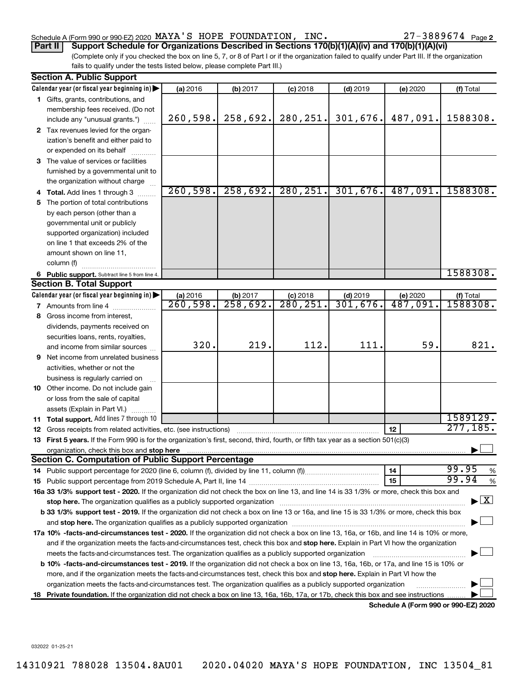### Schedule A (Form 990 or 990-EZ) 2020 Page MAYA'S HOPE FOUNDATION, INC. 27-3889674

27-3889674 Page 2

(Complete only if you checked the box on line 5, 7, or 8 of Part I or if the organization failed to qualify under Part III. If the organization fails to qualify under the tests listed below, please complete Part III.) **Part II Support Schedule for Organizations Described in Sections 170(b)(1)(A)(iv) and 170(b)(1)(A)(vi)**

|    | <b>Section A. Public Support</b>                                                                                                                                                                                               |                                    |                                  |                       |                        |                     |                                          |  |  |  |  |
|----|--------------------------------------------------------------------------------------------------------------------------------------------------------------------------------------------------------------------------------|------------------------------------|----------------------------------|-----------------------|------------------------|---------------------|------------------------------------------|--|--|--|--|
|    | Calendar year (or fiscal year beginning in)                                                                                                                                                                                    | (a) 2016                           | (b) 2017                         | $(c)$ 2018            | $(d)$ 2019             | (e) 2020            | (f) Total                                |  |  |  |  |
|    | 1 Gifts, grants, contributions, and                                                                                                                                                                                            |                                    |                                  |                       |                        |                     |                                          |  |  |  |  |
|    | membership fees received. (Do not                                                                                                                                                                                              |                                    |                                  |                       |                        |                     |                                          |  |  |  |  |
|    | include any "unusual grants.")                                                                                                                                                                                                 | 260,598.                           | 258,692.                         | 280,251.              | 301,676.               | 487,091.            | 1588308.                                 |  |  |  |  |
|    | 2 Tax revenues levied for the organ-                                                                                                                                                                                           |                                    |                                  |                       |                        |                     |                                          |  |  |  |  |
|    | ization's benefit and either paid to                                                                                                                                                                                           |                                    |                                  |                       |                        |                     |                                          |  |  |  |  |
|    | or expended on its behalf                                                                                                                                                                                                      |                                    |                                  |                       |                        |                     |                                          |  |  |  |  |
|    | 3 The value of services or facilities                                                                                                                                                                                          |                                    |                                  |                       |                        |                     |                                          |  |  |  |  |
|    | furnished by a governmental unit to                                                                                                                                                                                            |                                    |                                  |                       |                        |                     |                                          |  |  |  |  |
|    | the organization without charge                                                                                                                                                                                                |                                    |                                  |                       |                        |                     |                                          |  |  |  |  |
|    | 4 Total. Add lines 1 through 3                                                                                                                                                                                                 | 260,598.                           | 258,692.                         | 280, 251.             | 301,676.               | 487,091.            | 1588308.                                 |  |  |  |  |
| 5  | The portion of total contributions                                                                                                                                                                                             |                                    |                                  |                       |                        |                     |                                          |  |  |  |  |
|    | by each person (other than a                                                                                                                                                                                                   |                                    |                                  |                       |                        |                     |                                          |  |  |  |  |
|    | governmental unit or publicly                                                                                                                                                                                                  |                                    |                                  |                       |                        |                     |                                          |  |  |  |  |
|    | supported organization) included                                                                                                                                                                                               |                                    |                                  |                       |                        |                     |                                          |  |  |  |  |
|    | on line 1 that exceeds 2% of the                                                                                                                                                                                               |                                    |                                  |                       |                        |                     |                                          |  |  |  |  |
|    | amount shown on line 11,                                                                                                                                                                                                       |                                    |                                  |                       |                        |                     |                                          |  |  |  |  |
|    | column (f)                                                                                                                                                                                                                     |                                    |                                  |                       |                        |                     |                                          |  |  |  |  |
|    |                                                                                                                                                                                                                                |                                    |                                  |                       |                        |                     | 1588308.                                 |  |  |  |  |
|    | 6 Public support. Subtract line 5 from line 4.<br><b>Section B. Total Support</b>                                                                                                                                              |                                    |                                  |                       |                        |                     |                                          |  |  |  |  |
|    | Calendar year (or fiscal year beginning in)                                                                                                                                                                                    |                                    |                                  |                       |                        |                     |                                          |  |  |  |  |
|    | 7 Amounts from line 4                                                                                                                                                                                                          | (a) 2016<br>$\overline{260,598}$ . | (b) 2017<br>$\overline{258,692}$ | $(c)$ 2018<br>280,251 | $(d)$ 2019<br>301,676. | (e) 2020<br>487,091 | (f) Total<br>1588308.                    |  |  |  |  |
|    |                                                                                                                                                                                                                                |                                    |                                  |                       |                        |                     |                                          |  |  |  |  |
|    | 8 Gross income from interest,                                                                                                                                                                                                  |                                    |                                  |                       |                        |                     |                                          |  |  |  |  |
|    | dividends, payments received on                                                                                                                                                                                                |                                    |                                  |                       |                        |                     |                                          |  |  |  |  |
|    | securities loans, rents, royalties,                                                                                                                                                                                            | 320.                               | 219.                             | 112.                  | 111.                   | 59.                 | 821.                                     |  |  |  |  |
|    | and income from similar sources                                                                                                                                                                                                |                                    |                                  |                       |                        |                     |                                          |  |  |  |  |
| 9. | Net income from unrelated business                                                                                                                                                                                             |                                    |                                  |                       |                        |                     |                                          |  |  |  |  |
|    | activities, whether or not the                                                                                                                                                                                                 |                                    |                                  |                       |                        |                     |                                          |  |  |  |  |
|    | business is regularly carried on                                                                                                                                                                                               |                                    |                                  |                       |                        |                     |                                          |  |  |  |  |
|    | 10 Other income. Do not include gain                                                                                                                                                                                           |                                    |                                  |                       |                        |                     |                                          |  |  |  |  |
|    | or loss from the sale of capital                                                                                                                                                                                               |                                    |                                  |                       |                        |                     |                                          |  |  |  |  |
|    | assets (Explain in Part VI.)                                                                                                                                                                                                   |                                    |                                  |                       |                        |                     |                                          |  |  |  |  |
|    | 11 Total support. Add lines 7 through 10                                                                                                                                                                                       |                                    |                                  |                       |                        |                     | 1589129.                                 |  |  |  |  |
|    | 12 Gross receipts from related activities, etc. (see instructions)                                                                                                                                                             |                                    |                                  |                       |                        | 12                  | 277, 185.                                |  |  |  |  |
|    | 13 First 5 years. If the Form 990 is for the organization's first, second, third, fourth, or fifth tax year as a section 501(c)(3)                                                                                             |                                    |                                  |                       |                        |                     |                                          |  |  |  |  |
|    | organization, check this box and stop here                                                                                                                                                                                     |                                    |                                  |                       |                        |                     |                                          |  |  |  |  |
|    | <b>Section C. Computation of Public Support Percentage</b>                                                                                                                                                                     |                                    |                                  |                       |                        |                     |                                          |  |  |  |  |
|    |                                                                                                                                                                                                                                |                                    |                                  |                       |                        | 14                  | 99.95<br>%                               |  |  |  |  |
|    |                                                                                                                                                                                                                                |                                    |                                  |                       |                        | 15                  | 99.94<br>$\%$                            |  |  |  |  |
|    | 16a 33 1/3% support test - 2020. If the organization did not check the box on line 13, and line 14 is 33 1/3% or more, check this box and                                                                                      |                                    |                                  |                       |                        |                     |                                          |  |  |  |  |
|    | stop here. The organization qualifies as a publicly supported organization manufaction manufacture or manufacture or the organization manufacture or the organization of the state of the state of the state of the state or m |                                    |                                  |                       |                        |                     | $\blacktriangleright$ $\boxed{\text{X}}$ |  |  |  |  |
|    | b 33 1/3% support test - 2019. If the organization did not check a box on line 13 or 16a, and line 15 is 33 1/3% or more, check this box                                                                                       |                                    |                                  |                       |                        |                     |                                          |  |  |  |  |
|    |                                                                                                                                                                                                                                |                                    |                                  |                       |                        |                     |                                          |  |  |  |  |
|    | 17a 10% -facts-and-circumstances test - 2020. If the organization did not check a box on line 13, 16a, or 16b, and line 14 is 10% or more,                                                                                     |                                    |                                  |                       |                        |                     |                                          |  |  |  |  |
|    | and if the organization meets the facts-and-circumstances test, check this box and stop here. Explain in Part VI how the organization                                                                                          |                                    |                                  |                       |                        |                     |                                          |  |  |  |  |
|    | meets the facts-and-circumstances test. The organization qualifies as a publicly supported organization                                                                                                                        |                                    |                                  |                       |                        |                     |                                          |  |  |  |  |
|    | b 10% -facts-and-circumstances test - 2019. If the organization did not check a box on line 13, 16a, 16b, or 17a, and line 15 is 10% or                                                                                        |                                    |                                  |                       |                        |                     |                                          |  |  |  |  |
|    | more, and if the organization meets the facts-and-circumstances test, check this box and stop here. Explain in Part VI how the                                                                                                 |                                    |                                  |                       |                        |                     |                                          |  |  |  |  |
|    | organization meets the facts-and-circumstances test. The organization qualifies as a publicly supported organization                                                                                                           |                                    |                                  |                       |                        |                     |                                          |  |  |  |  |
| 18 | Private foundation. If the organization did not check a box on line 13, 16a, 16b, 17a, or 17b, check this box and see instructions                                                                                             |                                    |                                  |                       |                        |                     |                                          |  |  |  |  |
|    |                                                                                                                                                                                                                                |                                    |                                  |                       |                        |                     |                                          |  |  |  |  |

**Schedule A (Form 990 or 990-EZ) 2020**

032022 01-25-21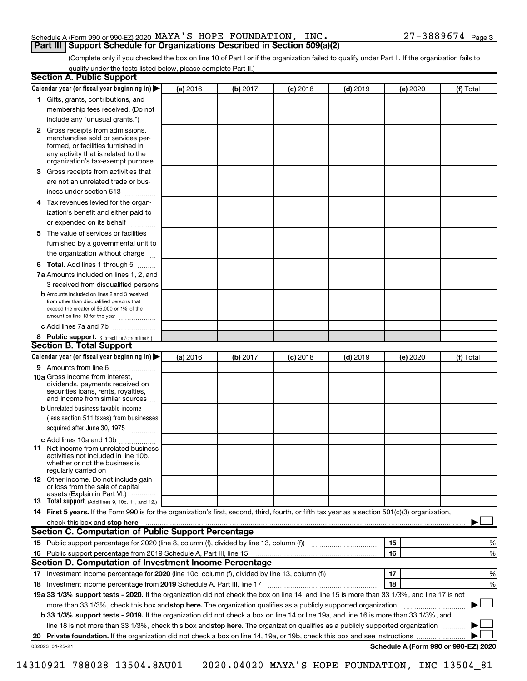#### Schedule A (Form 990 or 990-EZ) 2020 Page MAYA'S HOPE FOUNDATION, INC. 27-3889674 **Part III Support Schedule for Organizations Described in Section 509(a)(2)**

(Complete only if you checked the box on line 10 of Part I or if the organization failed to qualify under Part II. If the organization fails to qualify under the tests listed below, please complete Part II.)

| <b>Section A. Public Support</b>                                                                                                                                                         |          |          |            |            |          |                                      |
|------------------------------------------------------------------------------------------------------------------------------------------------------------------------------------------|----------|----------|------------|------------|----------|--------------------------------------|
| Calendar year (or fiscal year beginning in)                                                                                                                                              | (a) 2016 | (b) 2017 | $(c)$ 2018 | $(d)$ 2019 | (e) 2020 | (f) Total                            |
| 1 Gifts, grants, contributions, and                                                                                                                                                      |          |          |            |            |          |                                      |
| membership fees received. (Do not                                                                                                                                                        |          |          |            |            |          |                                      |
| include any "unusual grants.")                                                                                                                                                           |          |          |            |            |          |                                      |
| 2 Gross receipts from admissions,<br>merchandise sold or services per-<br>formed, or facilities furnished in<br>any activity that is related to the<br>organization's tax-exempt purpose |          |          |            |            |          |                                      |
| 3 Gross receipts from activities that                                                                                                                                                    |          |          |            |            |          |                                      |
| are not an unrelated trade or bus-<br>iness under section 513                                                                                                                            |          |          |            |            |          |                                      |
| 4 Tax revenues levied for the organ-                                                                                                                                                     |          |          |            |            |          |                                      |
| ization's benefit and either paid to                                                                                                                                                     |          |          |            |            |          |                                      |
| or expended on its behalf                                                                                                                                                                |          |          |            |            |          |                                      |
| 5 The value of services or facilities                                                                                                                                                    |          |          |            |            |          |                                      |
| furnished by a governmental unit to                                                                                                                                                      |          |          |            |            |          |                                      |
| the organization without charge                                                                                                                                                          |          |          |            |            |          |                                      |
| <b>6 Total.</b> Add lines 1 through 5                                                                                                                                                    |          |          |            |            |          |                                      |
| 7a Amounts included on lines 1, 2, and                                                                                                                                                   |          |          |            |            |          |                                      |
| 3 received from disqualified persons                                                                                                                                                     |          |          |            |            |          |                                      |
| <b>b</b> Amounts included on lines 2 and 3 received                                                                                                                                      |          |          |            |            |          |                                      |
| from other than disqualified persons that<br>exceed the greater of \$5,000 or 1% of the                                                                                                  |          |          |            |            |          |                                      |
| amount on line 13 for the year                                                                                                                                                           |          |          |            |            |          |                                      |
| c Add lines 7a and 7b                                                                                                                                                                    |          |          |            |            |          |                                      |
| 8 Public support. (Subtract line 7c from line 6.)                                                                                                                                        |          |          |            |            |          |                                      |
| <b>Section B. Total Support</b>                                                                                                                                                          |          |          |            |            |          |                                      |
| Calendar year (or fiscal year beginning in)                                                                                                                                              | (a) 2016 | (b) 2017 | (c) 2018   | $(d)$ 2019 | (e) 2020 | (f) Total                            |
| 9 Amounts from line 6                                                                                                                                                                    |          |          |            |            |          |                                      |
| <b>10a</b> Gross income from interest,<br>dividends, payments received on<br>securities loans, rents, royalties,<br>and income from similar sources                                      |          |          |            |            |          |                                      |
| <b>b</b> Unrelated business taxable income                                                                                                                                               |          |          |            |            |          |                                      |
| (less section 511 taxes) from businesses                                                                                                                                                 |          |          |            |            |          |                                      |
| acquired after June 30, 1975<br>$\frac{1}{2}$                                                                                                                                            |          |          |            |            |          |                                      |
| c Add lines 10a and 10b<br>11 Net income from unrelated business<br>activities not included in line 10b.<br>whether or not the business is<br>regularly carried on                       |          |          |            |            |          |                                      |
| <b>12</b> Other income. Do not include gain<br>or loss from the sale of capital<br>assets (Explain in Part VI.)                                                                          |          |          |            |            |          |                                      |
| <b>13</b> Total support. (Add lines 9, 10c, 11, and 12.)                                                                                                                                 |          |          |            |            |          |                                      |
| 14 First 5 years. If the Form 990 is for the organization's first, second, third, fourth, or fifth tax year as a section 501(c)(3) organization,                                         |          |          |            |            |          |                                      |
|                                                                                                                                                                                          |          |          |            |            |          |                                      |
| Section C. Computation of Public Support Percentage                                                                                                                                      |          |          |            |            |          |                                      |
|                                                                                                                                                                                          |          |          |            |            | 15       | %                                    |
| 16 Public support percentage from 2019 Schedule A, Part III, line 15                                                                                                                     |          |          |            |            | 16       | %                                    |
| Section D. Computation of Investment Income Percentage                                                                                                                                   |          |          |            |            |          |                                      |
|                                                                                                                                                                                          |          |          |            |            | 17       | %                                    |
| 18 Investment income percentage from 2019 Schedule A, Part III, line 17                                                                                                                  |          |          |            |            | 18       | %                                    |
| 19a 33 1/3% support tests - 2020. If the organization did not check the box on line 14, and line 15 is more than 33 1/3%, and line 17 is not                                             |          |          |            |            |          |                                      |
| more than 33 1/3%, check this box and stop here. The organization qualifies as a publicly supported organization                                                                         |          |          |            |            |          |                                      |
| b 33 1/3% support tests - 2019. If the organization did not check a box on line 14 or line 19a, and line 16 is more than 33 1/3%, and                                                    |          |          |            |            |          |                                      |
| line 18 is not more than 33 1/3%, check this box and stop here. The organization qualifies as a publicly supported organization                                                          |          |          |            |            |          |                                      |
|                                                                                                                                                                                          |          |          |            |            |          |                                      |
| 032023 01-25-21                                                                                                                                                                          |          |          |            |            |          | Schedule A (Form 990 or 990-EZ) 2020 |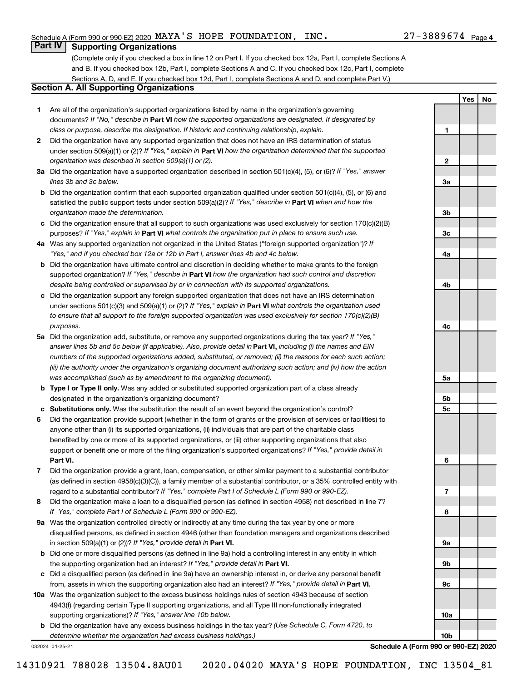**1**

**2**

**3a**

**3b**

**3c**

**4a**

**4b**

**4c**

**5a**

**5b 5c**

**6**

**7**

**8**

**9a**

**9b**

**9c**

**10a**

**10b**

**Yes No**

### **Part IV Supporting Organizations**

(Complete only if you checked a box in line 12 on Part I. If you checked box 12a, Part I, complete Sections A and B. If you checked box 12b, Part I, complete Sections A and C. If you checked box 12c, Part I, complete Sections A, D, and E. If you checked box 12d, Part I, complete Sections A and D, and complete Part V.)

### **Section A. All Supporting Organizations**

- **1** Are all of the organization's supported organizations listed by name in the organization's governing documents? If "No," describe in Part VI how the supported organizations are designated. If designated by *class or purpose, describe the designation. If historic and continuing relationship, explain.*
- **2** Did the organization have any supported organization that does not have an IRS determination of status under section 509(a)(1) or (2)? If "Yes," explain in Part **VI** how the organization determined that the supported *organization was described in section 509(a)(1) or (2).*
- **3a** Did the organization have a supported organization described in section 501(c)(4), (5), or (6)? If "Yes," answer *lines 3b and 3c below.*
- **b** Did the organization confirm that each supported organization qualified under section 501(c)(4), (5), or (6) and satisfied the public support tests under section 509(a)(2)? If "Yes," describe in Part VI when and how the *organization made the determination.*
- **c** Did the organization ensure that all support to such organizations was used exclusively for section 170(c)(2)(B) purposes? If "Yes," explain in Part VI what controls the organization put in place to ensure such use.
- **4 a** *If* Was any supported organization not organized in the United States ("foreign supported organization")? *"Yes," and if you checked box 12a or 12b in Part I, answer lines 4b and 4c below.*
- **b** Did the organization have ultimate control and discretion in deciding whether to make grants to the foreign supported organization? If "Yes," describe in Part VI how the organization had such control and discretion *despite being controlled or supervised by or in connection with its supported organizations.*
- **c** Did the organization support any foreign supported organization that does not have an IRS determination under sections 501(c)(3) and 509(a)(1) or (2)? If "Yes," explain in Part VI what controls the organization used *to ensure that all support to the foreign supported organization was used exclusively for section 170(c)(2)(B) purposes.*
- **5a** Did the organization add, substitute, or remove any supported organizations during the tax year? If "Yes," answer lines 5b and 5c below (if applicable). Also, provide detail in **Part VI,** including (i) the names and EIN *numbers of the supported organizations added, substituted, or removed; (ii) the reasons for each such action; (iii) the authority under the organization's organizing document authorizing such action; and (iv) how the action was accomplished (such as by amendment to the organizing document).*
- **b Type I or Type II only.** Was any added or substituted supported organization part of a class already designated in the organization's organizing document?
- **c Substitutions only.**  Was the substitution the result of an event beyond the organization's control?
- **6** Did the organization provide support (whether in the form of grants or the provision of services or facilities) to **Part VI.** support or benefit one or more of the filing organization's supported organizations? If "Yes," provide detail in anyone other than (i) its supported organizations, (ii) individuals that are part of the charitable class benefited by one or more of its supported organizations, or (iii) other supporting organizations that also
- **7** Did the organization provide a grant, loan, compensation, or other similar payment to a substantial contributor regard to a substantial contributor? If "Yes," complete Part I of Schedule L (Form 990 or 990-EZ). (as defined in section 4958(c)(3)(C)), a family member of a substantial contributor, or a 35% controlled entity with
- **8** Did the organization make a loan to a disqualified person (as defined in section 4958) not described in line 7? *If "Yes," complete Part I of Schedule L (Form 990 or 990-EZ).*
- **9 a** Was the organization controlled directly or indirectly at any time during the tax year by one or more in section 509(a)(1) or (2))? If "Yes," provide detail in **Part VI.** disqualified persons, as defined in section 4946 (other than foundation managers and organizations described
- **b** Did one or more disqualified persons (as defined in line 9a) hold a controlling interest in any entity in which the supporting organization had an interest? If "Yes," provide detail in Part VI.
- **c** Did a disqualified person (as defined in line 9a) have an ownership interest in, or derive any personal benefit from, assets in which the supporting organization also had an interest? If "Yes," provide detail in Part VI.
- **10 a** Was the organization subject to the excess business holdings rules of section 4943 because of section supporting organizations)? If "Yes," answer line 10b below. 4943(f) (regarding certain Type II supporting organizations, and all Type III non-functionally integrated
	- **b** Did the organization have any excess business holdings in the tax year? (Use Schedule C, Form 4720, to *determine whether the organization had excess business holdings.)*

032024 01-25-21

**Schedule A (Form 990 or 990-EZ) 2020**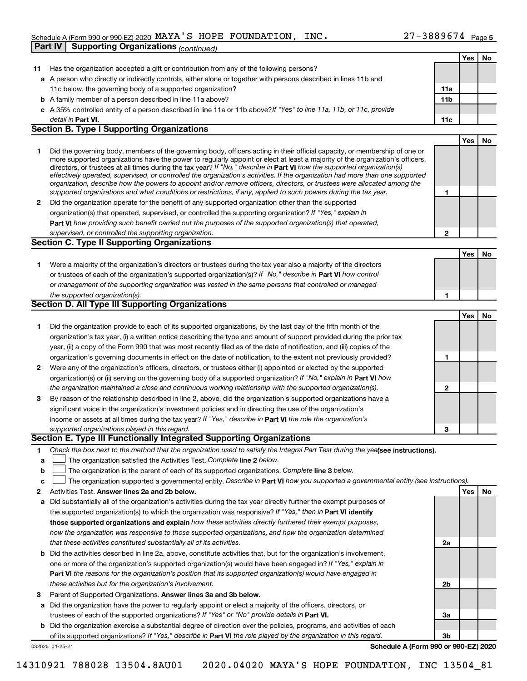#### Schedule A (Form 990 or 990-EZ) 2020 MAYA S HOPE FOUNDATION , INC  $\sim$  27 - 3889674 Page MAYA'S HOPE FOUNDATION, INC. 27-3889674

**Part IV Supporting Organizations** *(continued)*

|              |                                                                                                                                                                                                                                                                                                                                                                                        |              | Yes | No |
|--------------|----------------------------------------------------------------------------------------------------------------------------------------------------------------------------------------------------------------------------------------------------------------------------------------------------------------------------------------------------------------------------------------|--------------|-----|----|
| 11           | Has the organization accepted a gift or contribution from any of the following persons?                                                                                                                                                                                                                                                                                                |              |     |    |
|              | a A person who directly or indirectly controls, either alone or together with persons described in lines 11b and                                                                                                                                                                                                                                                                       |              |     |    |
|              | 11c below, the governing body of a supported organization?                                                                                                                                                                                                                                                                                                                             | 11a          |     |    |
|              | <b>b</b> A family member of a person described in line 11a above?                                                                                                                                                                                                                                                                                                                      | 11b          |     |    |
|              | c A 35% controlled entity of a person described in line 11a or 11b above? If "Yes" to line 11a, 11b, or 11c, provide                                                                                                                                                                                                                                                                   |              |     |    |
|              | detail in Part VI.                                                                                                                                                                                                                                                                                                                                                                     | 11c          |     |    |
|              | <b>Section B. Type I Supporting Organizations</b>                                                                                                                                                                                                                                                                                                                                      |              |     |    |
|              |                                                                                                                                                                                                                                                                                                                                                                                        |              | Yes | No |
| 1            | Did the governing body, members of the governing body, officers acting in their official capacity, or membership of one or<br>more supported organizations have the power to regularly appoint or elect at least a majority of the organization's officers,<br>directors, or trustees at all times during the tax year? If "No," describe in Part VI how the supported organization(s) |              |     |    |
|              | effectively operated, supervised, or controlled the organization's activities. If the organization had more than one supported<br>organization, describe how the powers to appoint and/or remove officers, directors, or trustees were allocated among the<br>supported organizations and what conditions or restrictions, if any, applied to such powers during the tax year.         | 1            |     |    |
| $\mathbf{2}$ | Did the organization operate for the benefit of any supported organization other than the supported                                                                                                                                                                                                                                                                                    |              |     |    |
|              | organization(s) that operated, supervised, or controlled the supporting organization? If "Yes," explain in                                                                                                                                                                                                                                                                             |              |     |    |
|              | Part VI how providing such benefit carried out the purposes of the supported organization(s) that operated,                                                                                                                                                                                                                                                                            |              |     |    |
|              | supervised, or controlled the supporting organization.                                                                                                                                                                                                                                                                                                                                 | $\mathbf{2}$ |     |    |
|              | <b>Section C. Type II Supporting Organizations</b>                                                                                                                                                                                                                                                                                                                                     |              |     |    |
|              |                                                                                                                                                                                                                                                                                                                                                                                        |              | Yes | No |
| 1            | Were a majority of the organization's directors or trustees during the tax year also a majority of the directors                                                                                                                                                                                                                                                                       |              |     |    |
|              | or trustees of each of the organization's supported organization(s)? If "No," describe in Part VI how control                                                                                                                                                                                                                                                                          |              |     |    |
|              | or management of the supporting organization was vested in the same persons that controlled or managed                                                                                                                                                                                                                                                                                 |              |     |    |
|              | the supported organization(s).                                                                                                                                                                                                                                                                                                                                                         | 1            |     |    |
|              | Section D. All Type III Supporting Organizations                                                                                                                                                                                                                                                                                                                                       |              |     |    |
|              |                                                                                                                                                                                                                                                                                                                                                                                        |              | Yes | No |
| 1            | Did the organization provide to each of its supported organizations, by the last day of the fifth month of the                                                                                                                                                                                                                                                                         |              |     |    |
|              | organization's tax year, (i) a written notice describing the type and amount of support provided during the prior tax                                                                                                                                                                                                                                                                  |              |     |    |
|              | year, (ii) a copy of the Form 990 that was most recently filed as of the date of notification, and (iii) copies of the                                                                                                                                                                                                                                                                 |              |     |    |
|              | organization's governing documents in effect on the date of notification, to the extent not previously provided?                                                                                                                                                                                                                                                                       | 1            |     |    |
| $\mathbf{2}$ | Were any of the organization's officers, directors, or trustees either (i) appointed or elected by the supported                                                                                                                                                                                                                                                                       |              |     |    |
|              | organization(s) or (ii) serving on the governing body of a supported organization? If "No," explain in Part VI how                                                                                                                                                                                                                                                                     |              |     |    |
|              | the organization maintained a close and continuous working relationship with the supported organization(s).                                                                                                                                                                                                                                                                            | $\mathbf{2}$ |     |    |
|              | By reason of the relationship described in line 2, above, did the organization's supported organizations have a                                                                                                                                                                                                                                                                        |              |     |    |
| 3            |                                                                                                                                                                                                                                                                                                                                                                                        |              |     |    |
|              | significant voice in the organization's investment policies and in directing the use of the organization's                                                                                                                                                                                                                                                                             |              |     |    |
|              | income or assets at all times during the tax year? If "Yes," describe in Part VI the role the organization's                                                                                                                                                                                                                                                                           |              |     |    |
|              | supported organizations played in this regard.<br>Section E. Type III Functionally Integrated Supporting Organizations                                                                                                                                                                                                                                                                 | 3            |     |    |
|              |                                                                                                                                                                                                                                                                                                                                                                                        |              |     |    |
| 1            | Check the box next to the method that the organization used to satisfy the Integral Part Test during the yealsee instructions).                                                                                                                                                                                                                                                        |              |     |    |
| a            | The organization satisfied the Activities Test. Complete line 2 below.                                                                                                                                                                                                                                                                                                                 |              |     |    |
| b            | The organization is the parent of each of its supported organizations. Complete line 3 below.                                                                                                                                                                                                                                                                                          |              |     |    |
| с            | The organization supported a governmental entity. Describe in Part VI how you supported a governmental entity (see instructions).                                                                                                                                                                                                                                                      |              |     |    |
| 2            | Activities Test. Answer lines 2a and 2b below.                                                                                                                                                                                                                                                                                                                                         |              | Yes | No |
| а            | Did substantially all of the organization's activities during the tax year directly further the exempt purposes of                                                                                                                                                                                                                                                                     |              |     |    |
|              | the supported organization(s) to which the organization was responsive? If "Yes," then in Part VI identify                                                                                                                                                                                                                                                                             |              |     |    |
|              | those supported organizations and explain how these activities directly furthered their exempt purposes,                                                                                                                                                                                                                                                                               |              |     |    |
|              | how the organization was responsive to those supported organizations, and how the organization determined                                                                                                                                                                                                                                                                              |              |     |    |
|              | that these activities constituted substantially all of its activities.                                                                                                                                                                                                                                                                                                                 | 2a           |     |    |
| b            | Did the activities described in line 2a, above, constitute activities that, but for the organization's involvement,                                                                                                                                                                                                                                                                    |              |     |    |
|              | one or more of the organization's supported organization(s) would have been engaged in? If "Yes," explain in                                                                                                                                                                                                                                                                           |              |     |    |
|              | Part VI the reasons for the organization's position that its supported organization(s) would have engaged in                                                                                                                                                                                                                                                                           |              |     |    |
|              | these activities but for the organization's involvement.                                                                                                                                                                                                                                                                                                                               | 2b           |     |    |
| з            | Parent of Supported Organizations. Answer lines 3a and 3b below.                                                                                                                                                                                                                                                                                                                       |              |     |    |
| а            | Did the organization have the power to regularly appoint or elect a majority of the officers, directors, or                                                                                                                                                                                                                                                                            |              |     |    |
|              | trustees of each of the supported organizations? If "Yes" or "No" provide details in Part VI.                                                                                                                                                                                                                                                                                          | За           |     |    |
| b            | Did the organization exercise a substantial degree of direction over the policies, programs, and activities of each                                                                                                                                                                                                                                                                    |              |     |    |
|              | of its supported organizations? If "Yes," describe in Part VI the role played by the organization in this regard.                                                                                                                                                                                                                                                                      | 3b           |     |    |
|              | Schedule A (Form 990 or 990-EZ) 2020<br>032025 01-25-21                                                                                                                                                                                                                                                                                                                                |              |     |    |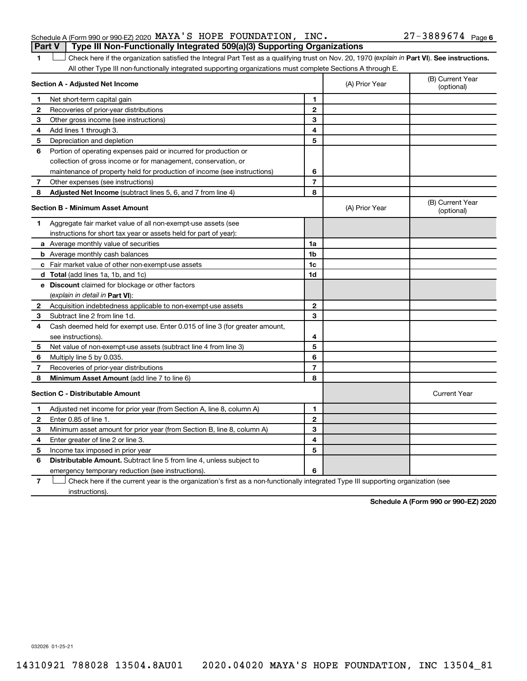#### Schedule A (Form 990 or 990-EZ) 2020 Page MAYA'S HOPE FOUNDATION, INC. 27-3889674 **Part V Type III Non-Functionally Integrated 509(a)(3) Supporting Organizations**

1 **Letter See instructions.** Check here if the organization satisfied the Integral Part Test as a qualifying trust on Nov. 20, 1970 (*explain in* Part **VI**). See instructions. All other Type III non-functionally integrated supporting organizations must complete Sections A through E.

|              | Section A - Adjusted Net Income                                             |                          | (A) Prior Year | (B) Current Year<br>(optional) |
|--------------|-----------------------------------------------------------------------------|--------------------------|----------------|--------------------------------|
| 1            | Net short-term capital gain                                                 | 1                        |                |                                |
| $\mathbf{2}$ | Recoveries of prior-year distributions                                      | $\mathbf{2}$             |                |                                |
| 3            | Other gross income (see instructions)                                       | 3                        |                |                                |
| 4            | Add lines 1 through 3.                                                      | 4                        |                |                                |
| 5            | Depreciation and depletion                                                  | 5                        |                |                                |
| 6            | Portion of operating expenses paid or incurred for production or            |                          |                |                                |
|              | collection of gross income or for management, conservation, or              |                          |                |                                |
|              | maintenance of property held for production of income (see instructions)    | 6                        |                |                                |
| 7            | Other expenses (see instructions)                                           | $\overline{7}$           |                |                                |
| 8            | Adjusted Net Income (subtract lines 5, 6, and 7 from line 4)                | 8                        |                |                                |
|              | <b>Section B - Minimum Asset Amount</b>                                     |                          | (A) Prior Year | (B) Current Year<br>(optional) |
| 1            | Aggregate fair market value of all non-exempt-use assets (see               |                          |                |                                |
|              | instructions for short tax year or assets held for part of year):           |                          |                |                                |
|              | a Average monthly value of securities                                       | 1a                       |                |                                |
|              | <b>b</b> Average monthly cash balances                                      | 1b                       |                |                                |
|              | <b>c</b> Fair market value of other non-exempt-use assets                   | 1c                       |                |                                |
|              | d Total (add lines 1a, 1b, and 1c)                                          | 1 <sub>d</sub>           |                |                                |
|              | e Discount claimed for blockage or other factors                            |                          |                |                                |
|              | (explain in detail in <b>Part VI</b> ):                                     |                          |                |                                |
| 2            | Acquisition indebtedness applicable to non-exempt-use assets                | $\mathbf{2}$             |                |                                |
| 3            | Subtract line 2 from line 1d.                                               | 3                        |                |                                |
| 4            | Cash deemed held for exempt use. Enter 0.015 of line 3 (for greater amount, |                          |                |                                |
|              | see instructions).                                                          | 4                        |                |                                |
| 5            | Net value of non-exempt-use assets (subtract line 4 from line 3)            | 5                        |                |                                |
| 6            | Multiply line 5 by 0.035.                                                   | 6                        |                |                                |
| 7            | Recoveries of prior-year distributions                                      | $\overline{\phantom{a}}$ |                |                                |
| 8            | <b>Minimum Asset Amount (add line 7 to line 6)</b>                          | 8                        |                |                                |
|              | <b>Section C - Distributable Amount</b>                                     |                          |                | <b>Current Year</b>            |
| 1            | Adjusted net income for prior year (from Section A, line 8, column A)       | 1                        |                |                                |
| $\mathbf{2}$ | Enter 0.85 of line 1.                                                       | $\mathbf{2}$             |                |                                |
| 3            | Minimum asset amount for prior year (from Section B, line 8, column A)      | 3                        |                |                                |
| 4            | Enter greater of line 2 or line 3.                                          | 4                        |                |                                |
| 5            | Income tax imposed in prior year                                            | 5                        |                |                                |
| 6            | <b>Distributable Amount.</b> Subtract line 5 from line 4, unless subject to |                          |                |                                |
|              | emergency temporary reduction (see instructions).                           | 6                        |                |                                |
|              |                                                                             |                          |                |                                |

**7** Check here if the current year is the organization's first as a non-functionally integrated Type III supporting organization (see † instructions).

**Schedule A (Form 990 or 990-EZ) 2020**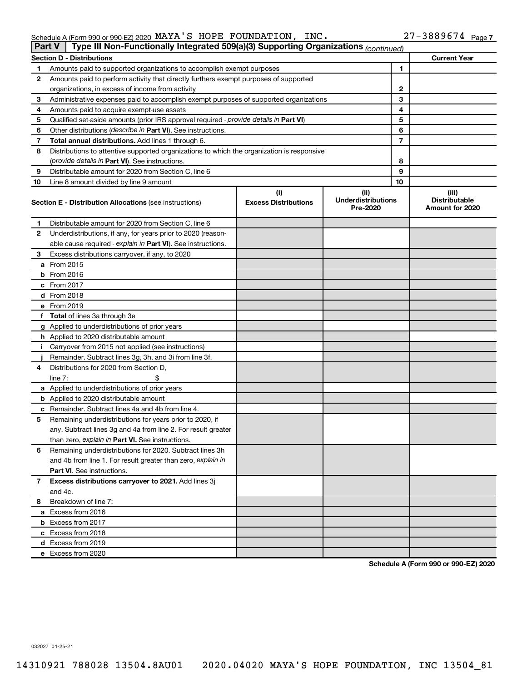| Schedule A (Form 990 or 990-EZ) 2020 $\,$ MAYA $^{\prime}$ S $\,$ HOPE $\,$ FOUNDATION , $\,$ INC $\,$ . |  |  |  |  |  | $27 - 3889674$ Page 7 |  |
|----------------------------------------------------------------------------------------------------------|--|--|--|--|--|-----------------------|--|
|----------------------------------------------------------------------------------------------------------|--|--|--|--|--|-----------------------|--|

| <b>Part V</b> | Type III Non-Functionally Integrated 509(a)(3) Supporting Organizations (continued)        |                                    |                                               |    |                                                  |
|---------------|--------------------------------------------------------------------------------------------|------------------------------------|-----------------------------------------------|----|--------------------------------------------------|
|               | <b>Section D - Distributions</b>                                                           |                                    |                                               |    | <b>Current Year</b>                              |
| 1             | Amounts paid to supported organizations to accomplish exempt purposes                      |                                    | 1                                             |    |                                                  |
| 2             | Amounts paid to perform activity that directly furthers exempt purposes of supported       |                                    |                                               |    |                                                  |
|               | organizations, in excess of income from activity                                           |                                    | 2                                             |    |                                                  |
| 3             | Administrative expenses paid to accomplish exempt purposes of supported organizations      |                                    |                                               | 3  |                                                  |
| 4             | Amounts paid to acquire exempt-use assets                                                  |                                    |                                               | 4  |                                                  |
| 5             | Qualified set-aside amounts (prior IRS approval required - provide details in Part VI)     |                                    |                                               | 5  |                                                  |
| 6             | Other distributions ( <i>describe in Part VI</i> ). See instructions.                      |                                    |                                               | 6  |                                                  |
| 7             | Total annual distributions. Add lines 1 through 6.                                         |                                    |                                               | 7  |                                                  |
| 8             | Distributions to attentive supported organizations to which the organization is responsive |                                    |                                               |    |                                                  |
|               | (provide details in Part VI). See instructions.                                            |                                    |                                               | 8  |                                                  |
| 9             | Distributable amount for 2020 from Section C, line 6                                       |                                    |                                               | 9  |                                                  |
| 10            | Line 8 amount divided by line 9 amount                                                     |                                    |                                               | 10 |                                                  |
|               | <b>Section E - Distribution Allocations (see instructions)</b>                             | (i)<br><b>Excess Distributions</b> | (ii)<br><b>Underdistributions</b><br>Pre-2020 |    | (iii)<br><b>Distributable</b><br>Amount for 2020 |
| 1             | Distributable amount for 2020 from Section C, line 6                                       |                                    |                                               |    |                                                  |
| 2             | Underdistributions, if any, for years prior to 2020 (reason-                               |                                    |                                               |    |                                                  |
|               | able cause required - explain in Part VI). See instructions.                               |                                    |                                               |    |                                                  |
| 3             | Excess distributions carryover, if any, to 2020                                            |                                    |                                               |    |                                                  |
|               | a From 2015                                                                                |                                    |                                               |    |                                                  |
|               | <b>b</b> From 2016                                                                         |                                    |                                               |    |                                                  |
|               | c From 2017                                                                                |                                    |                                               |    |                                                  |
|               | d From 2018                                                                                |                                    |                                               |    |                                                  |
|               | e From 2019                                                                                |                                    |                                               |    |                                                  |
|               | f Total of lines 3a through 3e                                                             |                                    |                                               |    |                                                  |
|               | g Applied to underdistributions of prior years                                             |                                    |                                               |    |                                                  |
|               | <b>h</b> Applied to 2020 distributable amount                                              |                                    |                                               |    |                                                  |
| Ť.            | Carryover from 2015 not applied (see instructions)                                         |                                    |                                               |    |                                                  |
|               | Remainder. Subtract lines 3g, 3h, and 3i from line 3f.                                     |                                    |                                               |    |                                                  |
| 4             | Distributions for 2020 from Section D,                                                     |                                    |                                               |    |                                                  |
|               | line $7:$                                                                                  |                                    |                                               |    |                                                  |
|               | a Applied to underdistributions of prior years                                             |                                    |                                               |    |                                                  |
|               | <b>b</b> Applied to 2020 distributable amount                                              |                                    |                                               |    |                                                  |
|               | c Remainder. Subtract lines 4a and 4b from line 4.                                         |                                    |                                               |    |                                                  |
| 5             | Remaining underdistributions for years prior to 2020, if                                   |                                    |                                               |    |                                                  |
|               | any. Subtract lines 3g and 4a from line 2. For result greater                              |                                    |                                               |    |                                                  |
|               | than zero, explain in Part VI. See instructions.                                           |                                    |                                               |    |                                                  |
| 6             | Remaining underdistributions for 2020. Subtract lines 3h                                   |                                    |                                               |    |                                                  |
|               | and 4b from line 1. For result greater than zero, explain in                               |                                    |                                               |    |                                                  |
|               | <b>Part VI.</b> See instructions.                                                          |                                    |                                               |    |                                                  |
| 7             | Excess distributions carryover to 2021. Add lines 3j                                       |                                    |                                               |    |                                                  |
|               | and 4c.                                                                                    |                                    |                                               |    |                                                  |
| 8             | Breakdown of line 7:                                                                       |                                    |                                               |    |                                                  |
|               | a Excess from 2016                                                                         |                                    |                                               |    |                                                  |
|               | <b>b</b> Excess from 2017                                                                  |                                    |                                               |    |                                                  |
|               | c Excess from 2018                                                                         |                                    |                                               |    |                                                  |
|               | d Excess from 2019                                                                         |                                    |                                               |    |                                                  |
|               | e Excess from 2020                                                                         |                                    |                                               |    |                                                  |

**Schedule A (Form 990 or 990-EZ) 2020**

032027 01-25-21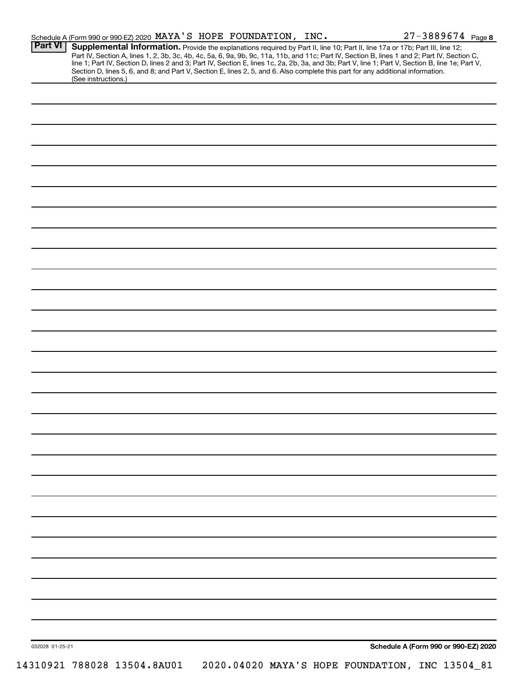|                 | Schedule A (Form 990 or 990-EZ) 2020 MAYA'S HOPE FOUNDATION, INC. |  |  | $27 - 3889674$ Page 8                                                                                                                                                                                                                                                                                                                                                                                                                                                                                |
|-----------------|-------------------------------------------------------------------|--|--|------------------------------------------------------------------------------------------------------------------------------------------------------------------------------------------------------------------------------------------------------------------------------------------------------------------------------------------------------------------------------------------------------------------------------------------------------------------------------------------------------|
| <b>Part VI</b>  | (See instructions.)                                               |  |  | Supplemental Information. Provide the explanations required by Part II, line 10; Part II, line 17a or 17b; Part III, line 12;<br>Part IV, Section A, lines 1, 2, 3b, 3c, 4b, 4c, 5a, 6, 9a, 9b, 9c, 11a, 11b, and 11c; Part IV, Section B, lines 1 and 2; Part IV, Section C,<br>line 1; Part IV, Section D, lines 2 and 3; Part IV, Section E, lines 1c, 2a, 2b,<br>Section D, lines 5, 6, and 8; and Part V, Section E, lines 2, 5, and 6. Also complete this part for any additional information. |
|                 |                                                                   |  |  |                                                                                                                                                                                                                                                                                                                                                                                                                                                                                                      |
|                 |                                                                   |  |  |                                                                                                                                                                                                                                                                                                                                                                                                                                                                                                      |
|                 |                                                                   |  |  |                                                                                                                                                                                                                                                                                                                                                                                                                                                                                                      |
|                 |                                                                   |  |  |                                                                                                                                                                                                                                                                                                                                                                                                                                                                                                      |
|                 |                                                                   |  |  |                                                                                                                                                                                                                                                                                                                                                                                                                                                                                                      |
|                 |                                                                   |  |  |                                                                                                                                                                                                                                                                                                                                                                                                                                                                                                      |
|                 |                                                                   |  |  |                                                                                                                                                                                                                                                                                                                                                                                                                                                                                                      |
|                 |                                                                   |  |  |                                                                                                                                                                                                                                                                                                                                                                                                                                                                                                      |
|                 |                                                                   |  |  |                                                                                                                                                                                                                                                                                                                                                                                                                                                                                                      |
|                 |                                                                   |  |  |                                                                                                                                                                                                                                                                                                                                                                                                                                                                                                      |
|                 |                                                                   |  |  |                                                                                                                                                                                                                                                                                                                                                                                                                                                                                                      |
|                 |                                                                   |  |  |                                                                                                                                                                                                                                                                                                                                                                                                                                                                                                      |
|                 |                                                                   |  |  |                                                                                                                                                                                                                                                                                                                                                                                                                                                                                                      |
|                 |                                                                   |  |  |                                                                                                                                                                                                                                                                                                                                                                                                                                                                                                      |
|                 |                                                                   |  |  |                                                                                                                                                                                                                                                                                                                                                                                                                                                                                                      |
|                 |                                                                   |  |  |                                                                                                                                                                                                                                                                                                                                                                                                                                                                                                      |
|                 |                                                                   |  |  |                                                                                                                                                                                                                                                                                                                                                                                                                                                                                                      |
|                 |                                                                   |  |  |                                                                                                                                                                                                                                                                                                                                                                                                                                                                                                      |
|                 |                                                                   |  |  |                                                                                                                                                                                                                                                                                                                                                                                                                                                                                                      |
|                 |                                                                   |  |  |                                                                                                                                                                                                                                                                                                                                                                                                                                                                                                      |
|                 |                                                                   |  |  |                                                                                                                                                                                                                                                                                                                                                                                                                                                                                                      |
|                 |                                                                   |  |  |                                                                                                                                                                                                                                                                                                                                                                                                                                                                                                      |
|                 |                                                                   |  |  |                                                                                                                                                                                                                                                                                                                                                                                                                                                                                                      |
|                 |                                                                   |  |  |                                                                                                                                                                                                                                                                                                                                                                                                                                                                                                      |
| 032028 01-25-21 |                                                                   |  |  | Schedule A (Form 990 or 990-EZ) 2020                                                                                                                                                                                                                                                                                                                                                                                                                                                                 |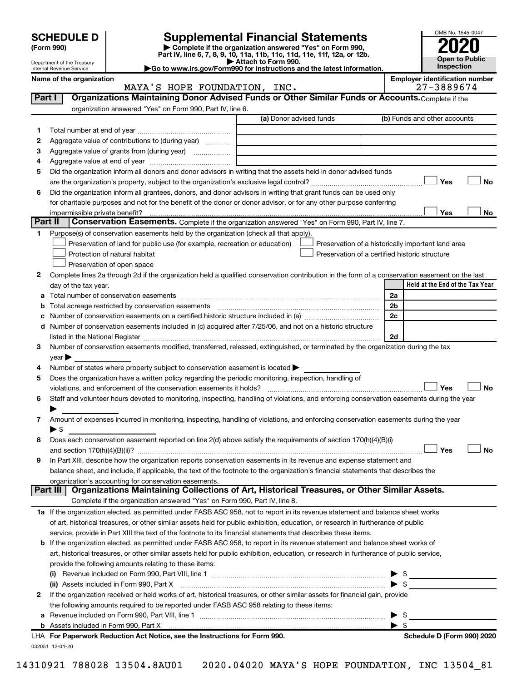| <b>SCHEDULE D</b> |  |
|-------------------|--|
|-------------------|--|

Department of the Treasury Internal Revenue Service

## **SCHEDULE D Supplemental Financial Statements**<br> **Form 990 2020**<br> **Part IV** line 6.7.8.9.10, 11a, 11b, 11d, 11d, 11d, 11d, 11d, 12a, 0r, 12b

**(Form 990) | Complete if the organization answered "Yes" on Form 990, Part IV, line 6, 7, 8, 9, 10, 11a, 11b, 11c, 11d, 11e, 11f, 12a, or 12b.**

**| Attach to Form 990. |Go to www.irs.gov/Form990 for instructions and the latest information.**



Name of the organization<br>**MAYA'S HOPE FOUNDATION, INC.** Employer identification number<br>27 – 3889674 MAYA'S HOPE FOUNDATION, INC.

| Part I  | Organizations Maintaining Donor Advised Funds or Other Similar Funds or Accounts. Complete if the                                                                                     |                         |                                                    |
|---------|---------------------------------------------------------------------------------------------------------------------------------------------------------------------------------------|-------------------------|----------------------------------------------------|
|         | organization answered "Yes" on Form 990, Part IV, line 6.                                                                                                                             | (a) Donor advised funds | (b) Funds and other accounts                       |
| 1       |                                                                                                                                                                                       |                         |                                                    |
| 2       | Aggregate value of contributions to (during year)                                                                                                                                     |                         |                                                    |
| 3       | Aggregate value of grants from (during year)                                                                                                                                          |                         |                                                    |
| 4       |                                                                                                                                                                                       |                         |                                                    |
| 5       | Did the organization inform all donors and donor advisors in writing that the assets held in donor advised funds                                                                      |                         |                                                    |
|         |                                                                                                                                                                                       |                         | Yes<br>No                                          |
| 6       | Did the organization inform all grantees, donors, and donor advisors in writing that grant funds can be used only                                                                     |                         |                                                    |
|         | for charitable purposes and not for the benefit of the donor or donor advisor, or for any other purpose conferring                                                                    |                         |                                                    |
|         |                                                                                                                                                                                       |                         | Yes<br>No                                          |
| Part II | Conservation Easements. Complete if the organization answered "Yes" on Form 990, Part IV, line 7.                                                                                     |                         |                                                    |
| 1       | Purpose(s) of conservation easements held by the organization (check all that apply).                                                                                                 |                         |                                                    |
|         | Preservation of land for public use (for example, recreation or education)                                                                                                            |                         | Preservation of a historically important land area |
|         | Protection of natural habitat                                                                                                                                                         |                         | Preservation of a certified historic structure     |
|         | Preservation of open space                                                                                                                                                            |                         |                                                    |
| 2       | Complete lines 2a through 2d if the organization held a qualified conservation contribution in the form of a conservation easement on the last                                        |                         |                                                    |
|         | day of the tax year.                                                                                                                                                                  |                         | Held at the End of the Tax Year                    |
|         |                                                                                                                                                                                       |                         | 2a                                                 |
| b       | Total acreage restricted by conservation easements [11] [12] manufactured acreage restricted by conservation easements [11] manufactured acreage restricted by conservation easements |                         | 2b                                                 |
|         |                                                                                                                                                                                       |                         | 2c                                                 |
|         | d Number of conservation easements included in (c) acquired after 7/25/06, and not on a historic structure                                                                            |                         |                                                    |
|         | listed in the National Register [111] [12] The National Register [11] Manuscritt, Manuscritt, Manuscritt, Manu                                                                        |                         | 2d                                                 |
| 3       | Number of conservation easements modified, transferred, released, extinguished, or terminated by the organization during the tax                                                      |                         |                                                    |
|         | year                                                                                                                                                                                  |                         |                                                    |
| 4       | Number of states where property subject to conservation easement is located >                                                                                                         |                         |                                                    |
| 5       | Does the organization have a written policy regarding the periodic monitoring, inspection, handling of                                                                                |                         |                                                    |
|         | violations, and enforcement of the conservation easements it holds?                                                                                                                   |                         | Yes<br><b>No</b>                                   |
| 6       | Staff and volunteer hours devoted to monitoring, inspecting, handling of violations, and enforcing conservation easements during the year                                             |                         |                                                    |
|         |                                                                                                                                                                                       |                         |                                                    |
| 7       | Amount of expenses incurred in monitoring, inspecting, handling of violations, and enforcing conservation easements during the year                                                   |                         |                                                    |
|         | ▶ \$                                                                                                                                                                                  |                         |                                                    |
| 8       | Does each conservation easement reported on line 2(d) above satisfy the requirements of section 170(h)(4)(B)(i)                                                                       |                         |                                                    |
|         |                                                                                                                                                                                       |                         | Yes<br>No                                          |
| 9       | In Part XIII, describe how the organization reports conservation easements in its revenue and expense statement and                                                                   |                         |                                                    |
|         | balance sheet, and include, if applicable, the text of the footnote to the organization's financial statements that describes the                                                     |                         |                                                    |
|         | organization's accounting for conservation easements.                                                                                                                                 |                         |                                                    |
|         | Organizations Maintaining Collections of Art, Historical Treasures, or Other Similar Assets.<br>Part III                                                                              |                         |                                                    |
|         | Complete if the organization answered "Yes" on Form 990, Part IV, line 8.                                                                                                             |                         |                                                    |
|         | 1a If the organization elected, as permitted under FASB ASC 958, not to report in its revenue statement and balance sheet works                                                       |                         |                                                    |
|         | of art, historical treasures, or other similar assets held for public exhibition, education, or research in furtherance of public                                                     |                         |                                                    |
|         | service, provide in Part XIII the text of the footnote to its financial statements that describes these items.                                                                        |                         |                                                    |
|         | <b>b</b> If the organization elected, as permitted under FASB ASC 958, to report in its revenue statement and balance sheet works of                                                  |                         |                                                    |
|         | art, historical treasures, or other similar assets held for public exhibition, education, or research in furtherance of public service,                                               |                         |                                                    |
|         | provide the following amounts relating to these items:                                                                                                                                |                         |                                                    |
|         |                                                                                                                                                                                       |                         | - \$                                               |
|         | (ii) Assets included in Form 990, Part X                                                                                                                                              |                         | $\blacktriangleright$ \$                           |
| 2       | If the organization received or held works of art, historical treasures, or other similar assets for financial gain, provide                                                          |                         |                                                    |
|         | the following amounts required to be reported under FASB ASC 958 relating to these items:                                                                                             |                         |                                                    |
|         |                                                                                                                                                                                       |                         | -\$                                                |
|         |                                                                                                                                                                                       |                         | $\blacktriangleright$ s                            |
|         | LHA For Paperwork Reduction Act Notice, see the Instructions for Form 990.                                                                                                            |                         | Schedule D (Form 990) 2020                         |
|         | 032051 12-01-20                                                                                                                                                                       |                         |                                                    |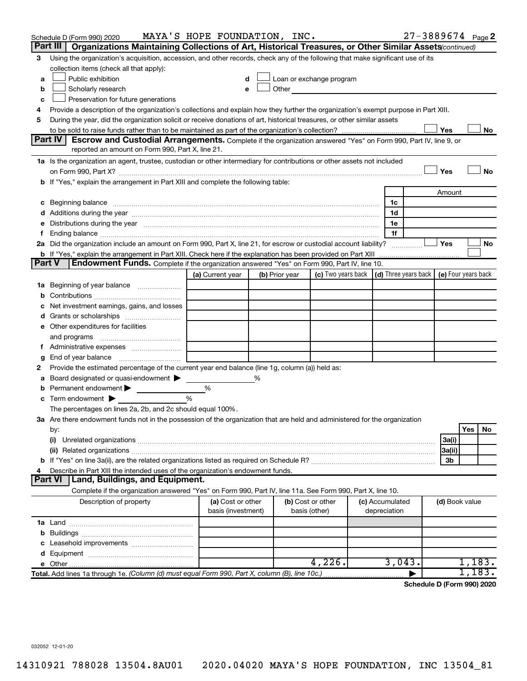|        | Schedule D (Form 990) 2020                                                                                                                                                                                                     | MAYA'S HOPE FOUNDATION, INC. |                |                                                                                                                                                                                                                               |                 | $27 - 3889674$ Page 2      |                |        |           |
|--------|--------------------------------------------------------------------------------------------------------------------------------------------------------------------------------------------------------------------------------|------------------------------|----------------|-------------------------------------------------------------------------------------------------------------------------------------------------------------------------------------------------------------------------------|-----------------|----------------------------|----------------|--------|-----------|
|        | Part III<br>Organizations Maintaining Collections of Art, Historical Treasures, or Other Similar Assets (continued)                                                                                                            |                              |                |                                                                                                                                                                                                                               |                 |                            |                |        |           |
| 3      | Using the organization's acquisition, accession, and other records, check any of the following that make significant use of its                                                                                                |                              |                |                                                                                                                                                                                                                               |                 |                            |                |        |           |
|        | collection items (check all that apply):                                                                                                                                                                                       |                              |                |                                                                                                                                                                                                                               |                 |                            |                |        |           |
| a      | Public exhibition                                                                                                                                                                                                              |                              |                | Loan or exchange program                                                                                                                                                                                                      |                 |                            |                |        |           |
| b      | Scholarly research                                                                                                                                                                                                             |                              |                | Other and the contract of the contract of the contract of the contract of the contract of the contract of the contract of the contract of the contract of the contract of the contract of the contract of the contract of the |                 |                            |                |        |           |
| c      | Preservation for future generations                                                                                                                                                                                            |                              |                |                                                                                                                                                                                                                               |                 |                            |                |        |           |
| 4      | Provide a description of the organization's collections and explain how they further the organization's exempt purpose in Part XIII.                                                                                           |                              |                |                                                                                                                                                                                                                               |                 |                            |                |        |           |
| 5      | During the year, did the organization solicit or receive donations of art, historical treasures, or other similar assets                                                                                                       |                              |                |                                                                                                                                                                                                                               |                 |                            |                |        |           |
|        |                                                                                                                                                                                                                                |                              |                |                                                                                                                                                                                                                               |                 |                            | Yes            |        | No        |
|        | Part IV<br><b>Escrow and Custodial Arrangements.</b> Complete if the organization answered "Yes" on Form 990, Part IV, line 9, or<br>reported an amount on Form 990, Part X, line 21.                                          |                              |                |                                                                                                                                                                                                                               |                 |                            |                |        |           |
|        |                                                                                                                                                                                                                                |                              |                |                                                                                                                                                                                                                               |                 |                            |                |        |           |
|        | 1a Is the organization an agent, trustee, custodian or other intermediary for contributions or other assets not included                                                                                                       |                              |                |                                                                                                                                                                                                                               |                 |                            |                |        |           |
|        |                                                                                                                                                                                                                                |                              |                |                                                                                                                                                                                                                               |                 |                            | Yes            |        | <b>No</b> |
|        | b If "Yes," explain the arrangement in Part XIII and complete the following table:                                                                                                                                             |                              |                |                                                                                                                                                                                                                               |                 |                            |                |        |           |
|        |                                                                                                                                                                                                                                |                              |                |                                                                                                                                                                                                                               |                 |                            | Amount         |        |           |
|        | c Beginning balance measurements and the contract of the contract of the contract of the contract of the contract of the contract of the contract of the contract of the contract of the contract of the contract of the contr |                              |                |                                                                                                                                                                                                                               | 1c<br>1d        |                            |                |        |           |
|        | e Distributions during the year manufactured and contained and contained and contained and contained and contained and contained and contained and contained and contained and contained and contained and contained and conta |                              |                |                                                                                                                                                                                                                               | 1e              |                            |                |        |           |
| Ť.     |                                                                                                                                                                                                                                |                              |                |                                                                                                                                                                                                                               | 1f              |                            |                |        |           |
|        | 2a Did the organization include an amount on Form 990, Part X, line 21, for escrow or custodial account liability?                                                                                                             |                              |                |                                                                                                                                                                                                                               |                 |                            | Yes            |        | <b>No</b> |
|        |                                                                                                                                                                                                                                |                              |                |                                                                                                                                                                                                                               |                 |                            |                |        |           |
| Part V | <b>Endowment Funds.</b> Complete if the organization answered "Yes" on Form 990, Part IV, line 10.                                                                                                                             |                              |                |                                                                                                                                                                                                                               |                 |                            |                |        |           |
|        |                                                                                                                                                                                                                                | (a) Current year             | (b) Prior year | (c) Two years back $\vert$ (d) Three years back $\vert$ (e) Four years back                                                                                                                                                   |                 |                            |                |        |           |
|        | 1a Beginning of year balance                                                                                                                                                                                                   |                              |                |                                                                                                                                                                                                                               |                 |                            |                |        |           |
| b      |                                                                                                                                                                                                                                |                              |                |                                                                                                                                                                                                                               |                 |                            |                |        |           |
|        | Net investment earnings, gains, and losses                                                                                                                                                                                     |                              |                |                                                                                                                                                                                                                               |                 |                            |                |        |           |
| d      |                                                                                                                                                                                                                                |                              |                |                                                                                                                                                                                                                               |                 |                            |                |        |           |
|        | e Other expenditures for facilities                                                                                                                                                                                            |                              |                |                                                                                                                                                                                                                               |                 |                            |                |        |           |
|        | and programs                                                                                                                                                                                                                   |                              |                |                                                                                                                                                                                                                               |                 |                            |                |        |           |
|        | f Administrative expenses                                                                                                                                                                                                      |                              |                |                                                                                                                                                                                                                               |                 |                            |                |        |           |
| g      |                                                                                                                                                                                                                                |                              |                |                                                                                                                                                                                                                               |                 |                            |                |        |           |
| 2      | Provide the estimated percentage of the current year end balance (line 1g, column (a)) held as:                                                                                                                                |                              |                |                                                                                                                                                                                                                               |                 |                            |                |        |           |
| а      | Board designated or quasi-endowment >                                                                                                                                                                                          |                              | %              |                                                                                                                                                                                                                               |                 |                            |                |        |           |
| b      | Permanent endowment                                                                                                                                                                                                            | %                            |                |                                                                                                                                                                                                                               |                 |                            |                |        |           |
|        | $\mathbf c$ Term endowment $\blacktriangleright$                                                                                                                                                                               | %                            |                |                                                                                                                                                                                                                               |                 |                            |                |        |           |
|        | The percentages on lines 2a, 2b, and 2c should equal 100%.                                                                                                                                                                     |                              |                |                                                                                                                                                                                                                               |                 |                            |                |        |           |
|        | 3a Are there endowment funds not in the possession of the organization that are held and administered for the organization                                                                                                     |                              |                |                                                                                                                                                                                                                               |                 |                            |                |        |           |
|        | by:                                                                                                                                                                                                                            |                              |                |                                                                                                                                                                                                                               |                 |                            |                | Yes    | No        |
|        | (i)                                                                                                                                                                                                                            |                              |                |                                                                                                                                                                                                                               |                 |                            | 3a(i)          |        |           |
|        |                                                                                                                                                                                                                                |                              |                |                                                                                                                                                                                                                               |                 |                            | 3a(ii)         |        |           |
|        |                                                                                                                                                                                                                                |                              |                |                                                                                                                                                                                                                               |                 |                            | 3b             |        |           |
| 4      | Describe in Part XIII the intended uses of the organization's endowment funds.                                                                                                                                                 |                              |                |                                                                                                                                                                                                                               |                 |                            |                |        |           |
|        | <b>Part VI</b><br>Land, Buildings, and Equipment.                                                                                                                                                                              |                              |                |                                                                                                                                                                                                                               |                 |                            |                |        |           |
|        | Complete if the organization answered "Yes" on Form 990, Part IV, line 11a. See Form 990, Part X, line 10.                                                                                                                     |                              |                |                                                                                                                                                                                                                               |                 |                            |                |        |           |
|        | Description of property                                                                                                                                                                                                        | (a) Cost or other            |                | (b) Cost or other                                                                                                                                                                                                             | (c) Accumulated |                            | (d) Book value |        |           |
|        |                                                                                                                                                                                                                                | basis (investment)           |                | basis (other)                                                                                                                                                                                                                 | depreciation    |                            |                |        |           |
|        |                                                                                                                                                                                                                                |                              |                |                                                                                                                                                                                                                               |                 |                            |                |        |           |
|        |                                                                                                                                                                                                                                |                              |                |                                                                                                                                                                                                                               |                 |                            |                |        |           |
|        |                                                                                                                                                                                                                                |                              |                |                                                                                                                                                                                                                               |                 |                            |                |        |           |
|        |                                                                                                                                                                                                                                |                              |                | 4,226.                                                                                                                                                                                                                        | 3,043.          |                            |                | 1,183. |           |
|        |                                                                                                                                                                                                                                |                              |                |                                                                                                                                                                                                                               |                 |                            |                | 1,183. |           |
|        | Total. Add lines 1a through 1e. (Column (d) must equal Form 990, Part X, column (B), line 10c.)                                                                                                                                |                              |                |                                                                                                                                                                                                                               |                 |                            |                |        |           |
|        |                                                                                                                                                                                                                                |                              |                |                                                                                                                                                                                                                               |                 | Schedule D (Form 990) 2020 |                |        |           |

032052 12-01-20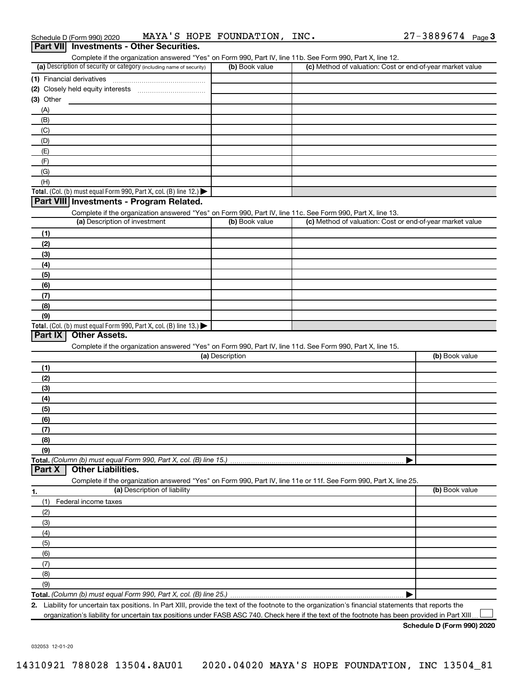| Complete if the organization answered "Yes" on Form 990, Part IV, line 11b. See Form 990, Part X, line 12.<br>(a) Description of security or category (including name of security) | (b) Book value  | (c) Method of valuation: Cost or end-of-year market value |                |
|------------------------------------------------------------------------------------------------------------------------------------------------------------------------------------|-----------------|-----------------------------------------------------------|----------------|
|                                                                                                                                                                                    |                 |                                                           |                |
| (1) Financial derivatives                                                                                                                                                          |                 |                                                           |                |
|                                                                                                                                                                                    |                 |                                                           |                |
| (3) Other                                                                                                                                                                          |                 |                                                           |                |
| (A)                                                                                                                                                                                |                 |                                                           |                |
| (B)                                                                                                                                                                                |                 |                                                           |                |
| (C)                                                                                                                                                                                |                 |                                                           |                |
| (D)                                                                                                                                                                                |                 |                                                           |                |
| (E)                                                                                                                                                                                |                 |                                                           |                |
| (F)                                                                                                                                                                                |                 |                                                           |                |
| (G)                                                                                                                                                                                |                 |                                                           |                |
| (H)                                                                                                                                                                                |                 |                                                           |                |
| Total. (Col. (b) must equal Form 990, Part X, col. (B) line 12.) $\blacktriangleright$                                                                                             |                 |                                                           |                |
| Part VIII Investments - Program Related.                                                                                                                                           |                 |                                                           |                |
|                                                                                                                                                                                    |                 |                                                           |                |
| Complete if the organization answered "Yes" on Form 990, Part IV, line 11c. See Form 990, Part X, line 13.                                                                         |                 |                                                           |                |
| (a) Description of investment                                                                                                                                                      | (b) Book value  | (c) Method of valuation: Cost or end-of-year market value |                |
| (1)                                                                                                                                                                                |                 |                                                           |                |
| (2)                                                                                                                                                                                |                 |                                                           |                |
| (3)                                                                                                                                                                                |                 |                                                           |                |
| (4)                                                                                                                                                                                |                 |                                                           |                |
| (5)                                                                                                                                                                                |                 |                                                           |                |
| (6)                                                                                                                                                                                |                 |                                                           |                |
| (7)                                                                                                                                                                                |                 |                                                           |                |
| (8)                                                                                                                                                                                |                 |                                                           |                |
| (9)                                                                                                                                                                                |                 |                                                           |                |
| Total. (Col. (b) must equal Form 990, Part X, col. (B) line 13.)                                                                                                                   |                 |                                                           |                |
| <b>Other Assets.</b><br>Part IX                                                                                                                                                    |                 |                                                           |                |
|                                                                                                                                                                                    |                 |                                                           |                |
| Complete if the organization answered "Yes" on Form 990, Part IV, line 11d. See Form 990, Part X, line 15.                                                                         | (a) Description |                                                           | (b) Book value |
|                                                                                                                                                                                    |                 |                                                           |                |
| (1)                                                                                                                                                                                |                 |                                                           |                |
| (2)                                                                                                                                                                                |                 |                                                           |                |
| (3)                                                                                                                                                                                |                 |                                                           |                |
| (4)                                                                                                                                                                                |                 |                                                           |                |
| (5)                                                                                                                                                                                |                 |                                                           |                |
| (6)                                                                                                                                                                                |                 |                                                           |                |
| (7)                                                                                                                                                                                |                 |                                                           |                |
| (8)                                                                                                                                                                                |                 |                                                           |                |
| (9)                                                                                                                                                                                |                 |                                                           |                |
| Total. (Column (b) must equal Form 990, Part X, col. (B) line 15.)                                                                                                                 |                 |                                                           |                |
| <b>Other Liabilities.</b><br>Part X                                                                                                                                                |                 |                                                           |                |
| Complete if the organization answered "Yes" on Form 990, Part IV, line 11e or 11f. See Form 990, Part X, line 25.                                                                  |                 |                                                           |                |
| (a) Description of liability                                                                                                                                                       |                 |                                                           | (b) Book value |
| 1.                                                                                                                                                                                 |                 |                                                           |                |
| (1)<br>Federal income taxes                                                                                                                                                        |                 |                                                           |                |
| (2)                                                                                                                                                                                |                 |                                                           |                |
| (3)                                                                                                                                                                                |                 |                                                           |                |
| (4)                                                                                                                                                                                |                 |                                                           |                |
| (5)                                                                                                                                                                                |                 |                                                           |                |
| (6)                                                                                                                                                                                |                 |                                                           |                |
|                                                                                                                                                                                    |                 |                                                           |                |
|                                                                                                                                                                                    |                 |                                                           |                |
| (7)                                                                                                                                                                                |                 |                                                           |                |
| (8)                                                                                                                                                                                |                 |                                                           |                |
| (9)                                                                                                                                                                                |                 |                                                           |                |

**2.** Liability for uncertain tax positions. In Part XIII, provide the text of the footnote to the organization's financial statements that reports the organization's liability for uncertain tax positions under FASB ASC 740. Check here if the text of the footnote has been provided in Part XIII  $\perp$ 

**Schedule D (Form 990) 2020**

032053 12-01-20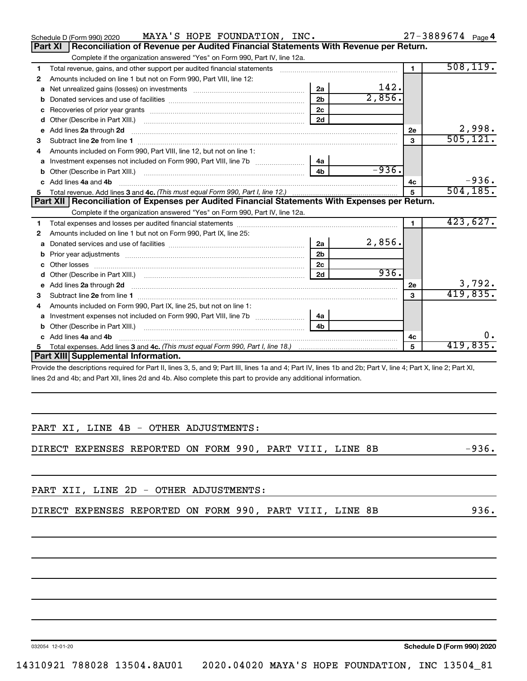|    | MAYA'S HOPE FOUNDATION, INC.<br>Schedule D (Form 990) 2020                                            |                |         |                | $27 - 3889674$ Page 4 |
|----|-------------------------------------------------------------------------------------------------------|----------------|---------|----------------|-----------------------|
|    | Reconciliation of Revenue per Audited Financial Statements With Revenue per Return.<br><b>Part XI</b> |                |         |                |                       |
|    | Complete if the organization answered "Yes" on Form 990, Part IV, line 12a.                           |                |         |                |                       |
| 1  | Total revenue, gains, and other support per audited financial statements                              |                |         | $\blacksquare$ | 508, 119.             |
| 2  | Amounts included on line 1 but not on Form 990, Part VIII, line 12:                                   |                |         |                |                       |
| a  |                                                                                                       | 2a             | 142.    |                |                       |
| b  |                                                                                                       | 2 <sub>h</sub> | 2,856.  |                |                       |
| с  |                                                                                                       | 2c             |         |                |                       |
| d  |                                                                                                       | 2d             |         |                |                       |
| e  | Add lines 2a through 2d                                                                               |                |         | 2e             | 2,998.                |
| 3  |                                                                                                       |                |         | 3              | 505, 121.             |
| 4  | Amounts included on Form 990, Part VIII, line 12, but not on line 1:                                  |                |         |                |                       |
|    | Investment expenses not included on Form 990, Part VIII, line 7b [140] [48]                           |                |         |                |                       |
| b  |                                                                                                       |                | $-936.$ |                |                       |
| C. | Add lines 4a and 4b                                                                                   |                |         | 4c             | $-936.$               |
|    |                                                                                                       |                |         | 5              | 504, 185.             |
|    |                                                                                                       |                |         |                |                       |
|    | Part XII Reconciliation of Expenses per Audited Financial Statements With Expenses per Return.        |                |         |                |                       |
|    | Complete if the organization answered "Yes" on Form 990, Part IV, line 12a.                           |                |         |                |                       |
| 1  |                                                                                                       |                |         | $\mathbf{1}$   | 423,627.              |
| 2  | Amounts included on line 1 but not on Form 990, Part IX, line 25:                                     |                |         |                |                       |
| a  |                                                                                                       | 2a             | 2,856.  |                |                       |
| b  |                                                                                                       | 2 <sub>b</sub> |         |                |                       |
| с  |                                                                                                       | 2c             |         |                |                       |
| d  |                                                                                                       | 2d             | 936.    |                |                       |
| e  | Add lines 2a through 2d                                                                               |                |         | 2e             | 3,792.                |
| з  |                                                                                                       |                |         | 3              | 419,835.              |
| 4  | Amounts included on Form 990, Part IX, line 25, but not on line 1:                                    |                |         |                |                       |
| a  | Investment expenses not included on Form 990, Part VIII, line 7b   4a                                 |                |         |                |                       |
| b  |                                                                                                       | 4 <sub>b</sub> |         |                |                       |
| C. | Add lines 4a and 4b                                                                                   |                |         | 4с             | О.                    |
|    | <b>Part XIII</b> Supplemental Information.                                                            |                |         | 5              | 419,835.              |

Provide the descriptions required for Part II, lines 3, 5, and 9; Part III, lines 1a and 4; Part IV, lines 1b and 2b; Part V, line 4; Part X, line 2; Part XI, lines 2d and 4b; and Part XII, lines 2d and 4b. Also complete this part to provide any additional information.

|  |  |  | PART XI, LINE 4B - OTHER ADJUSTMENTS: |
|--|--|--|---------------------------------------|
|  |  |  |                                       |

DIRECT EXPENSES REPORTED ON FORM 990, PART VIII, LINE 8B -936.

PART XII, LINE 2D - OTHER ADJUSTMENTS:

|  |  | DIRECT EXPENSES REPORTED ON FORM 990, PART VIII, LINE 8B |  |  |  |  |  |  |  |  |  |  |
|--|--|----------------------------------------------------------|--|--|--|--|--|--|--|--|--|--|
|--|--|----------------------------------------------------------|--|--|--|--|--|--|--|--|--|--|

032054 12-01-20

**Schedule D (Form 990) 2020**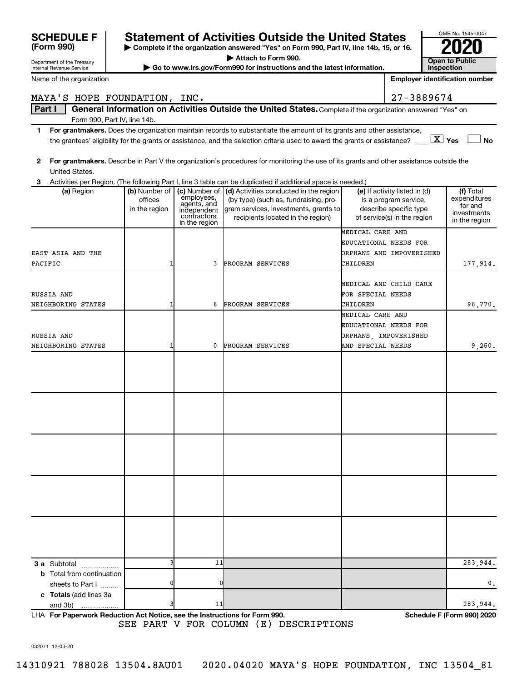|                                                        |                              |                            |                                                                                                                                                                                                                                                      | <b>Open to Public</b> |                               |                                       |  |
|--------------------------------------------------------|------------------------------|----------------------------|------------------------------------------------------------------------------------------------------------------------------------------------------------------------------------------------------------------------------------------------------|-----------------------|-------------------------------|---------------------------------------|--|
| Department of the Treasury<br>Internal Revenue Service |                              |                            | Go to www.irs.gov/Form990 for instructions and the latest information.                                                                                                                                                                               |                       | <b>Inspection</b>             |                                       |  |
| Name of the organization                               |                              |                            |                                                                                                                                                                                                                                                      |                       |                               | <b>Employer identification number</b> |  |
| MAYA'S HOPE FOUNDATION, INC.                           |                              |                            |                                                                                                                                                                                                                                                      | 27-3889674            |                               |                                       |  |
| Part I                                                 |                              |                            | General Information on Activities Outside the United States. Complete if the organization answered "Yes" on                                                                                                                                          |                       |                               |                                       |  |
|                                                        | Form 990, Part IV, line 14b. |                            |                                                                                                                                                                                                                                                      |                       |                               |                                       |  |
| 1                                                      |                              |                            | For grantmakers. Does the organization maintain records to substantiate the amount of its grants and other assistance,<br>the grantees' eligibility for the grants or assistance, and the selection criteria used to award the grants or assistance? |                       |                               | $\boxed{\text{X}}$ Yes<br><b>No</b>   |  |
|                                                        |                              |                            |                                                                                                                                                                                                                                                      |                       |                               |                                       |  |
| $\mathbf{2}$<br>United States.                         |                              |                            | For grantmakers. Describe in Part V the organization's procedures for monitoring the use of its grants and other assistance outside the                                                                                                              |                       |                               |                                       |  |
|                                                        |                              |                            | Activities per Region. (The following Part I, line 3 table can be duplicated if additional space is needed.)                                                                                                                                         |                       |                               |                                       |  |
| (a) Region                                             | (b) Number of                | (c) Number of              | (d) Activities conducted in the region                                                                                                                                                                                                               |                       | (e) If activity listed in (d) | (f) Total                             |  |
|                                                        | offices                      | employees,<br>agents, and  | (by type) (such as, fundraising, pro-                                                                                                                                                                                                                |                       | is a program service,         | expenditures<br>for and               |  |
|                                                        | in the region                | independent<br>contractors | gram services, investments, grants to                                                                                                                                                                                                                |                       | describe specific type        | investments                           |  |
|                                                        |                              | in the region              | recipients located in the region)                                                                                                                                                                                                                    |                       | of service(s) in the region   | in the region                         |  |
|                                                        |                              |                            |                                                                                                                                                                                                                                                      | MEDICAL CARE AND      |                               |                                       |  |
|                                                        |                              |                            |                                                                                                                                                                                                                                                      |                       | EDUCATIONAL NEEDS FOR         |                                       |  |
| EAST ASIA AND THE                                      |                              |                            |                                                                                                                                                                                                                                                      |                       | ORPHANS AND IMPOVERISHED      |                                       |  |
| PACIFIC                                                |                              | 3                          | PROGRAM SERVICES                                                                                                                                                                                                                                     | CHILDREN              |                               | 177,914.                              |  |
|                                                        |                              |                            |                                                                                                                                                                                                                                                      |                       |                               |                                       |  |
|                                                        |                              |                            |                                                                                                                                                                                                                                                      |                       | MEDICAL AND CHILD CARE        |                                       |  |
| RUSSIA AND                                             |                              |                            |                                                                                                                                                                                                                                                      | FOR SPECIAL NEEDS     |                               |                                       |  |
| NEIGHBORING STATES                                     |                              | 8                          | PROGRAM SERVICES                                                                                                                                                                                                                                     | CHILDREN              |                               | 96,770.                               |  |
|                                                        |                              |                            |                                                                                                                                                                                                                                                      | MEDICAL CARE AND      |                               |                                       |  |
|                                                        |                              |                            |                                                                                                                                                                                                                                                      |                       | EDUCATIONAL NEEDS FOR         |                                       |  |
| RUSSIA AND                                             |                              |                            |                                                                                                                                                                                                                                                      |                       | ORPHANS, IMPOVERISHED         |                                       |  |
| NEIGHBORING STATES                                     |                              | 0                          | PROGRAM SERVICES                                                                                                                                                                                                                                     | AND SPECIAL NEEDS     |                               | 9,260.                                |  |
|                                                        |                              |                            |                                                                                                                                                                                                                                                      |                       |                               |                                       |  |
|                                                        |                              |                            |                                                                                                                                                                                                                                                      |                       |                               |                                       |  |
|                                                        |                              |                            |                                                                                                                                                                                                                                                      |                       |                               |                                       |  |
|                                                        |                              |                            |                                                                                                                                                                                                                                                      |                       |                               |                                       |  |
|                                                        |                              |                            |                                                                                                                                                                                                                                                      |                       |                               |                                       |  |
|                                                        |                              |                            |                                                                                                                                                                                                                                                      |                       |                               |                                       |  |
|                                                        |                              |                            |                                                                                                                                                                                                                                                      |                       |                               |                                       |  |
|                                                        |                              |                            |                                                                                                                                                                                                                                                      |                       |                               |                                       |  |
|                                                        |                              |                            |                                                                                                                                                                                                                                                      |                       |                               |                                       |  |
|                                                        |                              |                            |                                                                                                                                                                                                                                                      |                       |                               |                                       |  |
|                                                        |                              |                            |                                                                                                                                                                                                                                                      |                       |                               |                                       |  |
|                                                        |                              |                            |                                                                                                                                                                                                                                                      |                       |                               |                                       |  |
|                                                        |                              |                            |                                                                                                                                                                                                                                                      |                       |                               |                                       |  |
|                                                        |                              |                            |                                                                                                                                                                                                                                                      |                       |                               |                                       |  |
|                                                        |                              |                            |                                                                                                                                                                                                                                                      |                       |                               |                                       |  |
|                                                        |                              |                            |                                                                                                                                                                                                                                                      |                       |                               |                                       |  |
|                                                        |                              |                            |                                                                                                                                                                                                                                                      |                       |                               |                                       |  |
|                                                        |                              |                            |                                                                                                                                                                                                                                                      |                       |                               |                                       |  |
|                                                        |                              |                            |                                                                                                                                                                                                                                                      |                       |                               |                                       |  |
|                                                        |                              | 11                         |                                                                                                                                                                                                                                                      |                       |                               |                                       |  |
| <b>3 a</b> Subtotal                                    |                              |                            |                                                                                                                                                                                                                                                      |                       |                               | 283,944.                              |  |
| <b>b</b> Total from continuation<br>sheets to Part I   |                              |                            |                                                                                                                                                                                                                                                      |                       |                               | 0.                                    |  |
| c Totals (add lines 3a                                 |                              |                            |                                                                                                                                                                                                                                                      |                       |                               |                                       |  |
| and 3b)                                                |                              | 11                         |                                                                                                                                                                                                                                                      |                       |                               | 283,944.                              |  |
|                                                        |                              |                            |                                                                                                                                                                                                                                                      |                       |                               |                                       |  |

**| Complete if the organization answered "Yes" on Form 990, Part IV, line 14b, 15, or 16.**

Statement of Activities Outside the United States<br> **Complete if the organization answered "Yes" on Form 990, Part IV, line 14b, 15, or 16.** 

**For Paperwork Reduction Act Notice, see the Instructions for Form 990. Schedule F (Form 990) 2020** LHA SEE PART V FOR COLUMN (E) DESCRIPTIONS

OMB No. 1545-0047

032071 12-03-20

**(Form 990)**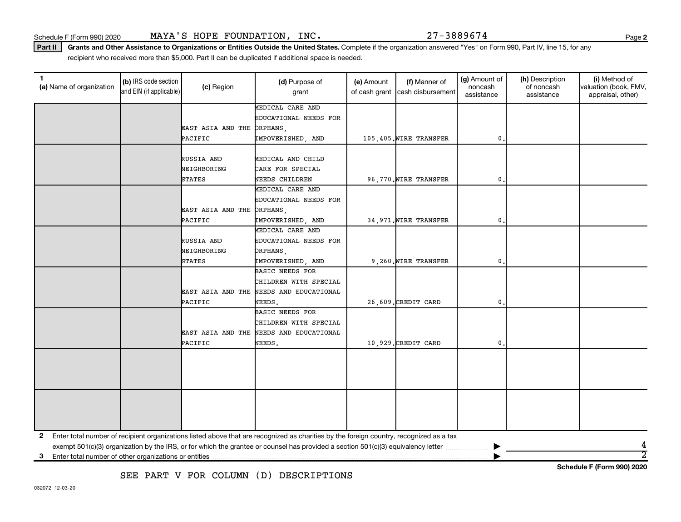**2**

**Schedule F (Form 990) 2020**

Part II | Grants and Other Assistance to Organizations or Entities Outside the United States. Complete if the organization answered "Yes" on Form 990, Part IV, line 15, for any recipient who received more than \$5,000. Part II can be duplicated if additional space is needed.

| 1<br>(a) Name of organization | (b) IRS code section<br>and EIN (if applicable) | (c) Region                 | (d) Purpose of<br>grant                                                                                                                 | (e) Amount<br>of cash grant | (f) Manner of<br>cash disbursement | (g) Amount of<br>noncash<br>assistance | (h) Description<br>of noncash<br>assistance | (i) Method of<br>valuation (book, FMV,<br>appraisal, other) |
|-------------------------------|-------------------------------------------------|----------------------------|-----------------------------------------------------------------------------------------------------------------------------------------|-----------------------------|------------------------------------|----------------------------------------|---------------------------------------------|-------------------------------------------------------------|
|                               |                                                 |                            | MEDICAL CARE AND                                                                                                                        |                             |                                    |                                        |                                             |                                                             |
|                               |                                                 |                            | EDUCATIONAL NEEDS FOR                                                                                                                   |                             |                                    |                                        |                                             |                                                             |
|                               |                                                 | EAST ASIA AND THE ORPHANS, |                                                                                                                                         |                             |                                    |                                        |                                             |                                                             |
|                               |                                                 | PACIFIC                    | IMPOVERISHED, AND                                                                                                                       |                             | 105,405. WIRE TRANSFER             | 0                                      |                                             |                                                             |
|                               |                                                 |                            |                                                                                                                                         |                             |                                    |                                        |                                             |                                                             |
|                               |                                                 | RUSSIA AND                 | MEDICAL AND CHILD                                                                                                                       |                             |                                    |                                        |                                             |                                                             |
|                               |                                                 | NEIGHBORING                | CARE FOR SPECIAL                                                                                                                        |                             |                                    |                                        |                                             |                                                             |
|                               |                                                 | <b>STATES</b>              | NEEDS CHILDREN                                                                                                                          |                             | 96,770. WIRE TRANSFER              | 0                                      |                                             |                                                             |
|                               |                                                 |                            | MEDICAL CARE AND                                                                                                                        |                             |                                    |                                        |                                             |                                                             |
|                               |                                                 |                            | EDUCATIONAL NEEDS FOR                                                                                                                   |                             |                                    |                                        |                                             |                                                             |
|                               |                                                 | EAST ASIA AND THE ORPHANS, |                                                                                                                                         |                             |                                    |                                        |                                             |                                                             |
|                               |                                                 | PACIFIC                    | IMPOVERISHED, AND                                                                                                                       |                             | 34,971. WIRE TRANSFER              | 0                                      |                                             |                                                             |
|                               |                                                 |                            | MEDICAL CARE AND                                                                                                                        |                             |                                    |                                        |                                             |                                                             |
|                               |                                                 | RUSSIA AND                 | EDUCATIONAL NEEDS FOR                                                                                                                   |                             |                                    |                                        |                                             |                                                             |
|                               |                                                 | NEIGHBORING                | ORPHANS,                                                                                                                                |                             |                                    |                                        |                                             |                                                             |
|                               |                                                 | <b>STATES</b>              | IMPOVERISHED, AND                                                                                                                       |                             | 9,260. WIRE TRANSFER               | 0                                      |                                             |                                                             |
|                               |                                                 |                            | BASIC NEEDS FOR                                                                                                                         |                             |                                    |                                        |                                             |                                                             |
|                               |                                                 |                            | CHILDREN WITH SPECIAL                                                                                                                   |                             |                                    |                                        |                                             |                                                             |
|                               |                                                 |                            | EAST ASIA AND THE NEEDS AND EDUCATIONAL                                                                                                 |                             |                                    |                                        |                                             |                                                             |
|                               |                                                 | PACIFIC                    | NEEDS.                                                                                                                                  |                             | 26,609. CREDIT CARD                | 0                                      |                                             |                                                             |
|                               |                                                 |                            | BASIC NEEDS FOR                                                                                                                         |                             |                                    |                                        |                                             |                                                             |
|                               |                                                 |                            | CHILDREN WITH SPECIAL                                                                                                                   |                             |                                    |                                        |                                             |                                                             |
|                               |                                                 | EAST ASIA AND THE          | NEEDS AND EDUCATIONAL                                                                                                                   |                             |                                    |                                        |                                             |                                                             |
|                               |                                                 | PACIFIC                    | NEEDS.                                                                                                                                  |                             | 10,929. CREDIT CARD                | 0                                      |                                             |                                                             |
|                               |                                                 |                            |                                                                                                                                         |                             |                                    |                                        |                                             |                                                             |
|                               |                                                 |                            |                                                                                                                                         |                             |                                    |                                        |                                             |                                                             |
|                               |                                                 |                            |                                                                                                                                         |                             |                                    |                                        |                                             |                                                             |
|                               |                                                 |                            |                                                                                                                                         |                             |                                    |                                        |                                             |                                                             |
|                               |                                                 |                            |                                                                                                                                         |                             |                                    |                                        |                                             |                                                             |
|                               |                                                 |                            |                                                                                                                                         |                             |                                    |                                        |                                             |                                                             |
|                               |                                                 |                            |                                                                                                                                         |                             |                                    |                                        |                                             |                                                             |
|                               |                                                 |                            |                                                                                                                                         |                             |                                    |                                        |                                             |                                                             |
|                               |                                                 |                            |                                                                                                                                         |                             |                                    |                                        |                                             |                                                             |
| 2                             |                                                 |                            | Enter total number of recipient organizations listed above that are recognized as charities by the foreign country, recognized as a tax |                             |                                    |                                        |                                             |                                                             |
|                               |                                                 |                            |                                                                                                                                         |                             |                                    |                                        |                                             |                                                             |
| 3                             |                                                 |                            |                                                                                                                                         |                             |                                    |                                        |                                             | $\overline{2}$                                              |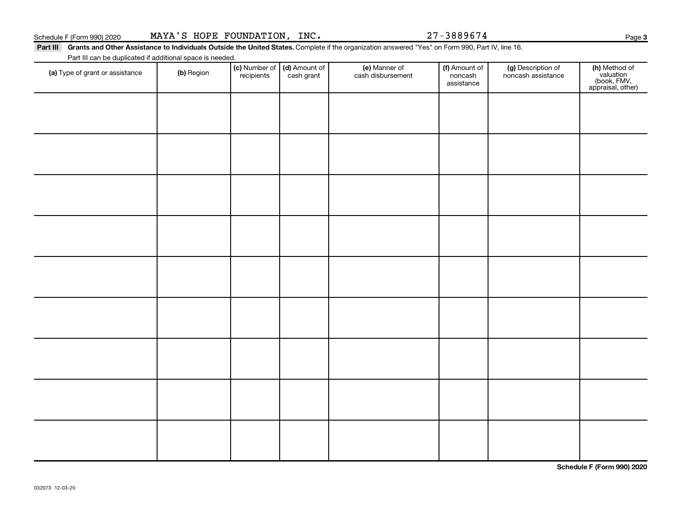**3**

Part III Grants and Other Assistance to Individuals Outside the United States. Complete if the organization answered "Yes" on Form 990, Part IV, line 16. Part III can be duplicated if additional space is needed.

| Part in carribe duplicated in additional space is needed.<br>(a) Type of grant or assistance | (b) Region | recipients | (c) Number of $\vert$ (d) Amount of<br>cash grant | (e) Manner of<br>cash disbursement | (f) Amount of<br>noncash<br>assistance | (g) Description of<br>noncash assistance | (h) Method of<br>valuation<br>(book, FMV,<br>appraisal, other) |
|----------------------------------------------------------------------------------------------|------------|------------|---------------------------------------------------|------------------------------------|----------------------------------------|------------------------------------------|----------------------------------------------------------------|
|                                                                                              |            |            |                                                   |                                    |                                        |                                          |                                                                |
|                                                                                              |            |            |                                                   |                                    |                                        |                                          |                                                                |
|                                                                                              |            |            |                                                   |                                    |                                        |                                          |                                                                |
|                                                                                              |            |            |                                                   |                                    |                                        |                                          |                                                                |
|                                                                                              |            |            |                                                   |                                    |                                        |                                          |                                                                |
|                                                                                              |            |            |                                                   |                                    |                                        |                                          |                                                                |
|                                                                                              |            |            |                                                   |                                    |                                        |                                          |                                                                |
|                                                                                              |            |            |                                                   |                                    |                                        |                                          |                                                                |
|                                                                                              |            |            |                                                   |                                    |                                        |                                          |                                                                |
|                                                                                              |            |            |                                                   |                                    |                                        |                                          |                                                                |

**Schedule F (Form 990) 2020**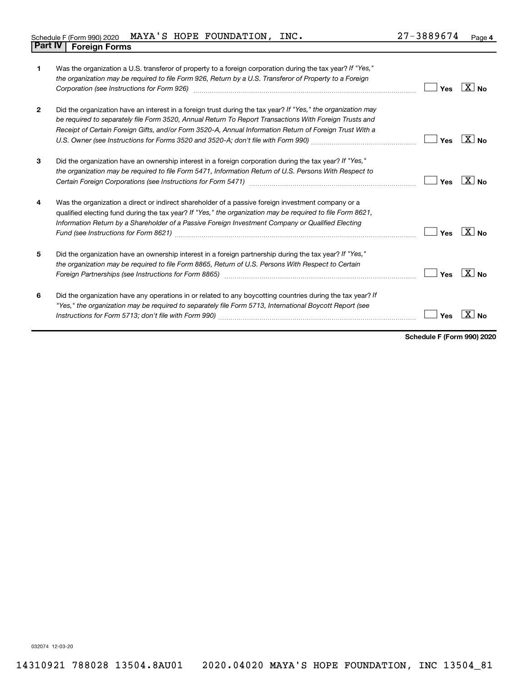| $\mathbf{1}$   | Was the organization a U.S. transferor of property to a foreign corporation during the tax year? If "Yes,"<br>the organization may be required to file Form 926, Return by a U.S. Transferor of Property to a Foreign<br>Corporation (see Instructions for Form 926) manufactured control and the control of the control of the control of the control of the control of the control of the control of the control of the control of the control of the | Yes | $ X $ No           |
|----------------|---------------------------------------------------------------------------------------------------------------------------------------------------------------------------------------------------------------------------------------------------------------------------------------------------------------------------------------------------------------------------------------------------------------------------------------------------------|-----|--------------------|
| $\overline{2}$ | Did the organization have an interest in a foreign trust during the tax year? If "Yes," the organization may<br>be required to separately file Form 3520, Annual Return To Report Transactions With Foreign Trusts and<br>Receipt of Certain Foreign Gifts, and/or Form 3520-A, Annual Information Return of Foreign Trust With a                                                                                                                       | Yes | $X _{\mathsf{No}}$ |
| 3              | Did the organization have an ownership interest in a foreign corporation during the tax year? If "Yes,"<br>the organization may be required to file Form 5471, Information Return of U.S. Persons With Respect to                                                                                                                                                                                                                                       | Yes | $X _{N_{\Omega}}$  |
| 4              | Was the organization a direct or indirect shareholder of a passive foreign investment company or a<br>qualified electing fund during the tax year? If "Yes," the organization may be required to file Form 8621,<br>Information Return by a Shareholder of a Passive Foreign Investment Company or Qualified Electing                                                                                                                                   | Yes | $X_{\text{No}}$    |
| 5              | Did the organization have an ownership interest in a foreign partnership during the tax year? If "Yes,"<br>the organization may be required to file Form 8865, Return of U.S. Persons With Respect to Certain                                                                                                                                                                                                                                           | Yes | $X _{N_{\Omega}}$  |
| 6              | Did the organization have any operations in or related to any boycotting countries during the tax year? If<br>"Yes," the organization may be required to separately file Form 5713, International Boycott Report (see                                                                                                                                                                                                                                   | Yes |                    |

**Schedule F (Form 990) 2020**

032074 12-03-20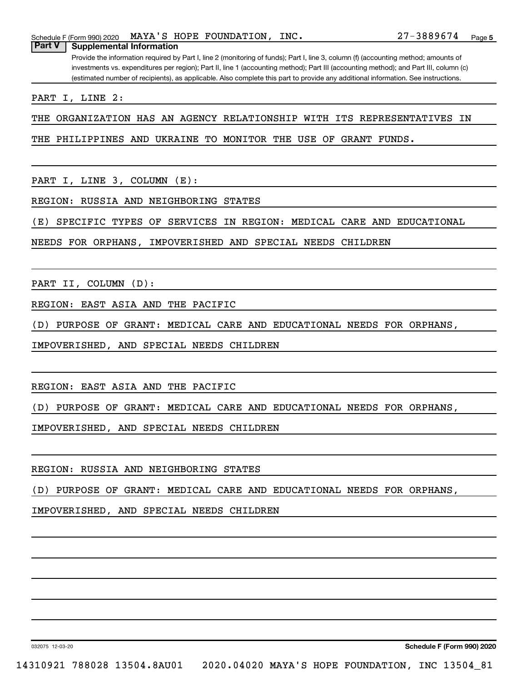Provide the information required by Part I, line 2 (monitoring of funds); Part I, line 3, column (f) (accounting method; amounts of investments vs. expenditures per region); Part II, line 1 (accounting method); Part III (accounting method); and Part III, column (c) (estimated number of recipients), as applicable. Also complete this part to provide any additional information. See instructions.

PART I, LINE 2:

THE ORGANIZATION HAS AN AGENCY RELATIONSHIP WITH ITS REPRESENTATIVES IN

THE PHILIPPINES AND UKRAINE TO MONITOR THE USE OF GRANT FUNDS.

PART I, LINE 3, COLUMN (E):

REGION: RUSSIA AND NEIGHBORING STATES

(E) SPECIFIC TYPES OF SERVICES IN REGION: MEDICAL CARE AND EDUCATIONAL

NEEDS FOR ORPHANS, IMPOVERISHED AND SPECIAL NEEDS CHILDREN

PART II, COLUMN (D):

REGION: EAST ASIA AND THE PACIFIC

(D) PURPOSE OF GRANT: MEDICAL CARE AND EDUCATIONAL NEEDS FOR ORPHANS,

IMPOVERISHED, AND SPECIAL NEEDS CHILDREN

REGION: EAST ASIA AND THE PACIFIC

(D) PURPOSE OF GRANT: MEDICAL CARE AND EDUCATIONAL NEEDS FOR ORPHANS,

IMPOVERISHED, AND SPECIAL NEEDS CHILDREN

REGION: RUSSIA AND NEIGHBORING STATES

(D) PURPOSE OF GRANT: MEDICAL CARE AND EDUCATIONAL NEEDS FOR ORPHANS,

IMPOVERISHED, AND SPECIAL NEEDS CHILDREN

032075 12-03-20

**Schedule F (Form 990) 2020**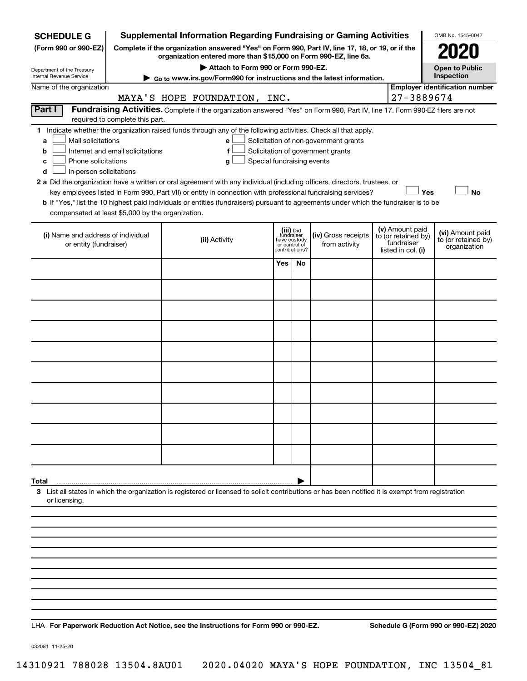| <b>SCHEDULE G</b>                                      |                                                        | <b>Supplemental Information Regarding Fundraising or Gaming Activities</b>                                                                                          |     |                                         |                                       |                                        |                                  | OMB No. 1545-0047                       |  |  |
|--------------------------------------------------------|--------------------------------------------------------|---------------------------------------------------------------------------------------------------------------------------------------------------------------------|-----|-----------------------------------------|---------------------------------------|----------------------------------------|----------------------------------|-----------------------------------------|--|--|
| (Form 990 or 990-EZ)                                   |                                                        | Complete if the organization answered "Yes" on Form 990, Part IV, line 17, 18, or 19, or if the<br>organization entered more than \$15,000 on Form 990-EZ, line 6a. |     |                                         |                                       |                                        |                                  |                                         |  |  |
| Department of the Treasury<br>Internal Revenue Service |                                                        | Attach to Form 990 or Form 990-EZ.<br>Go to www.irs.gov/Form990 for instructions and the latest information.                                                        |     |                                         |                                       |                                        |                                  | <b>Open to Public</b><br>Inspection     |  |  |
| Name of the organization                               |                                                        |                                                                                                                                                                     |     |                                         |                                       |                                        |                                  | <b>Employer identification number</b>   |  |  |
|                                                        |                                                        | MAYA'S HOPE FOUNDATION, INC.                                                                                                                                        |     |                                         |                                       |                                        | 27-3889674                       |                                         |  |  |
| Part I                                                 | required to complete this part.                        | Fundraising Activities. Complete if the organization answered "Yes" on Form 990, Part IV, line 17. Form 990-EZ filers are not                                       |     |                                         |                                       |                                        |                                  |                                         |  |  |
|                                                        |                                                        | 1 Indicate whether the organization raised funds through any of the following activities. Check all that apply.                                                     |     |                                         |                                       |                                        |                                  |                                         |  |  |
| Mail solicitations<br>a                                |                                                        | е                                                                                                                                                                   |     |                                         | Solicitation of non-government grants |                                        |                                  |                                         |  |  |
| b                                                      | Internet and email solicitations                       | f                                                                                                                                                                   |     |                                         | Solicitation of government grants     |                                        |                                  |                                         |  |  |
| c                                                      | Phone solicitations<br>Special fundraising events<br>g |                                                                                                                                                                     |     |                                         |                                       |                                        |                                  |                                         |  |  |
| In-person solicitations<br>d                           |                                                        | 2 a Did the organization have a written or oral agreement with any individual (including officers, directors, trustees, or                                          |     |                                         |                                       |                                        |                                  |                                         |  |  |
|                                                        |                                                        | key employees listed in Form 990, Part VII) or entity in connection with professional fundraising services?                                                         |     |                                         |                                       |                                        |                                  | <b>No</b><br>Yes                        |  |  |
|                                                        |                                                        | b If "Yes," list the 10 highest paid individuals or entities (fundraisers) pursuant to agreements under which the fundraiser is to be                               |     |                                         |                                       |                                        |                                  |                                         |  |  |
| compensated at least \$5,000 by the organization.      |                                                        |                                                                                                                                                                     |     |                                         |                                       |                                        |                                  |                                         |  |  |
|                                                        |                                                        |                                                                                                                                                                     |     |                                         |                                       |                                        |                                  |                                         |  |  |
| (i) Name and address of individual                     |                                                        | (ii) Activity                                                                                                                                                       |     | (iii) Did<br>fundraiser<br>have custody | (iv) Gross receipts                   | (v) Amount paid<br>to (or retained by) |                                  | (vi) Amount paid<br>to (or retained by) |  |  |
| or entity (fundraiser)                                 |                                                        |                                                                                                                                                                     |     | or control of<br>contributions?         | from activity                         |                                        | fundraiser<br>listed in col. (i) | organization                            |  |  |
|                                                        |                                                        |                                                                                                                                                                     | Yes | No.                                     |                                       |                                        |                                  |                                         |  |  |
|                                                        |                                                        |                                                                                                                                                                     |     |                                         |                                       |                                        |                                  |                                         |  |  |
|                                                        |                                                        |                                                                                                                                                                     |     |                                         |                                       |                                        |                                  |                                         |  |  |
|                                                        |                                                        |                                                                                                                                                                     |     |                                         |                                       |                                        |                                  |                                         |  |  |
|                                                        |                                                        |                                                                                                                                                                     |     |                                         |                                       |                                        |                                  |                                         |  |  |
|                                                        |                                                        |                                                                                                                                                                     |     |                                         |                                       |                                        |                                  |                                         |  |  |
|                                                        |                                                        |                                                                                                                                                                     |     |                                         |                                       |                                        |                                  |                                         |  |  |
|                                                        |                                                        |                                                                                                                                                                     |     |                                         |                                       |                                        |                                  |                                         |  |  |
|                                                        |                                                        |                                                                                                                                                                     |     |                                         |                                       |                                        |                                  |                                         |  |  |
|                                                        |                                                        |                                                                                                                                                                     |     |                                         |                                       |                                        |                                  |                                         |  |  |
|                                                        |                                                        |                                                                                                                                                                     |     |                                         |                                       |                                        |                                  |                                         |  |  |
|                                                        |                                                        |                                                                                                                                                                     |     |                                         |                                       |                                        |                                  |                                         |  |  |
|                                                        |                                                        |                                                                                                                                                                     |     |                                         |                                       |                                        |                                  |                                         |  |  |
|                                                        |                                                        |                                                                                                                                                                     |     |                                         |                                       |                                        |                                  |                                         |  |  |
| Total                                                  |                                                        |                                                                                                                                                                     |     |                                         |                                       |                                        |                                  |                                         |  |  |
| or licensing.                                          |                                                        | 3 List all states in which the organization is registered or licensed to solicit contributions or has been notified it is exempt from registration                  |     |                                         |                                       |                                        |                                  |                                         |  |  |
|                                                        |                                                        |                                                                                                                                                                     |     |                                         |                                       |                                        |                                  |                                         |  |  |
|                                                        |                                                        |                                                                                                                                                                     |     |                                         |                                       |                                        |                                  |                                         |  |  |
|                                                        |                                                        |                                                                                                                                                                     |     |                                         |                                       |                                        |                                  |                                         |  |  |
|                                                        |                                                        |                                                                                                                                                                     |     |                                         |                                       |                                        |                                  |                                         |  |  |
|                                                        |                                                        |                                                                                                                                                                     |     |                                         |                                       |                                        |                                  |                                         |  |  |

**For Paperwork Reduction Act Notice, see the Instructions for Form 990 or 990-EZ. Schedule G (Form 990 or 990-EZ) 2020** LHA

032081 11-25-20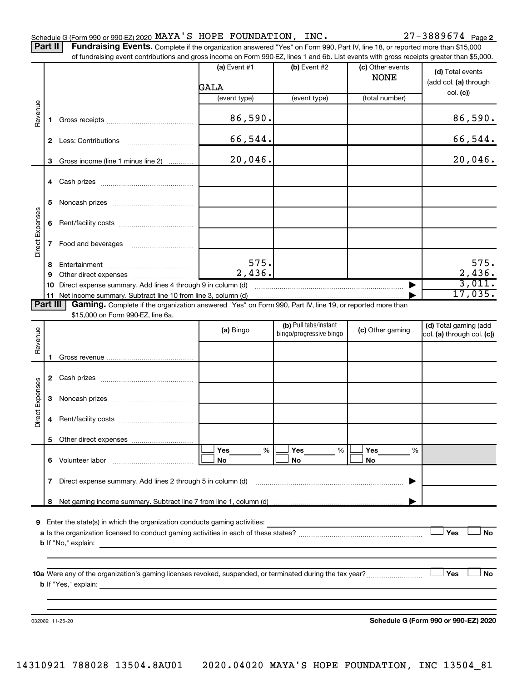Part II | Fundraising Events. Complete if the organization answered "Yes" on Form 990, Part IV, line 18, or reported more than \$15,000

|                 |    | of fundraising event contributions and gross income on Form 990-EZ, lines 1 and 6b. List events with gross receipts greater than \$5,000. | (a) Event #1    | (b) Event #2            | (c) Other events | (d) Total events                     |
|-----------------|----|-------------------------------------------------------------------------------------------------------------------------------------------|-----------------|-------------------------|------------------|--------------------------------------|
|                 |    |                                                                                                                                           | GALA            |                         | <b>NONE</b>      | (add col. (a) through                |
|                 |    |                                                                                                                                           | (event type)    | (event type)            | (total number)   | col. (c)                             |
| Revenue         |    |                                                                                                                                           |                 |                         |                  |                                      |
|                 | 1. |                                                                                                                                           | 86,590.         |                         |                  | 86,590.                              |
|                 |    |                                                                                                                                           | 66,544.         |                         |                  | 66,544.                              |
|                 | З. | Gross income (line 1 minus line 2)                                                                                                        | 20,046.         |                         |                  | 20,046.                              |
|                 | 4  |                                                                                                                                           |                 |                         |                  |                                      |
|                 | 5  |                                                                                                                                           |                 |                         |                  |                                      |
|                 | 6  |                                                                                                                                           |                 |                         |                  |                                      |
| Direct Expenses | 7  | Food and beverages                                                                                                                        |                 |                         |                  |                                      |
|                 |    |                                                                                                                                           |                 |                         |                  |                                      |
|                 | 8  |                                                                                                                                           | 575.            |                         |                  | 575.                                 |
|                 | 9  |                                                                                                                                           | 2,436.          |                         |                  | 2,436.                               |
|                 | 10 | Direct expense summary. Add lines 4 through 9 in column (d)                                                                               |                 |                         |                  | 3,011.                               |
| <b>Part III</b> | 11 | Gaming. Complete if the organization answered "Yes" on Form 990, Part IV, line 19, or reported more than                                  |                 |                         |                  | 17,035.                              |
|                 |    | \$15,000 on Form 990-EZ, line 6a.                                                                                                         |                 |                         |                  |                                      |
|                 |    |                                                                                                                                           |                 | (b) Pull tabs/instant   |                  | (d) Total gaming (add                |
| Revenue         |    |                                                                                                                                           | (a) Bingo       | bingo/progressive bingo | (c) Other gaming | col. (a) through col. (c))           |
|                 |    |                                                                                                                                           |                 |                         |                  |                                      |
|                 | 1  |                                                                                                                                           |                 |                         |                  |                                      |
|                 | 2  |                                                                                                                                           |                 |                         |                  |                                      |
|                 | 3  |                                                                                                                                           |                 |                         |                  |                                      |
| Direct Expenses | 4  |                                                                                                                                           |                 |                         |                  |                                      |
|                 |    | 5 Other direct expenses                                                                                                                   |                 |                         |                  |                                      |
|                 |    |                                                                                                                                           | %<br><b>Yes</b> | Yes<br>%                | Yes<br>%         |                                      |
|                 | 6. |                                                                                                                                           | No              | No                      | No               |                                      |
|                 | 7  | Direct expense summary. Add lines 2 through 5 in column (d)                                                                               |                 |                         |                  |                                      |
|                 |    |                                                                                                                                           |                 |                         |                  |                                      |
|                 |    |                                                                                                                                           |                 |                         |                  |                                      |
| 9               |    | Enter the state(s) in which the organization conducts gaming activities:                                                                  |                 |                         |                  |                                      |
|                 |    |                                                                                                                                           |                 |                         |                  | Yes<br><b>No</b>                     |
|                 |    |                                                                                                                                           |                 |                         |                  |                                      |
|                 |    |                                                                                                                                           |                 |                         |                  |                                      |
|                 |    |                                                                                                                                           |                 |                         |                  | Yes<br>No                            |
|                 |    | $\mathbf b$ If "Yes," explain:                                                                                                            |                 |                         |                  |                                      |
|                 |    |                                                                                                                                           |                 |                         |                  |                                      |
|                 |    |                                                                                                                                           |                 |                         |                  |                                      |
|                 |    | 032082 11-25-20                                                                                                                           |                 |                         |                  | Schedule G (Form 990 or 990-EZ) 2020 |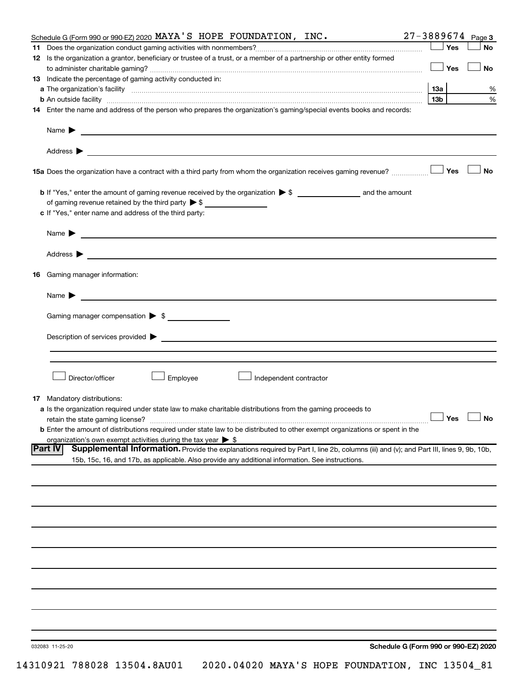| Schedule G (Form 990 or 990-EZ) 2020 MAYA'S HOPE FOUNDATION, INC.                                                                                                                                                                                                  | $27 - 3889674$ Page 3 |           |
|--------------------------------------------------------------------------------------------------------------------------------------------------------------------------------------------------------------------------------------------------------------------|-----------------------|-----------|
|                                                                                                                                                                                                                                                                    | ∫ Yes                 | <b>No</b> |
| 12 Is the organization a grantor, beneficiary or trustee of a trust, or a member of a partnership or other entity formed                                                                                                                                           | ⊥ Yes                 | No        |
| 13 Indicate the percentage of gaming activity conducted in:                                                                                                                                                                                                        |                       |           |
|                                                                                                                                                                                                                                                                    | 13a                   | %         |
| <b>b</b> An outside facility <i>www.communicality.communicality.communicality www.communicality.communicality.communicality</i>                                                                                                                                    | 13 <sub>b</sub>       | $\%$      |
| 14 Enter the name and address of the person who prepares the organization's gaming/special events books and records:                                                                                                                                               |                       |           |
|                                                                                                                                                                                                                                                                    |                       |           |
| Name $\blacktriangleright$<br><u>and the state of the state of the state of the state of the state of the state of the state of the state of the state of the state of the state of the state of the state of the state of the state of the state of the state</u> |                       |           |
|                                                                                                                                                                                                                                                                    |                       |           |
|                                                                                                                                                                                                                                                                    |                       | <b>No</b> |
|                                                                                                                                                                                                                                                                    |                       |           |
| of gaming revenue retained by the third party $\triangleright$ \$<br>c If "Yes," enter name and address of the third party:                                                                                                                                        |                       |           |
| <u> 1989 - Johann Barbara, martin amerikan basal dan berasal dan berasal dalam basal dan berasal dan berasal dan</u><br>Name $\blacktriangleright$                                                                                                                 |                       |           |
|                                                                                                                                                                                                                                                                    |                       |           |
| <b>16</b> Gaming manager information:                                                                                                                                                                                                                              |                       |           |
| Name $\blacktriangleright$                                                                                                                                                                                                                                         |                       |           |
| Gaming manager compensation > \$                                                                                                                                                                                                                                   |                       |           |
| Description of services provided states and the contract of the contract of the contract of the contract of the contract of the contract of the contract of the contract of the contract of the contract of the contract of th                                     |                       |           |
|                                                                                                                                                                                                                                                                    |                       |           |
| Director/officer<br>Employee<br>Independent contractor                                                                                                                                                                                                             |                       |           |
|                                                                                                                                                                                                                                                                    |                       |           |
| <b>17</b> Mandatory distributions:                                                                                                                                                                                                                                 |                       |           |
| <b>a</b> Is the organization required under state law to make charitable distributions from the gaming proceeds to                                                                                                                                                 |                       |           |
| retain the state gaming license?                                                                                                                                                                                                                                   | $\Box$ Yes $\Box$ No  |           |
| <b>b</b> Enter the amount of distributions required under state law to be distributed to other exempt organizations or spent in the                                                                                                                                |                       |           |
| organization's own exempt activities during the tax year $\triangleright$ \$                                                                                                                                                                                       |                       |           |
| <b>Part IV</b><br>Supplemental Information. Provide the explanations required by Part I, line 2b, columns (iii) and (v); and Part III, lines 9, 9b, 10b,                                                                                                           |                       |           |
| 15b, 15c, 16, and 17b, as applicable. Also provide any additional information. See instructions.                                                                                                                                                                   |                       |           |
|                                                                                                                                                                                                                                                                    |                       |           |
|                                                                                                                                                                                                                                                                    |                       |           |
|                                                                                                                                                                                                                                                                    |                       |           |
|                                                                                                                                                                                                                                                                    |                       |           |
|                                                                                                                                                                                                                                                                    |                       |           |
|                                                                                                                                                                                                                                                                    |                       |           |
|                                                                                                                                                                                                                                                                    |                       |           |
|                                                                                                                                                                                                                                                                    |                       |           |
|                                                                                                                                                                                                                                                                    |                       |           |
|                                                                                                                                                                                                                                                                    |                       |           |
|                                                                                                                                                                                                                                                                    |                       |           |
|                                                                                                                                                                                                                                                                    |                       |           |
|                                                                                                                                                                                                                                                                    |                       |           |
|                                                                                                                                                                                                                                                                    |                       |           |
|                                                                                                                                                                                                                                                                    |                       |           |
|                                                                                                                                                                                                                                                                    |                       |           |
| Schedule G (Form 990 or 990-EZ) 2020<br>032083 11-25-20                                                                                                                                                                                                            |                       |           |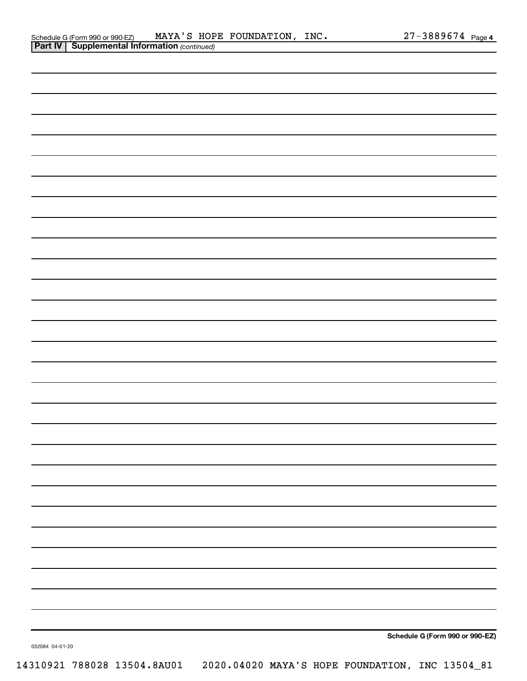|                 | Schedule G (Form 990 or 990-EZ) |
|-----------------|---------------------------------|
| 032084 04-01-20 |                                 |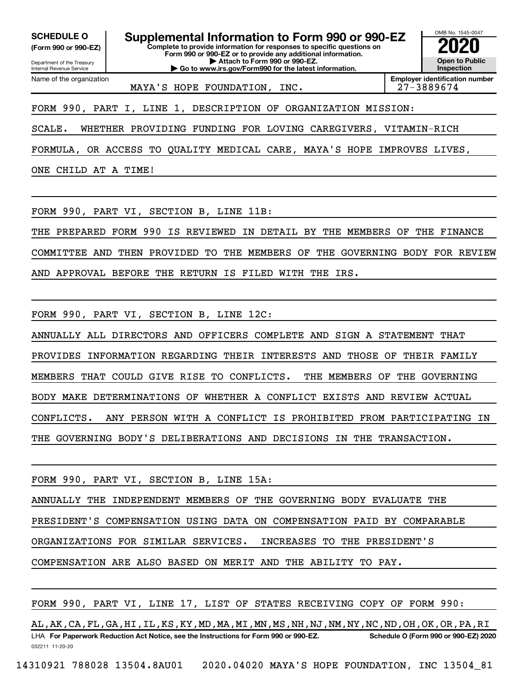**(Form 990 or 990-EZ)**

Department of the Treasury Internal Revenue Service Name of the organization

**Complete to provide information for responses to specific questions on Form 990 or 990-EZ or to provide any additional information. | Attach to Form 990 or 990-EZ. | Go to www.irs.gov/Form990 for the latest information. SCHEDULE O Supplemental Information to Form 990 or 990-EZ 2020**<br>(Form 990 or 990-EZ) Complete to provide information for responses to specific questions on



MAYA'S HOPE FOUNDATION, INC.  $\vert$  27-3889674

FORM 990, PART I, LINE 1, DESCRIPTION OF ORGANIZATION MISSION:

SCALE. WHETHER PROVIDING FUNDING FOR LOVING CAREGIVERS, VITAMIN-RICH

FORMULA, OR ACCESS TO QUALITY MEDICAL CARE, MAYA'S HOPE IMPROVES LIVES,

ONE CHILD AT A TIME!

FORM 990, PART VI, SECTION B, LINE 11B:

THE PREPARED FORM 990 IS REVIEWED IN DETAIL BY THE MEMBERS OF THE FINANCE

COMMITTEE AND THEN PROVIDED TO THE MEMBERS OF THE GOVERNING BODY FOR REVIEW

AND APPROVAL BEFORE THE RETURN IS FILED WITH THE IRS.

FORM 990, PART VI, SECTION B, LINE 12C:

ANNUALLY ALL DIRECTORS AND OFFICERS COMPLETE AND SIGN A STATEMENT THAT PROVIDES INFORMATION REGARDING THEIR INTERESTS AND THOSE OF THEIR FAMILY MEMBERS THAT COULD GIVE RISE TO CONFLICTS. THE MEMBERS OF THE GOVERNING BODY MAKE DETERMINATIONS OF WHETHER A CONFLICT EXISTS AND REVIEW ACTUAL CONFLICTS. ANY PERSON WITH A CONFLICT IS PROHIBITED FROM PARTICIPATING IN THE GOVERNING BODY'S DELIBERATIONS AND DECISIONS IN THE TRANSACTION.

FORM 990, PART VI, SECTION B, LINE 15A:

ANNUALLY THE INDEPENDENT MEMBERS OF THE GOVERNING BODY EVALUATE THE

PRESIDENT'S COMPENSATION USING DATA ON COMPENSATION PAID BY COMPARABLE

ORGANIZATIONS FOR SIMILAR SERVICES. INCREASES TO THE PRESIDENT'S

COMPENSATION ARE ALSO BASED ON MERIT AND THE ABILITY TO PAY.

FORM 990, PART VI, LINE 17, LIST OF STATES RECEIVING COPY OF FORM 990:

032211 11-20-20 **For Paperwork Reduction Act Notice, see the Instructions for Form 990 or 990-EZ. Schedule O (Form 990 or 990-EZ) 2020** LHA AL,AK,CA,FL,GA,HI,IL,KS,KY,MD,MA,MI,MN,MS,NH,NJ,NM,NY,NC,ND,OH,OK,OR,PA,RI